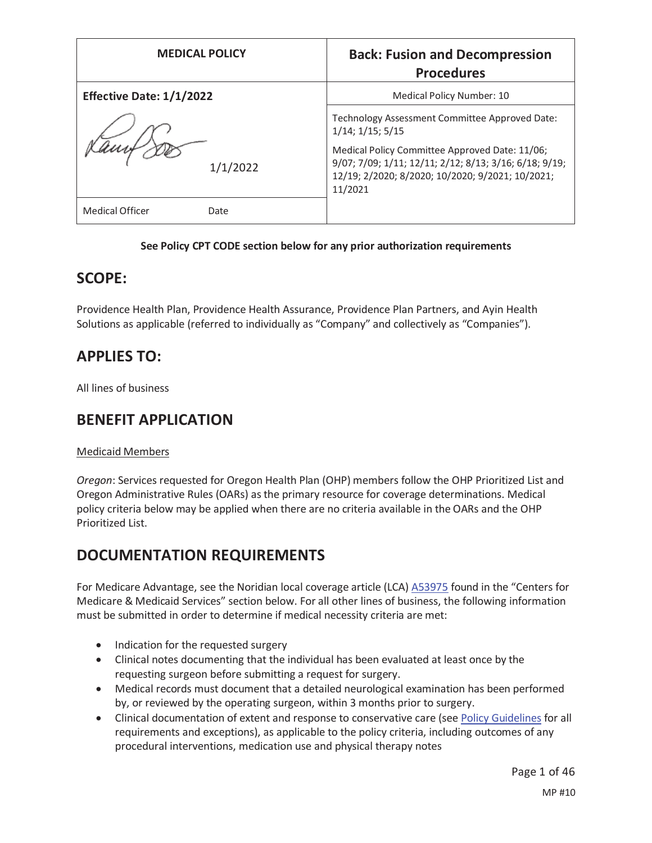| <b>MEDICAL POLICY</b>           | <b>Back: Fusion and Decompression</b><br><b>Procedures</b>                                                                                                                                                                                            |
|---------------------------------|-------------------------------------------------------------------------------------------------------------------------------------------------------------------------------------------------------------------------------------------------------|
| <b>Effective Date: 1/1/2022</b> | Medical Policy Number: 10                                                                                                                                                                                                                             |
| 1/1/2022                        | Technology Assessment Committee Approved Date:<br>$1/14$ ; $1/15$ ; $5/15$<br>Medical Policy Committee Approved Date: 11/06;<br>9/07; 7/09; 1/11; 12/11; 2/12; 8/13; 3/16; 6/18; 9/19;<br>12/19; 2/2020; 8/2020; 10/2020; 9/2021; 10/2021;<br>11/2021 |
| Medical Officer<br>Date         |                                                                                                                                                                                                                                                       |

### **See Policy CPT CODE section below for any prior authorization requirements**

## **SCOPE:**

Providence Health Plan, Providence Health Assurance, Providence Plan Partners, and Ayin Health Solutions as applicable (referred to individually as "Company" and collectively as "Companies").

## **APPLIES TO:**

All lines of business

# **BENEFIT APPLICATION**

### Medicaid Members

*Oregon*: Services requested for Oregon Health Plan (OHP) members follow the OHP Prioritized List and Oregon Administrative Rules (OARs) as the primary resource for coverage determinations. Medical policy criteria below may be applied when there are no criteria available in the OARs and the OHP Prioritized List.

# **DOCUMENTATION REQUIREMENTS**

For Medicare Advantage, see the Noridian local coverage article (LCA) A53975 found in the "Centers for Medicare & Medicaid Services" section below. For all other lines of business, the following information must be submitted in order to determine if medical necessity criteria are met:

- Indication for the requested surgery
- Clinical notes documenting that the individual has been evaluated at least once by the requesting surgeon before submitting a request for surgery.
- Medical records must document that a detailed neurological examination has been performed by, or reviewed by the operating surgeon, within 3 months prior to surgery.
- Clinical documentation of extent and response to conservative care (see Policy Guidelines for all requirements and exceptions), as applicable to the policy criteria, including outcomes of any procedural interventions, medication use and physical therapy notes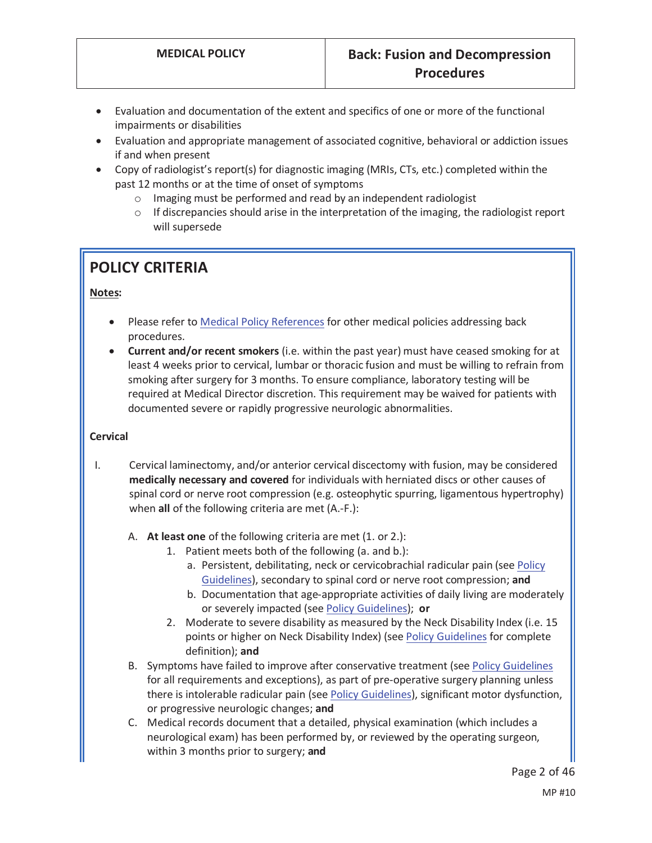- Evaluation and documentation of the extent and specifics of one or more of the functional impairments or disabilities
- Evaluation and appropriate management of associated cognitive, behavioral or addiction issues if and when present
- Copy of radiologist's report(s) for diagnostic imaging (MRIs, CTs, etc.) completed within the past 12 months or at the time of onset of symptoms
	- o Imaging must be performed and read by an independent radiologist
	- $\circ$  If discrepancies should arise in the interpretation of the imaging, the radiologist report will supersede

# **POLICY CRITERIA**

### **Notes:**

- Please refer to Medical Policy References for other medical policies addressing back procedures.
- x **Current and/or recent smokers** (i.e. within the past year) must have ceased smoking for at least 4 weeks prior to cervical, lumbar or thoracic fusion and must be willing to refrain from smoking after surgery for 3 months. To ensure compliance, laboratory testing will be required at Medical Director discretion. This requirement may be waived for patients with documented severe or rapidly progressive neurologic abnormalities.

### **Cervical**

- I. Cervical laminectomy, and/or anterior cervical discectomy with fusion, may be considered **medically necessary and covered** for individuals with herniated discs or other causes of spinal cord or nerve root compression (e.g. osteophytic spurring, ligamentous hypertrophy) when **all** of the following criteria are met (A.-F.):
	- A. **At least one** of the following criteria are met (1. or 2.):
		- 1. Patient meets both of the following (a. and b.):
			- a. Persistent, debilitating, neck or cervicobrachial radicular pain (see Policy Guidelines), secondary to spinal cord or nerve root compression; **and**
			- b. Documentation that age-appropriate activities of daily living are moderately or severely impacted (see Policy Guidelines); **or**
		- 2. Moderate to severe disability as measured by the Neck Disability Index (i.e. 15 points or higher on Neck Disability Index) (see Policy Guidelines for complete definition); **and**
	- B. Symptoms have failed to improve after conservative treatment (see Policy Guidelines for all requirements and exceptions), as part of pre-operative surgery planning unless there is intolerable radicular pain (see Policy Guidelines), significant motor dysfunction, or progressive neurologic changes; **and**
	- C. Medical records document that a detailed, physical examination (which includes a neurological exam) has been performed by, or reviewed by the operating surgeon, within 3 months prior to surgery; **and**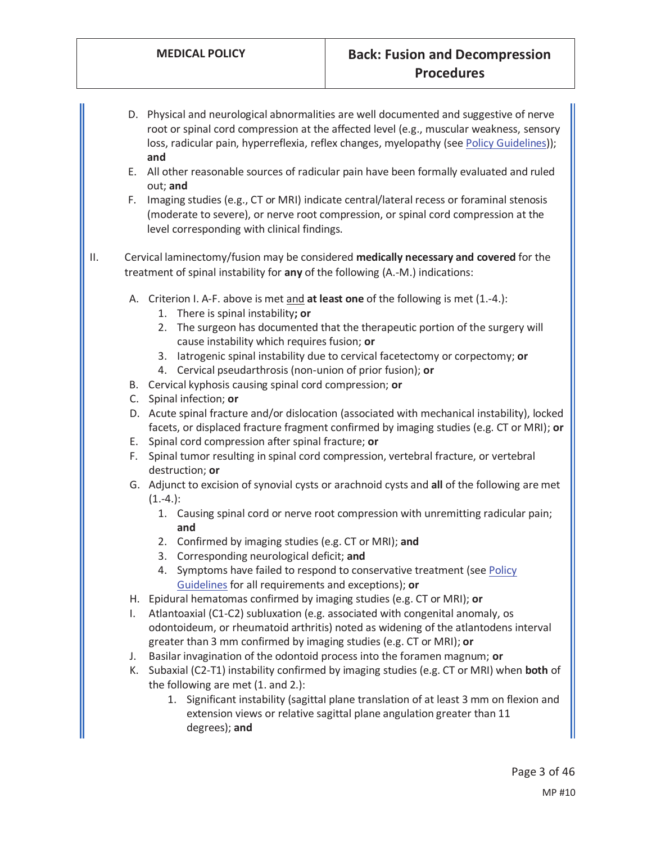- D. Physical and neurological abnormalities are well documented and suggestive of nerve root or spinal cord compression at the affected level (e.g., muscular weakness, sensory loss, radicular pain, hyperreflexia, reflex changes, myelopathy (see Policy Guidelines)); **and**
- E. All other reasonable sources of radicular pain have been formally evaluated and ruled out; **and**
- F. Imaging studies (e.g., CT or MRI) indicate central/lateral recess or foraminal stenosis (moderate to severe), or nerve root compression, or spinal cord compression at the level corresponding with clinical findings.

II. Cervical laminectomy/fusion may be considered **medically necessary and covered** for the treatment of spinal instability for **any** of the following (A.-M.) indications:

- A. Criterion I. A-F. above is met and **at least one** of the following is met (1.-4.):
	- 1. There is spinal instability**; or**
	- 2. The surgeon has documented that the therapeutic portion of the surgery will cause instability which requires fusion; **or**
	- 3. Iatrogenic spinal instability due to cervical facetectomy or corpectomy; **or**
	- 4. Cervical pseudarthrosis (non-union of prior fusion); **or**
- B. Cervical kyphosis causing spinal cord compression; **or**
- C. Spinal infection; **or**
- D. Acute spinal fracture and/or dislocation (associated with mechanical instability), locked facets, or displaced fracture fragment confirmed by imaging studies (e.g. CT or MRI); **or**
- E. Spinal cord compression after spinal fracture; **or**
- F. Spinal tumor resulting in spinal cord compression, vertebral fracture, or vertebral destruction; **or**
- G. Adjunct to excision of synovial cysts or arachnoid cysts and **all** of the following are met  $(1.-4.):$ 
	- 1. Causing spinal cord or nerve root compression with unremitting radicular pain; **and**
	- 2. Confirmed by imaging studies (e.g. CT or MRI); **and**
	- 3. Corresponding neurological deficit; **and**
	- 4. Symptoms have failed to respond to conservative treatment (see Policy Guidelines for all requirements and exceptions); **or**
- H. Epidural hematomas confirmed by imaging studies (e.g. CT or MRI); **or**
- I. Atlantoaxial (C1-C2) subluxation (e.g. associated with congenital anomaly, os odontoideum, or rheumatoid arthritis) noted as widening of the atlantodens interval greater than 3 mm confirmed by imaging studies (e.g. CT or MRI); **or**
- J. Basilar invagination of the odontoid process into the foramen magnum; **or**
- K. Subaxial (C2-T1) instability confirmed by imaging studies (e.g. CT or MRI) when **both** of the following are met (1. and 2.):
	- 1. Significant instability (sagittal plane translation of at least 3 mm on flexion and extension views or relative sagittal plane angulation greater than 11 degrees); **and**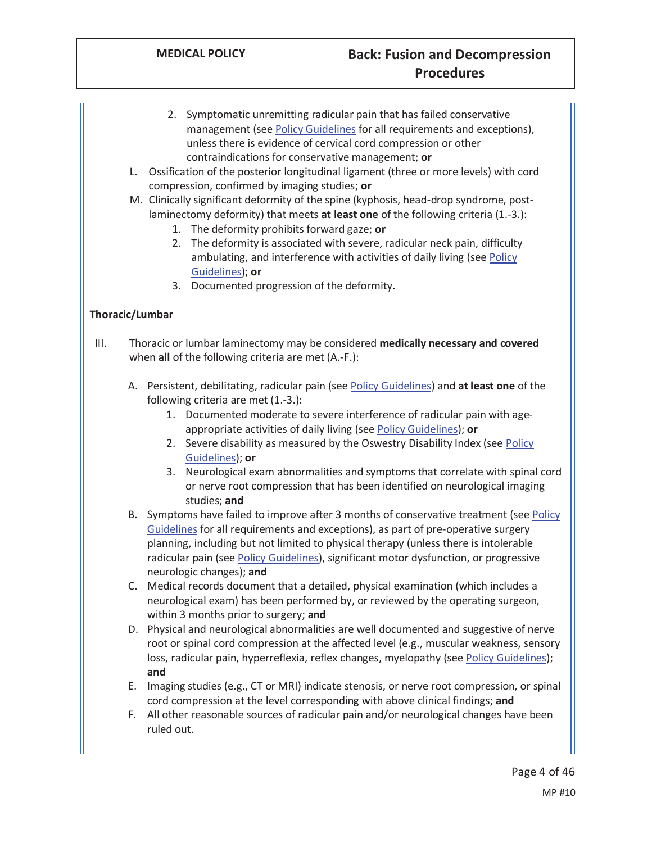- 2. Symptomatic unremitting radicular pain that has failed conservative management (see Policy Guidelines for all requirements and exceptions), unless there is evidence of cervical cord compression or other contraindications for conservative management; **or**
- L. Ossification of the posterior longitudinal ligament (three or more levels) with cord compression, confirmed by imaging studies; **or**
- M. Clinically significant deformity of the spine (kyphosis, head-drop syndrome, postlaminectomy deformity) that meets **at least one** of the following criteria (1.-3.):
	- 1. The deformity prohibits forward gaze; **or**
	- 2. The deformity is associated with severe, radicular neck pain, difficulty ambulating, and interference with activities of daily living (see Policy Guidelines); **or**
	- 3. Documented progression of the deformity.

### **Thoracic/Lumbar**

- III. Thoracic or lumbar laminectomy may be considered **medically necessary and covered** when **all** of the following criteria are met (A.-F.):
	- A. Persistent, debilitating, radicular pain (see Policy Guidelines) and **at least one** of the following criteria are met (1.-3.):
		- 1. Documented moderate to severe interference of radicular pain with ageappropriate activities of daily living (see Policy Guidelines); **or**
		- 2. Severe disability as measured by the Oswestry Disability Index (see Policy Guidelines); **or**
		- 3. Neurological exam abnormalities and symptoms that correlate with spinal cord or nerve root compression that has been identified on neurological imaging studies; **and**
	- B. Symptoms have failed to improve after 3 months of conservative treatment (see Policy Guidelines for all requirements and exceptions), as part of pre-operative surgery planning, including but not limited to physical therapy (unless there is intolerable radicular pain (see Policy Guidelines), significant motor dysfunction, or progressive neurologic changes); **and**
	- C. Medical records document that a detailed, physical examination (which includes a neurological exam) has been performed by, or reviewed by the operating surgeon, within 3 months prior to surgery; **and**
	- D. Physical and neurological abnormalities are well documented and suggestive of nerve root or spinal cord compression at the affected level (e.g., muscular weakness, sensory loss, radicular pain, hyperreflexia, reflex changes, myelopathy (see Policy Guidelines); **and**
	- E. Imaging studies (e.g., CT or MRI) indicate stenosis, or nerve root compression, or spinal cord compression at the level corresponding with above clinical findings; **and**
	- F. All other reasonable sources of radicular pain and/or neurological changes have been ruled out.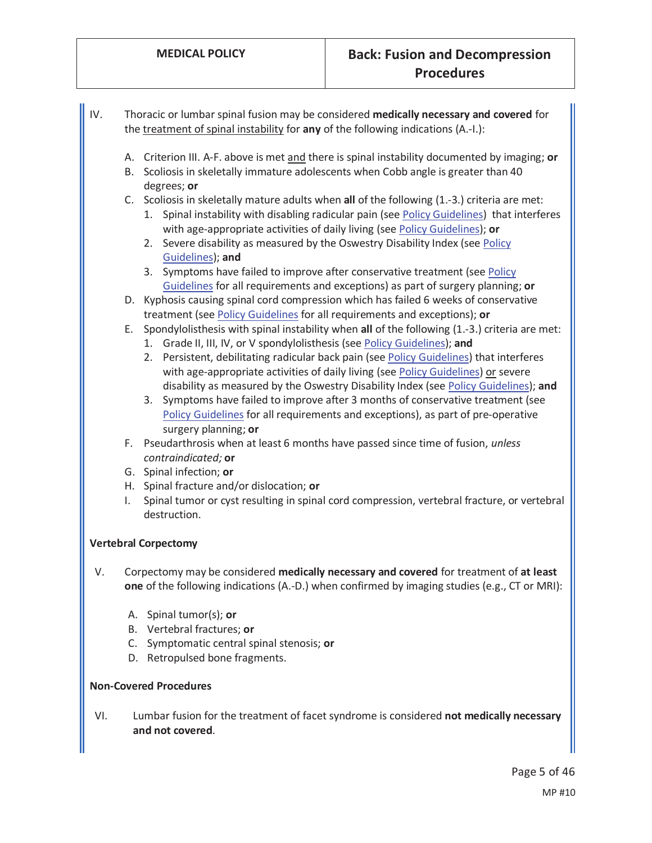| IV.                           | Thoracic or lumbar spinal fusion may be considered medically necessary and covered for<br>the treatment of spinal instability for any of the following indications (A.-I.):                                                                                                                                                                                                                                                                                                                                                                                                                                                                                                                                                        |  |
|-------------------------------|------------------------------------------------------------------------------------------------------------------------------------------------------------------------------------------------------------------------------------------------------------------------------------------------------------------------------------------------------------------------------------------------------------------------------------------------------------------------------------------------------------------------------------------------------------------------------------------------------------------------------------------------------------------------------------------------------------------------------------|--|
|                               | A. Criterion III. A-F. above is met and there is spinal instability documented by imaging; or<br>B. Scoliosis in skeletally immature adolescents when Cobb angle is greater than 40<br>degrees; or                                                                                                                                                                                                                                                                                                                                                                                                                                                                                                                                 |  |
|                               | C. Scoliosis in skeletally mature adults when all of the following (1.-3.) criteria are met:<br>1. Spinal instability with disabling radicular pain (see Policy Guidelines) that interferes<br>with age-appropriate activities of daily living (see Policy Guidelines); or<br>2. Severe disability as measured by the Oswestry Disability Index (see Policy<br>Guidelines); and<br>3. Symptoms have failed to improve after conservative treatment (see Policy<br>Guidelines for all requirements and exceptions) as part of surgery planning; or                                                                                                                                                                                  |  |
|                               | D. Kyphosis causing spinal cord compression which has failed 6 weeks of conservative                                                                                                                                                                                                                                                                                                                                                                                                                                                                                                                                                                                                                                               |  |
|                               | treatment (see Policy Guidelines for all requirements and exceptions); or<br>E. Spondylolisthesis with spinal instability when all of the following (1.-3.) criteria are met:<br>1. Grade II, III, IV, or V spondylolisthesis (see Policy Guidelines); and<br>2. Persistent, debilitating radicular back pain (see Policy Guidelines) that interferes<br>with age-appropriate activities of daily living (see Policy Guidelines) or severe<br>disability as measured by the Oswestry Disability Index (see Policy Guidelines); and<br>3. Symptoms have failed to improve after 3 months of conservative treatment (see<br>Policy Guidelines for all requirements and exceptions), as part of pre-operative<br>surgery planning; or |  |
|                               | F. Pseudarthrosis when at least 6 months have passed since time of fusion, unless<br>contraindicated; or                                                                                                                                                                                                                                                                                                                                                                                                                                                                                                                                                                                                                           |  |
|                               | G. Spinal infection; or                                                                                                                                                                                                                                                                                                                                                                                                                                                                                                                                                                                                                                                                                                            |  |
|                               | H. Spinal fracture and/or dislocation; or                                                                                                                                                                                                                                                                                                                                                                                                                                                                                                                                                                                                                                                                                          |  |
|                               | Spinal tumor or cyst resulting in spinal cord compression, vertebral fracture, or vertebral<br>I.<br>destruction.                                                                                                                                                                                                                                                                                                                                                                                                                                                                                                                                                                                                                  |  |
|                               | <b>Vertebral Corpectomy</b>                                                                                                                                                                                                                                                                                                                                                                                                                                                                                                                                                                                                                                                                                                        |  |
| V.                            | Corpectomy may be considered medically necessary and covered for treatment of at least<br>one of the following indications (A.-D.) when confirmed by imaging studies (e.g., CT or MRI):                                                                                                                                                                                                                                                                                                                                                                                                                                                                                                                                            |  |
|                               | A. Spinal tumor(s); or                                                                                                                                                                                                                                                                                                                                                                                                                                                                                                                                                                                                                                                                                                             |  |
|                               | B. Vertebral fractures; or                                                                                                                                                                                                                                                                                                                                                                                                                                                                                                                                                                                                                                                                                                         |  |
|                               | C. Symptomatic central spinal stenosis; or                                                                                                                                                                                                                                                                                                                                                                                                                                                                                                                                                                                                                                                                                         |  |
|                               | D. Retropulsed bone fragments.                                                                                                                                                                                                                                                                                                                                                                                                                                                                                                                                                                                                                                                                                                     |  |
| <b>Non-Covered Procedures</b> |                                                                                                                                                                                                                                                                                                                                                                                                                                                                                                                                                                                                                                                                                                                                    |  |
| VI.                           | Lumbar fusion for the treatment of facet syndrome is considered not medically necessary<br>and not covered.                                                                                                                                                                                                                                                                                                                                                                                                                                                                                                                                                                                                                        |  |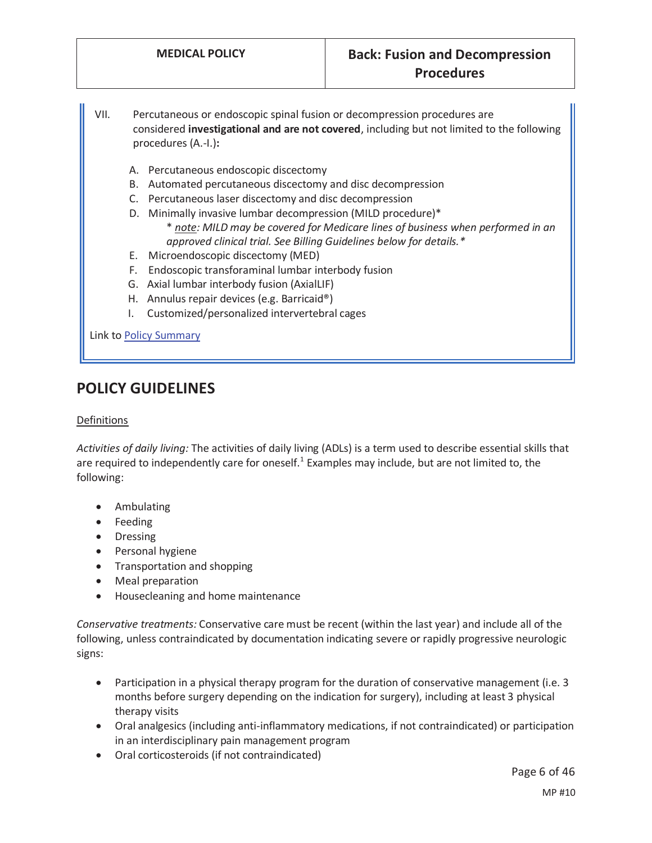- VII. Percutaneous or endoscopic spinal fusion or decompression procedures are considered **investigational and are not covered**, including but not limited to the following procedures (A.-I.)**:** 
	- A. Percutaneous endoscopic discectomy
	- B. Automated percutaneous discectomy and disc decompression
	- C. Percutaneous laser discectomy and disc decompression
	- D. Minimally invasive lumbar decompression (MILD procedure)\*
		- \* *note: MILD may be covered for Medicare lines of business when performed in an approved clinical trial. See Billing Guidelines below for details.\**
	- E. Microendoscopic discectomy (MED)
	- F. Endoscopic transforaminal lumbar interbody fusion
	- G. Axial lumbar interbody fusion (AxialLIF)
	- H. Annulus repair devices (e.g. Barricaid®)
	- I. Customized/personalized intervertebral cages

Link to Policy Summary

## **POLICY GUIDELINES**

#### Definitions

*Activities of daily living:* The activities of daily living (ADLs) is a term used to describe essential skills that are required to independently care for oneself.<sup>1</sup> Examples may include, but are not limited to, the following:

- Ambulating
- Feeding
- Dressing
- Personal hygiene
- Transportation and shopping
- Meal preparation
- Housecleaning and home maintenance

*Conservative treatments:* Conservative care must be recent (within the last year) and include all of the following, unless contraindicated by documentation indicating severe or rapidly progressive neurologic signs:

- Participation in a physical therapy program for the duration of conservative management (i.e. 3 months before surgery depending on the indication for surgery), including at least 3 physical therapy visits
- Oral analgesics (including anti-inflammatory medications, if not contraindicated) or participation in an interdisciplinary pain management program
- Oral corticosteroids (if not contraindicated)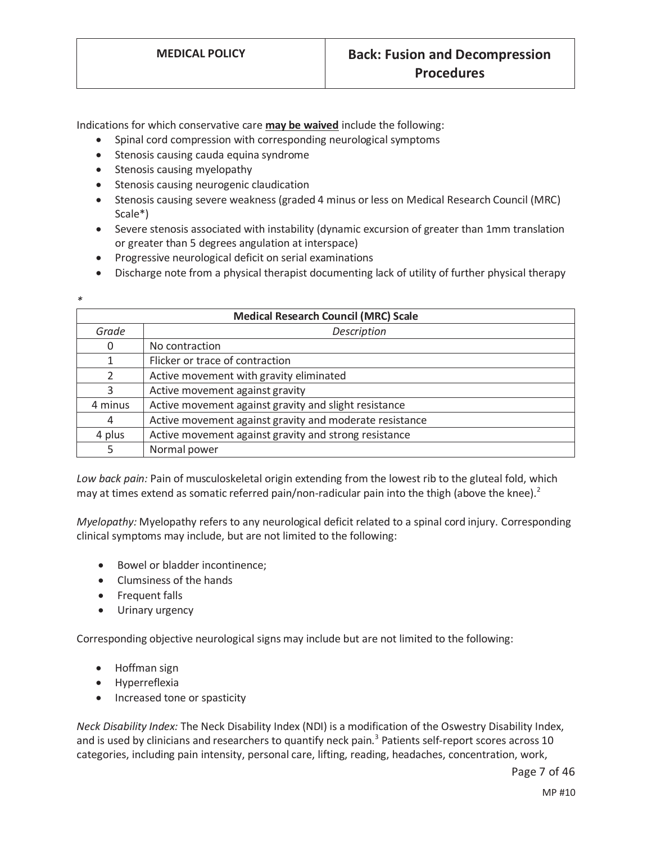Indications for which conservative care **may be waived** include the following:

- Spinal cord compression with corresponding neurological symptoms
- Stenosis causing cauda equina syndrome
- Stenosis causing myelopathy
- Stenosis causing neurogenic claudication
- Stenosis causing severe weakness (graded 4 minus or less on Medical Research Council (MRC) Scale\*)
- Severe stenosis associated with instability (dynamic excursion of greater than 1mm translation or greater than 5 degrees angulation at interspace)
- Progressive neurological deficit on serial examinations
- Discharge note from a physical therapist documenting lack of utility of further physical therapy

| ٠<br>I<br>٠ |  |
|-------------|--|
|             |  |

| <b>Medical Research Council (MRC) Scale</b> |                                                         |  |
|---------------------------------------------|---------------------------------------------------------|--|
| Grade                                       | Description                                             |  |
| 0                                           | No contraction                                          |  |
|                                             | Flicker or trace of contraction                         |  |
| $\mathcal{P}$                               | Active movement with gravity eliminated                 |  |
| 3                                           | Active movement against gravity                         |  |
| 4 minus                                     | Active movement against gravity and slight resistance   |  |
| 4                                           | Active movement against gravity and moderate resistance |  |
| 4 plus                                      | Active movement against gravity and strong resistance   |  |
|                                             | Normal power                                            |  |

*Low back pain:* Pain of musculoskeletal origin extending from the lowest rib to the gluteal fold, which may at times extend as somatic referred pain/non-radicular pain into the thigh (above the knee).<sup>2</sup>

*Myelopathy:* Myelopathy refers to any neurological deficit related to a spinal cord injury. Corresponding clinical symptoms may include, but are not limited to the following:

- Bowel or bladder incontinence;
- Clumsiness of the hands
- Frequent falls
- Urinary urgency

Corresponding objective neurological signs may include but are not limited to the following:

- Hoffman sign
- Hyperreflexia
- Increased tone or spasticity

*Neck Disability Index:* The Neck Disability Index (NDI) is a modification of the Oswestry Disability Index, and is used by clinicians and researchers to quantify neck pain.<sup>3</sup> Patients self-report scores across 10 categories, including pain intensity, personal care, lifting, reading, headaches, concentration, work,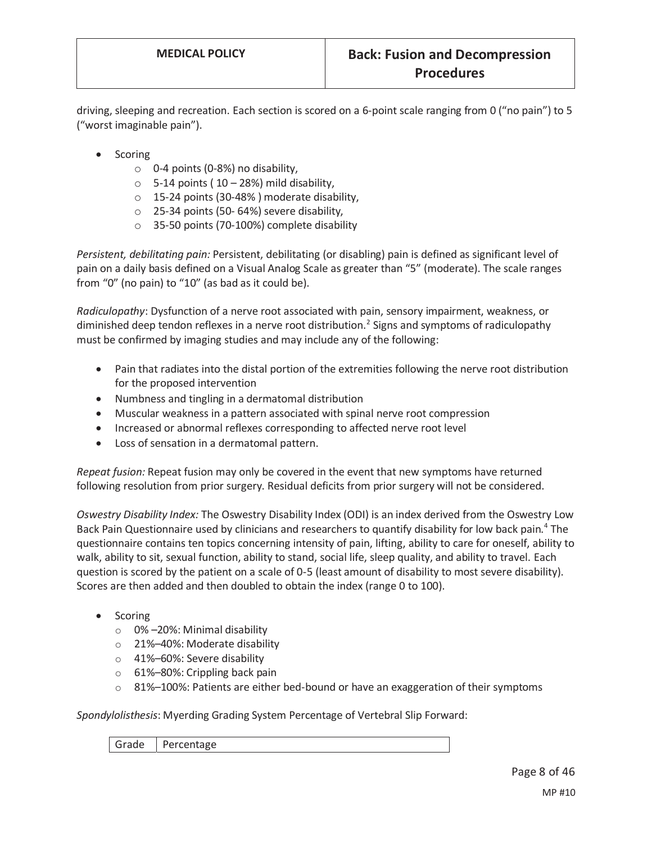driving, sleeping and recreation. Each section is scored on a 6-point scale ranging from 0 ("no pain") to 5 ("worst imaginable pain").

- **Scoring** 
	- o 0-4 points (0-8%) no disability,
	- $\circ$  5-14 points (10 28%) mild disability,
	- o 15-24 points (30-48% ) moderate disability,
	- o 25-34 points (50- 64%) severe disability,
	- o 35-50 points (70-100%) complete disability

*Persistent, debilitating pain:* Persistent, debilitating (or disabling) pain is defined as significant level of pain on a daily basis defined on a Visual Analog Scale as greater than "5" (moderate). The scale ranges from "0" (no pain) to "10" (as bad as it could be).

*Radiculopathy*: Dysfunction of a nerve root associated with pain, sensory impairment, weakness, or diminished deep tendon reflexes in a nerve root distribution.<sup>2</sup> Signs and symptoms of radiculopathy must be confirmed by imaging studies and may include any of the following:

- Pain that radiates into the distal portion of the extremities following the nerve root distribution for the proposed intervention
- Numbness and tingling in a dermatomal distribution
- Muscular weakness in a pattern associated with spinal nerve root compression
- Increased or abnormal reflexes corresponding to affected nerve root level
- Loss of sensation in a dermatomal pattern.

*Repeat fusion:* Repeat fusion may only be covered in the event that new symptoms have returned following resolution from prior surgery. Residual deficits from prior surgery will not be considered.

*Oswestry Disability Index:* The Oswestry Disability Index (ODI) is an index derived from the Oswestry Low Back Pain Questionnaire used by clinicians and researchers to quantify disability for low back pain.<sup>4</sup> The questionnaire contains ten topics concerning intensity of pain, lifting, ability to care for oneself, ability to walk, ability to sit, sexual function, ability to stand, social life, sleep quality, and ability to travel. Each question is scored by the patient on a scale of 0-5 (least amount of disability to most severe disability). Scores are then added and then doubled to obtain the index (range 0 to 100).

- $\bullet$  Scoring
	- o 0% –20%: Minimal disability
	- o 21%–40%: Moderate disability
	- o 41%–60%: Severe disability
	- o 61%–80%: Crippling back pain
	- $\circ$  81%–100%: Patients are either bed-bound or have an exaggeration of their symptoms

*Spondylolisthesis*: Myerding Grading System Percentage of Vertebral Slip Forward:

|  | Grade Percentage |  |  |  |
|--|------------------|--|--|--|
|--|------------------|--|--|--|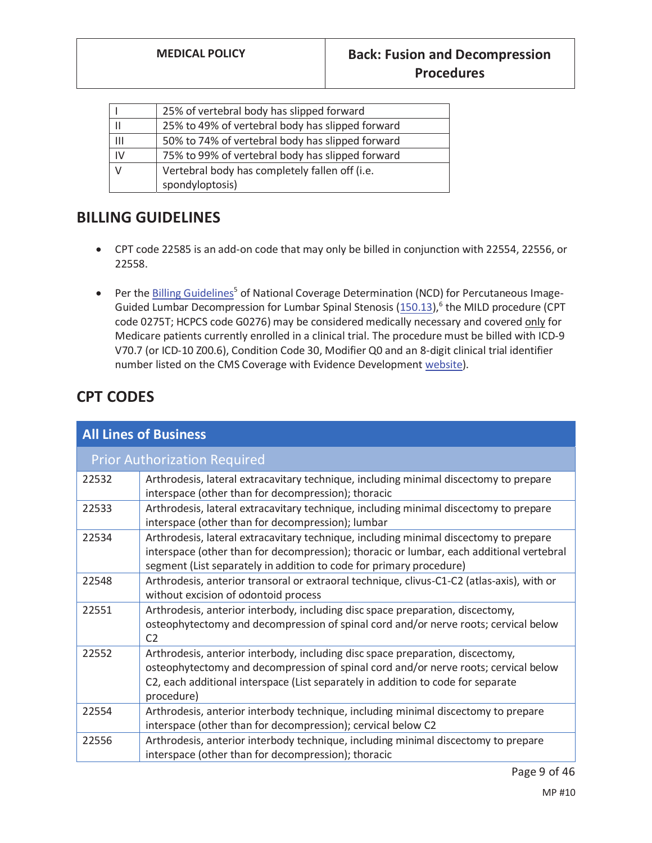|    | 25% of vertebral body has slipped forward        |
|----|--------------------------------------------------|
|    | 25% to 49% of vertebral body has slipped forward |
| Ш  | 50% to 74% of vertebral body has slipped forward |
| IV | 75% to 99% of vertebral body has slipped forward |
|    | Vertebral body has completely fallen off (i.e.   |
|    | spondyloptosis)                                  |

## **BILLING GUIDELINES**

- CPT code 22585 is an add-on code that may only be billed in conjunction with 22554, 22556, or 22558.
- Per the Billing Guidelines<sup>5</sup> of National Coverage Determination (NCD) for Percutaneous Image-Guided Lumbar Decompression for Lumbar Spinal Stenosis (150.13),<sup>6</sup> the MILD procedure (CPT code 0275T; HCPCS code G0276) may be considered medically necessary and covered only for Medicare patients currently enrolled in a clinical trial. The procedure must be billed with ICD-9 V70.7 (or ICD-10 Z00.6), Condition Code 30, Modifier Q0 and an 8-digit clinical trial identifier number listed on the CMS Coverage with Evidence Development website).

# **CPT CODES**

| <b>All Lines of Business</b> |                                                                                                                                                                                                                                                                         |  |
|------------------------------|-------------------------------------------------------------------------------------------------------------------------------------------------------------------------------------------------------------------------------------------------------------------------|--|
|                              | <b>Prior Authorization Required</b>                                                                                                                                                                                                                                     |  |
| 22532                        | Arthrodesis, lateral extracavitary technique, including minimal discectomy to prepare<br>interspace (other than for decompression); thoracic                                                                                                                            |  |
| 22533                        | Arthrodesis, lateral extracavitary technique, including minimal discectomy to prepare<br>interspace (other than for decompression); lumbar                                                                                                                              |  |
| 22534                        | Arthrodesis, lateral extracavitary technique, including minimal discectomy to prepare<br>interspace (other than for decompression); thoracic or lumbar, each additional vertebral<br>segment (List separately in addition to code for primary procedure)                |  |
| 22548                        | Arthrodesis, anterior transoral or extraoral technique, clivus-C1-C2 (atlas-axis), with or<br>without excision of odontoid process                                                                                                                                      |  |
| 22551                        | Arthrodesis, anterior interbody, including disc space preparation, discectomy,<br>osteophytectomy and decompression of spinal cord and/or nerve roots; cervical below<br>C <sub>2</sub>                                                                                 |  |
| 22552                        | Arthrodesis, anterior interbody, including disc space preparation, discectomy,<br>osteophytectomy and decompression of spinal cord and/or nerve roots; cervical below<br>C2, each additional interspace (List separately in addition to code for separate<br>procedure) |  |
| 22554                        | Arthrodesis, anterior interbody technique, including minimal discectomy to prepare<br>interspace (other than for decompression); cervical below C2                                                                                                                      |  |
| 22556                        | Arthrodesis, anterior interbody technique, including minimal discectomy to prepare<br>interspace (other than for decompression); thoracic                                                                                                                               |  |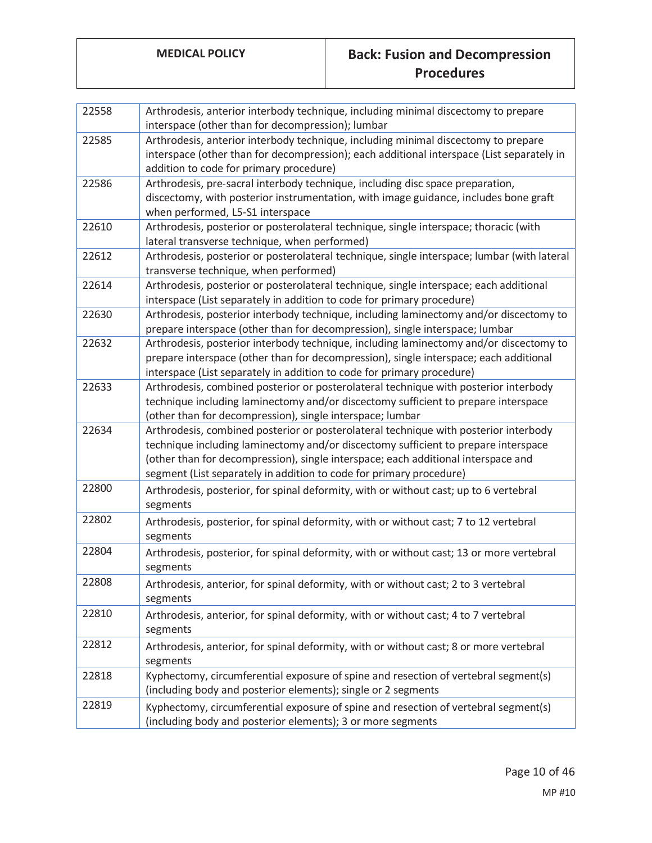| 22558 | Arthrodesis, anterior interbody technique, including minimal discectomy to prepare<br>interspace (other than for decompression); lumbar                                                                                                                                                                                                |
|-------|----------------------------------------------------------------------------------------------------------------------------------------------------------------------------------------------------------------------------------------------------------------------------------------------------------------------------------------|
| 22585 | Arthrodesis, anterior interbody technique, including minimal discectomy to prepare<br>interspace (other than for decompression); each additional interspace (List separately in<br>addition to code for primary procedure)                                                                                                             |
| 22586 | Arthrodesis, pre-sacral interbody technique, including disc space preparation,<br>discectomy, with posterior instrumentation, with image guidance, includes bone graft<br>when performed, L5-S1 interspace                                                                                                                             |
| 22610 | Arthrodesis, posterior or posterolateral technique, single interspace; thoracic (with<br>lateral transverse technique, when performed)                                                                                                                                                                                                 |
| 22612 | Arthrodesis, posterior or posterolateral technique, single interspace; lumbar (with lateral<br>transverse technique, when performed)                                                                                                                                                                                                   |
| 22614 | Arthrodesis, posterior or posterolateral technique, single interspace; each additional<br>interspace (List separately in addition to code for primary procedure)                                                                                                                                                                       |
| 22630 | Arthrodesis, posterior interbody technique, including laminectomy and/or discectomy to<br>prepare interspace (other than for decompression), single interspace; lumbar                                                                                                                                                                 |
| 22632 | Arthrodesis, posterior interbody technique, including laminectomy and/or discectomy to<br>prepare interspace (other than for decompression), single interspace; each additional<br>interspace (List separately in addition to code for primary procedure)                                                                              |
| 22633 | Arthrodesis, combined posterior or posterolateral technique with posterior interbody<br>technique including laminectomy and/or discectomy sufficient to prepare interspace<br>(other than for decompression), single interspace; lumbar                                                                                                |
| 22634 | Arthrodesis, combined posterior or posterolateral technique with posterior interbody<br>technique including laminectomy and/or discectomy sufficient to prepare interspace<br>(other than for decompression), single interspace; each additional interspace and<br>segment (List separately in addition to code for primary procedure) |
| 22800 | Arthrodesis, posterior, for spinal deformity, with or without cast; up to 6 vertebral<br>segments                                                                                                                                                                                                                                      |
| 22802 | Arthrodesis, posterior, for spinal deformity, with or without cast; 7 to 12 vertebral<br>segments                                                                                                                                                                                                                                      |
| 22804 | Arthrodesis, posterior, for spinal deformity, with or without cast; 13 or more vertebral<br>segments                                                                                                                                                                                                                                   |
| 22808 | Arthrodesis, anterior, for spinal deformity, with or without cast; 2 to 3 vertebral<br>segments                                                                                                                                                                                                                                        |
| 22810 | Arthrodesis, anterior, for spinal deformity, with or without cast; 4 to 7 vertebral<br>segments                                                                                                                                                                                                                                        |
| 22812 | Arthrodesis, anterior, for spinal deformity, with or without cast; 8 or more vertebral<br>segments                                                                                                                                                                                                                                     |
| 22818 | Kyphectomy, circumferential exposure of spine and resection of vertebral segment(s)<br>(including body and posterior elements); single or 2 segments                                                                                                                                                                                   |
| 22819 | Kyphectomy, circumferential exposure of spine and resection of vertebral segment(s)<br>(including body and posterior elements); 3 or more segments                                                                                                                                                                                     |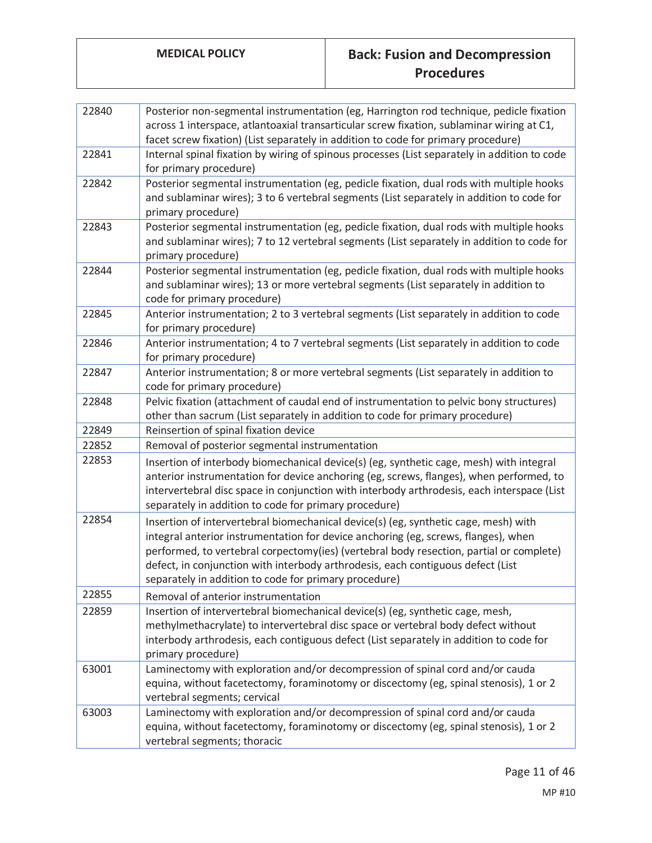| 22840 | Posterior non-segmental instrumentation (eg, Harrington rod technique, pedicle fixation<br>across 1 interspace, atlantoaxial transarticular screw fixation, sublaminar wiring at C1,<br>facet screw fixation) (List separately in addition to code for primary procedure)                                                                                                                                        |
|-------|------------------------------------------------------------------------------------------------------------------------------------------------------------------------------------------------------------------------------------------------------------------------------------------------------------------------------------------------------------------------------------------------------------------|
| 22841 | Internal spinal fixation by wiring of spinous processes (List separately in addition to code<br>for primary procedure)                                                                                                                                                                                                                                                                                           |
| 22842 | Posterior segmental instrumentation (eg, pedicle fixation, dual rods with multiple hooks<br>and sublaminar wires); 3 to 6 vertebral segments (List separately in addition to code for<br>primary procedure)                                                                                                                                                                                                      |
| 22843 | Posterior segmental instrumentation (eg, pedicle fixation, dual rods with multiple hooks<br>and sublaminar wires); 7 to 12 vertebral segments (List separately in addition to code for<br>primary procedure)                                                                                                                                                                                                     |
| 22844 | Posterior segmental instrumentation (eg, pedicle fixation, dual rods with multiple hooks<br>and sublaminar wires); 13 or more vertebral segments (List separately in addition to<br>code for primary procedure)                                                                                                                                                                                                  |
| 22845 | Anterior instrumentation; 2 to 3 vertebral segments (List separately in addition to code<br>for primary procedure)                                                                                                                                                                                                                                                                                               |
| 22846 | Anterior instrumentation; 4 to 7 vertebral segments (List separately in addition to code<br>for primary procedure)                                                                                                                                                                                                                                                                                               |
| 22847 | Anterior instrumentation; 8 or more vertebral segments (List separately in addition to<br>code for primary procedure)                                                                                                                                                                                                                                                                                            |
| 22848 | Pelvic fixation (attachment of caudal end of instrumentation to pelvic bony structures)<br>other than sacrum (List separately in addition to code for primary procedure)                                                                                                                                                                                                                                         |
| 22849 | Reinsertion of spinal fixation device                                                                                                                                                                                                                                                                                                                                                                            |
| 22852 | Removal of posterior segmental instrumentation                                                                                                                                                                                                                                                                                                                                                                   |
| 22853 | Insertion of interbody biomechanical device(s) (eg, synthetic cage, mesh) with integral<br>anterior instrumentation for device anchoring (eg, screws, flanges), when performed, to<br>intervertebral disc space in conjunction with interbody arthrodesis, each interspace (List<br>separately in addition to code for primary procedure)                                                                        |
| 22854 | Insertion of intervertebral biomechanical device(s) (eg, synthetic cage, mesh) with<br>integral anterior instrumentation for device anchoring (eg, screws, flanges), when<br>performed, to vertebral corpectomy(ies) (vertebral body resection, partial or complete)<br>defect, in conjunction with interbody arthrodesis, each contiguous defect (List<br>separately in addition to code for primary procedure) |
| 22855 | Removal of anterior instrumentation                                                                                                                                                                                                                                                                                                                                                                              |
| 22859 | Insertion of intervertebral biomechanical device(s) (eg, synthetic cage, mesh,<br>methylmethacrylate) to intervertebral disc space or vertebral body defect without<br>interbody arthrodesis, each contiguous defect (List separately in addition to code for<br>primary procedure)                                                                                                                              |
| 63001 | Laminectomy with exploration and/or decompression of spinal cord and/or cauda<br>equina, without facetectomy, foraminotomy or discectomy (eg, spinal stenosis), 1 or 2<br>vertebral segments; cervical                                                                                                                                                                                                           |
| 63003 | Laminectomy with exploration and/or decompression of spinal cord and/or cauda<br>equina, without facetectomy, foraminotomy or discectomy (eg, spinal stenosis), 1 or 2<br>vertebral segments; thoracic                                                                                                                                                                                                           |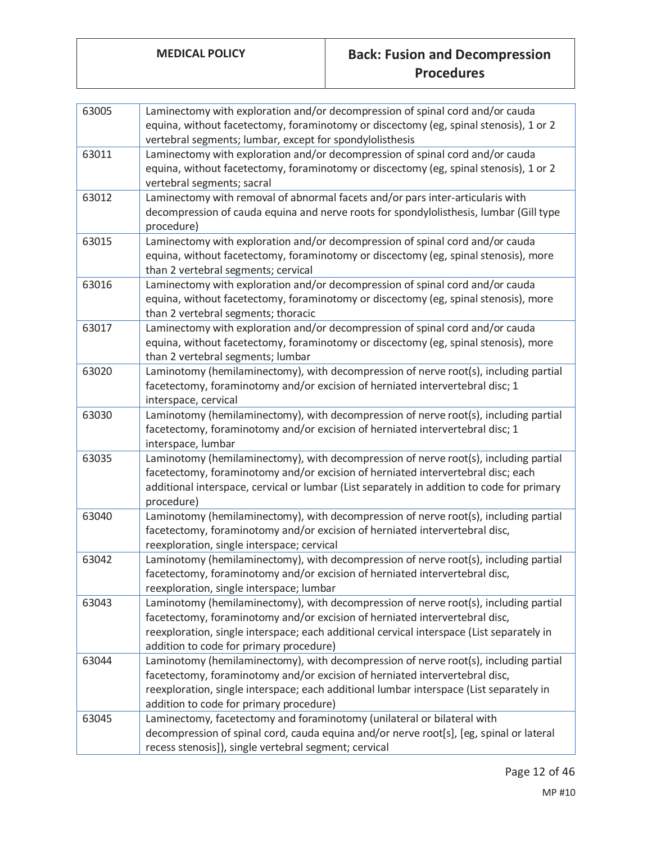| 63005 | Laminectomy with exploration and/or decompression of spinal cord and/or cauda<br>equina, without facetectomy, foraminotomy or discectomy (eg, spinal stenosis), 1 or 2<br>vertebral segments; lumbar, except for spondylolisthesis                                                                          |
|-------|-------------------------------------------------------------------------------------------------------------------------------------------------------------------------------------------------------------------------------------------------------------------------------------------------------------|
| 63011 | Laminectomy with exploration and/or decompression of spinal cord and/or cauda<br>equina, without facetectomy, foraminotomy or discectomy (eg, spinal stenosis), 1 or 2<br>vertebral segments; sacral                                                                                                        |
| 63012 | Laminectomy with removal of abnormal facets and/or pars inter-articularis with<br>decompression of cauda equina and nerve roots for spondylolisthesis, lumbar (Gill type<br>procedure)                                                                                                                      |
| 63015 | Laminectomy with exploration and/or decompression of spinal cord and/or cauda<br>equina, without facetectomy, foraminotomy or discectomy (eg, spinal stenosis), more<br>than 2 vertebral segments; cervical                                                                                                 |
| 63016 | Laminectomy with exploration and/or decompression of spinal cord and/or cauda<br>equina, without facetectomy, foraminotomy or discectomy (eg, spinal stenosis), more<br>than 2 vertebral segments; thoracic                                                                                                 |
| 63017 | Laminectomy with exploration and/or decompression of spinal cord and/or cauda<br>equina, without facetectomy, foraminotomy or discectomy (eg, spinal stenosis), more<br>than 2 vertebral segments; lumbar                                                                                                   |
| 63020 | Laminotomy (hemilaminectomy), with decompression of nerve root(s), including partial<br>facetectomy, foraminotomy and/or excision of herniated intervertebral disc; 1<br>interspace, cervical                                                                                                               |
| 63030 | Laminotomy (hemilaminectomy), with decompression of nerve root(s), including partial<br>facetectomy, foraminotomy and/or excision of herniated intervertebral disc; 1<br>interspace, lumbar                                                                                                                 |
| 63035 | Laminotomy (hemilaminectomy), with decompression of nerve root(s), including partial<br>facetectomy, foraminotomy and/or excision of herniated intervertebral disc; each<br>additional interspace, cervical or lumbar (List separately in addition to code for primary<br>procedure)                        |
| 63040 | Laminotomy (hemilaminectomy), with decompression of nerve root(s), including partial<br>facetectomy, foraminotomy and/or excision of herniated intervertebral disc,<br>reexploration, single interspace; cervical                                                                                           |
| 63042 | Laminotomy (hemilaminectomy), with decompression of nerve root(s), including partial<br>facetectomy, foraminotomy and/or excision of herniated intervertebral disc,<br>reexploration, single interspace; lumbar                                                                                             |
| 63043 | Laminotomy (hemilaminectomy), with decompression of nerve root(s), including partial<br>facetectomy, foraminotomy and/or excision of herniated intervertebral disc,<br>reexploration, single interspace; each additional cervical interspace (List separately in<br>addition to code for primary procedure) |
| 63044 | Laminotomy (hemilaminectomy), with decompression of nerve root(s), including partial<br>facetectomy, foraminotomy and/or excision of herniated intervertebral disc,<br>reexploration, single interspace; each additional lumbar interspace (List separately in<br>addition to code for primary procedure)   |
| 63045 | Laminectomy, facetectomy and foraminotomy (unilateral or bilateral with<br>decompression of spinal cord, cauda equina and/or nerve root[s], [eg, spinal or lateral<br>recess stenosis]), single vertebral segment; cervical                                                                                 |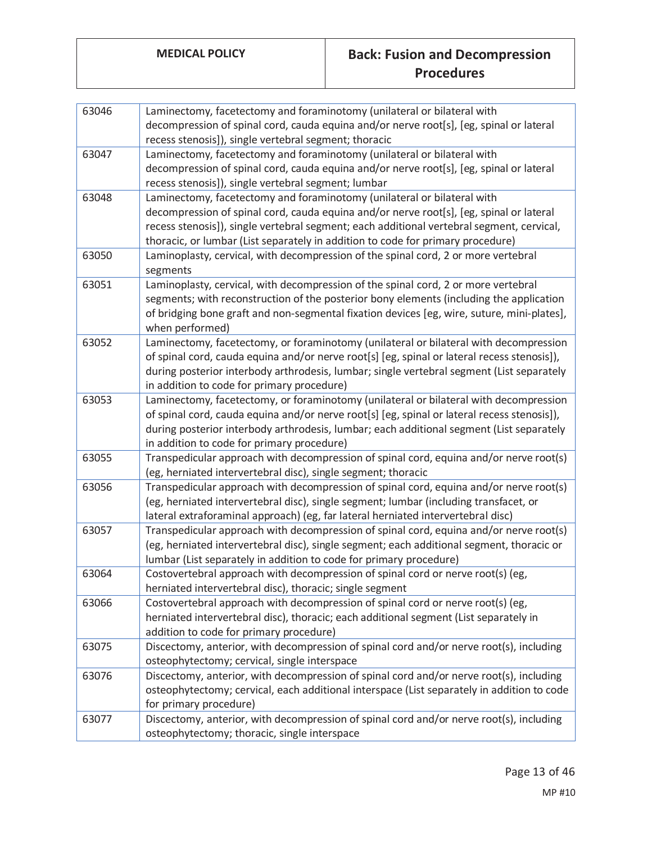| 63046 | Laminectomy, facetectomy and foraminotomy (unilateral or bilateral with<br>decompression of spinal cord, cauda equina and/or nerve root[s], [eg, spinal or lateral |
|-------|--------------------------------------------------------------------------------------------------------------------------------------------------------------------|
|       | recess stenosis]), single vertebral segment; thoracic                                                                                                              |
| 63047 | Laminectomy, facetectomy and foraminotomy (unilateral or bilateral with                                                                                            |
|       | decompression of spinal cord, cauda equina and/or nerve root[s], [eg, spinal or lateral                                                                            |
|       | recess stenosis]), single vertebral segment; lumbar                                                                                                                |
| 63048 | Laminectomy, facetectomy and foraminotomy (unilateral or bilateral with                                                                                            |
|       | decompression of spinal cord, cauda equina and/or nerve root[s], [eg, spinal or lateral                                                                            |
|       | recess stenosis]), single vertebral segment; each additional vertebral segment, cervical,                                                                          |
|       | thoracic, or lumbar (List separately in addition to code for primary procedure)                                                                                    |
| 63050 | Laminoplasty, cervical, with decompression of the spinal cord, 2 or more vertebral                                                                                 |
|       | segments                                                                                                                                                           |
| 63051 | Laminoplasty, cervical, with decompression of the spinal cord, 2 or more vertebral                                                                                 |
|       | segments; with reconstruction of the posterior bony elements (including the application                                                                            |
|       | of bridging bone graft and non-segmental fixation devices [eg, wire, suture, mini-plates],                                                                         |
|       | when performed)                                                                                                                                                    |
| 63052 | Laminectomy, facetectomy, or foraminotomy (unilateral or bilateral with decompression                                                                              |
|       | of spinal cord, cauda equina and/or nerve root[s] [eg, spinal or lateral recess stenosis]),                                                                        |
|       | during posterior interbody arthrodesis, lumbar; single vertebral segment (List separately                                                                          |
|       | in addition to code for primary procedure)                                                                                                                         |
| 63053 | Laminectomy, facetectomy, or foraminotomy (unilateral or bilateral with decompression                                                                              |
|       | of spinal cord, cauda equina and/or nerve root[s] [eg, spinal or lateral recess stenosis]),                                                                        |
|       | during posterior interbody arthrodesis, lumbar; each additional segment (List separately                                                                           |
|       | in addition to code for primary procedure)                                                                                                                         |
| 63055 | Transpedicular approach with decompression of spinal cord, equina and/or nerve root(s)                                                                             |
|       | (eg, herniated intervertebral disc), single segment; thoracic                                                                                                      |
| 63056 | Transpedicular approach with decompression of spinal cord, equina and/or nerve root(s)                                                                             |
|       | (eg, herniated intervertebral disc), single segment; lumbar (including transfacet, or                                                                              |
|       | lateral extraforaminal approach) (eg, far lateral herniated intervertebral disc)                                                                                   |
| 63057 | Transpedicular approach with decompression of spinal cord, equina and/or nerve root(s)                                                                             |
|       | (eg, herniated intervertebral disc), single segment; each additional segment, thoracic or                                                                          |
|       | lumbar (List separately in addition to code for primary procedure)                                                                                                 |
| 63064 | Costovertebral approach with decompression of spinal cord or nerve root(s) (eg,                                                                                    |
|       | herniated intervertebral disc), thoracic; single segment                                                                                                           |
| 63066 | Costovertebral approach with decompression of spinal cord or nerve root(s) (eg,                                                                                    |
|       | herniated intervertebral disc), thoracic; each additional segment (List separately in                                                                              |
|       | addition to code for primary procedure)                                                                                                                            |
| 63075 | Discectomy, anterior, with decompression of spinal cord and/or nerve root(s), including                                                                            |
|       | osteophytectomy; cervical, single interspace                                                                                                                       |
| 63076 | Discectomy, anterior, with decompression of spinal cord and/or nerve root(s), including                                                                            |
|       | osteophytectomy; cervical, each additional interspace (List separately in addition to code                                                                         |
|       | for primary procedure)                                                                                                                                             |
| 63077 | Discectomy, anterior, with decompression of spinal cord and/or nerve root(s), including                                                                            |
|       | osteophytectomy; thoracic, single interspace                                                                                                                       |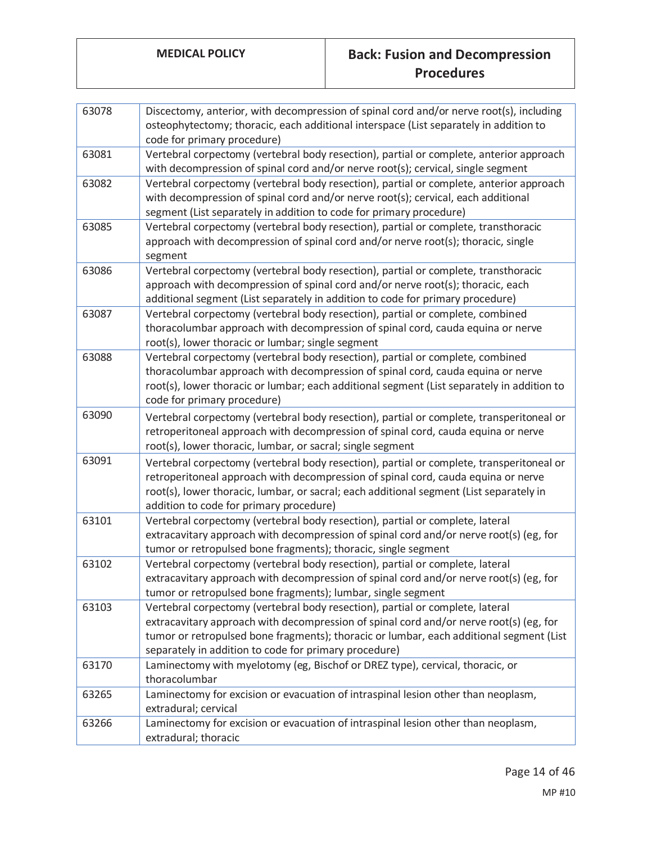| 63078          | Discectomy, anterior, with decompression of spinal cord and/or nerve root(s), including<br>osteophytectomy; thoracic, each additional interspace (List separately in addition to<br>code for primary procedure)                                                                                                             |
|----------------|-----------------------------------------------------------------------------------------------------------------------------------------------------------------------------------------------------------------------------------------------------------------------------------------------------------------------------|
| 63081          | Vertebral corpectomy (vertebral body resection), partial or complete, anterior approach<br>with decompression of spinal cord and/or nerve root(s); cervical, single segment                                                                                                                                                 |
| 63082          | Vertebral corpectomy (vertebral body resection), partial or complete, anterior approach<br>with decompression of spinal cord and/or nerve root(s); cervical, each additional<br>segment (List separately in addition to code for primary procedure)                                                                         |
| 63085          | Vertebral corpectomy (vertebral body resection), partial or complete, transthoracic<br>approach with decompression of spinal cord and/or nerve root(s); thoracic, single<br>segment                                                                                                                                         |
| 63086          | Vertebral corpectomy (vertebral body resection), partial or complete, transthoracic<br>approach with decompression of spinal cord and/or nerve root(s); thoracic, each<br>additional segment (List separately in addition to code for primary procedure)                                                                    |
| 63087          | Vertebral corpectomy (vertebral body resection), partial or complete, combined<br>thoracolumbar approach with decompression of spinal cord, cauda equina or nerve<br>root(s), lower thoracic or lumbar; single segment                                                                                                      |
| 63088          | Vertebral corpectomy (vertebral body resection), partial or complete, combined<br>thoracolumbar approach with decompression of spinal cord, cauda equina or nerve<br>root(s), lower thoracic or lumbar; each additional segment (List separately in addition to<br>code for primary procedure)                              |
| 63090          | Vertebral corpectomy (vertebral body resection), partial or complete, transperitoneal or<br>retroperitoneal approach with decompression of spinal cord, cauda equina or nerve<br>root(s), lower thoracic, lumbar, or sacral; single segment                                                                                 |
| 63091          | Vertebral corpectomy (vertebral body resection), partial or complete, transperitoneal or<br>retroperitoneal approach with decompression of spinal cord, cauda equina or nerve<br>root(s), lower thoracic, lumbar, or sacral; each additional segment (List separately in<br>addition to code for primary procedure)         |
| 63101          | Vertebral corpectomy (vertebral body resection), partial or complete, lateral<br>extracavitary approach with decompression of spinal cord and/or nerve root(s) (eg, for<br>tumor or retropulsed bone fragments); thoracic, single segment                                                                                   |
| 63102          | Vertebral corpectomy (vertebral body resection), partial or complete, lateral<br>extracavitary approach with decompression of spinal cord and/or nerve root(s) (eg, for<br>tumor or retropulsed bone fragments); lumbar, single segment                                                                                     |
| 63103          | Vertebral corpectomy (vertebral body resection), partial or complete, lateral<br>extracavitary approach with decompression of spinal cord and/or nerve root(s) (eg, for<br>tumor or retropulsed bone fragments); thoracic or lumbar, each additional segment (List<br>separately in addition to code for primary procedure) |
| 63170          | Laminectomy with myelotomy (eg, Bischof or DREZ type), cervical, thoracic, or<br>thoracolumbar                                                                                                                                                                                                                              |
| 63265<br>63266 | Laminectomy for excision or evacuation of intraspinal lesion other than neoplasm,<br>extradural; cervical<br>Laminectomy for excision or evacuation of intraspinal lesion other than neoplasm,<br>extradural; thoracic                                                                                                      |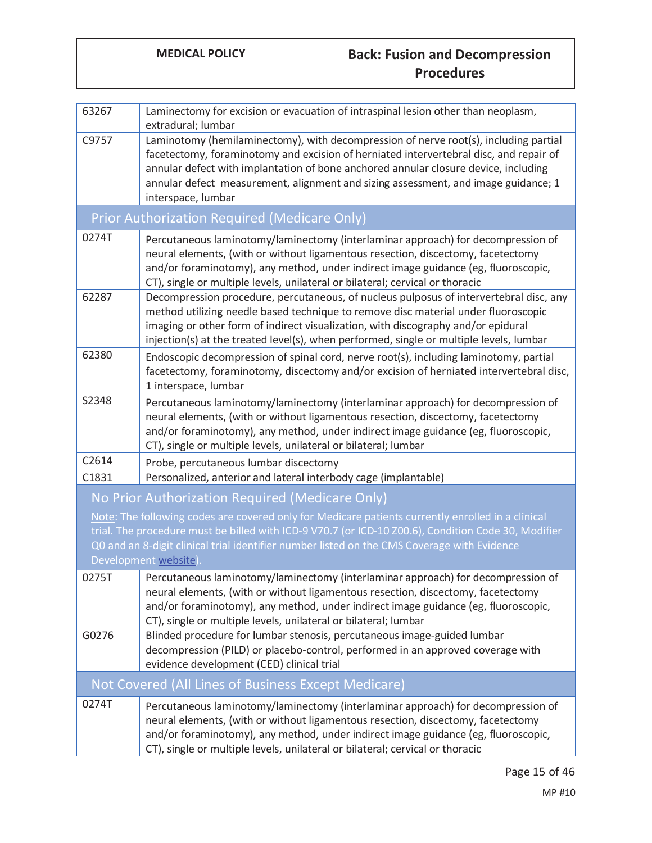| 63267                                                                                                                                                                                                                                                                                                                           | Laminectomy for excision or evacuation of intraspinal lesion other than neoplasm,<br>extradural; lumbar                                                                                                                                                                                                                                                                           |  |  |
|---------------------------------------------------------------------------------------------------------------------------------------------------------------------------------------------------------------------------------------------------------------------------------------------------------------------------------|-----------------------------------------------------------------------------------------------------------------------------------------------------------------------------------------------------------------------------------------------------------------------------------------------------------------------------------------------------------------------------------|--|--|
| C9757                                                                                                                                                                                                                                                                                                                           | Laminotomy (hemilaminectomy), with decompression of nerve root(s), including partial<br>facetectomy, foraminotomy and excision of herniated intervertebral disc, and repair of<br>annular defect with implantation of bone anchored annular closure device, including<br>annular defect measurement, alignment and sizing assessment, and image guidance; 1<br>interspace, lumbar |  |  |
| Prior Authorization Required (Medicare Only)                                                                                                                                                                                                                                                                                    |                                                                                                                                                                                                                                                                                                                                                                                   |  |  |
| 0274T                                                                                                                                                                                                                                                                                                                           | Percutaneous laminotomy/laminectomy (interlaminar approach) for decompression of<br>neural elements, (with or without ligamentous resection, discectomy, facetectomy<br>and/or foraminotomy), any method, under indirect image guidance (eg, fluoroscopic,<br>CT), single or multiple levels, unilateral or bilateral; cervical or thoracic                                       |  |  |
| 62287                                                                                                                                                                                                                                                                                                                           | Decompression procedure, percutaneous, of nucleus pulposus of intervertebral disc, any<br>method utilizing needle based technique to remove disc material under fluoroscopic<br>imaging or other form of indirect visualization, with discography and/or epidural<br>injection(s) at the treated level(s), when performed, single or multiple levels, lumbar                      |  |  |
| 62380                                                                                                                                                                                                                                                                                                                           | Endoscopic decompression of spinal cord, nerve root(s), including laminotomy, partial<br>facetectomy, foraminotomy, discectomy and/or excision of herniated intervertebral disc,<br>1 interspace, lumbar                                                                                                                                                                          |  |  |
| S2348                                                                                                                                                                                                                                                                                                                           | Percutaneous laminotomy/laminectomy (interlaminar approach) for decompression of<br>neural elements, (with or without ligamentous resection, discectomy, facetectomy<br>and/or foraminotomy), any method, under indirect image guidance (eg, fluoroscopic,<br>CT), single or multiple levels, unilateral or bilateral; lumbar                                                     |  |  |
| C2614                                                                                                                                                                                                                                                                                                                           | Probe, percutaneous lumbar discectomy                                                                                                                                                                                                                                                                                                                                             |  |  |
| C1831                                                                                                                                                                                                                                                                                                                           | Personalized, anterior and lateral interbody cage (implantable)                                                                                                                                                                                                                                                                                                                   |  |  |
|                                                                                                                                                                                                                                                                                                                                 | No Prior Authorization Required (Medicare Only)                                                                                                                                                                                                                                                                                                                                   |  |  |
| Note: The following codes are covered only for Medicare patients currently enrolled in a clinical<br>trial. The procedure must be billed with ICD-9 V70.7 (or ICD-10 Z00.6), Condition Code 30, Modifier<br>Q0 and an 8-digit clinical trial identifier number listed on the CMS Coverage with Evidence<br>Development website) |                                                                                                                                                                                                                                                                                                                                                                                   |  |  |
| 0275T                                                                                                                                                                                                                                                                                                                           | Percutaneous laminotomy/laminectomy (interlaminar approach) for decompression of<br>neural elements, (with or without ligamentous resection, discectomy, facetectomy<br>and/or foraminotomy), any method, under indirect image guidance (eg, fluoroscopic,<br>CT), single or multiple levels, unilateral or bilateral; lumbar                                                     |  |  |
| G0276                                                                                                                                                                                                                                                                                                                           | Blinded procedure for lumbar stenosis, percutaneous image-guided lumbar<br>decompression (PILD) or placebo-control, performed in an approved coverage with<br>evidence development (CED) clinical trial                                                                                                                                                                           |  |  |
| Not Covered (All Lines of Business Except Medicare)                                                                                                                                                                                                                                                                             |                                                                                                                                                                                                                                                                                                                                                                                   |  |  |
| 0274T                                                                                                                                                                                                                                                                                                                           | Percutaneous laminotomy/laminectomy (interlaminar approach) for decompression of<br>neural elements, (with or without ligamentous resection, discectomy, facetectomy<br>and/or foraminotomy), any method, under indirect image guidance (eg, fluoroscopic,<br>CT), single or multiple levels, unilateral or bilateral; cervical or thoracic                                       |  |  |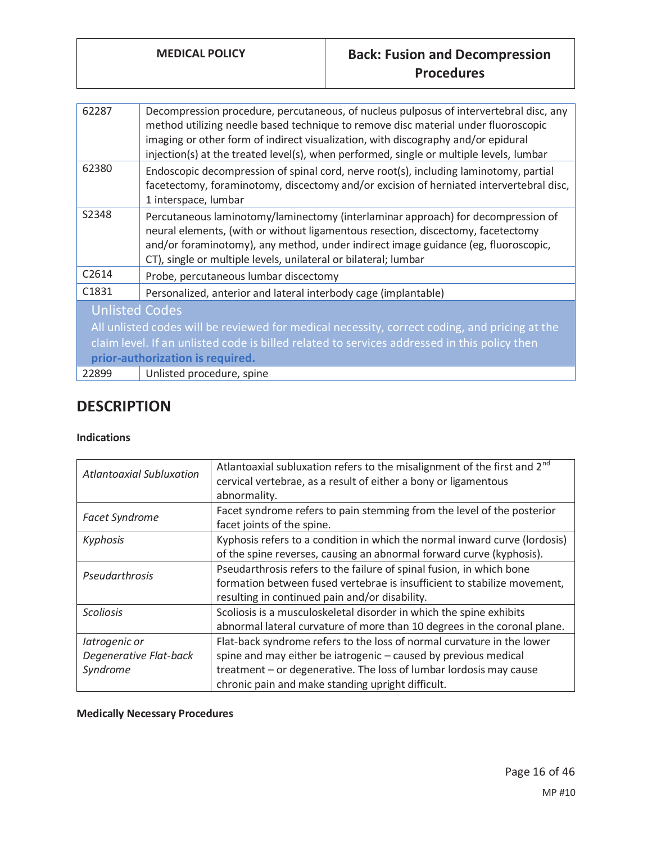| 62287                                                                                         | Decompression procedure, percutaneous, of nucleus pulposus of intervertebral disc, any<br>method utilizing needle based technique to remove disc material under fluoroscopic<br>imaging or other form of indirect visualization, with discography and/or epidural<br>injection(s) at the treated level(s), when performed, single or multiple levels, lumbar |  |
|-----------------------------------------------------------------------------------------------|--------------------------------------------------------------------------------------------------------------------------------------------------------------------------------------------------------------------------------------------------------------------------------------------------------------------------------------------------------------|--|
| 62380                                                                                         | Endoscopic decompression of spinal cord, nerve root(s), including laminotomy, partial<br>facetectomy, foraminotomy, discectomy and/or excision of herniated intervertebral disc,<br>1 interspace, lumbar                                                                                                                                                     |  |
| S2348                                                                                         | Percutaneous laminotomy/laminectomy (interlaminar approach) for decompression of<br>neural elements, (with or without ligamentous resection, discectomy, facetectomy<br>and/or foraminotomy), any method, under indirect image guidance (eg, fluoroscopic,<br>CT), single or multiple levels, unilateral or bilateral; lumbar                                |  |
| C2614                                                                                         | Probe, percutaneous lumbar discectomy                                                                                                                                                                                                                                                                                                                        |  |
| C <sub>1831</sub>                                                                             | Personalized, anterior and lateral interbody cage (implantable)                                                                                                                                                                                                                                                                                              |  |
| <b>Unlisted Codes</b>                                                                         |                                                                                                                                                                                                                                                                                                                                                              |  |
| All unlisted codes will be reviewed for medical necessity, correct coding, and pricing at the |                                                                                                                                                                                                                                                                                                                                                              |  |
| claim level. If an unlisted code is billed related to services addressed in this policy then  |                                                                                                                                                                                                                                                                                                                                                              |  |
| prior-authorization is required.                                                              |                                                                                                                                                                                                                                                                                                                                                              |  |
| 22899                                                                                         | Unlisted procedure, spine                                                                                                                                                                                                                                                                                                                                    |  |

# **DESCRIPTION**

#### **Indications**

| <b>Atlantoaxial Subluxation</b> | Atlantoaxial subluxation refers to the misalignment of the first and 2 <sup>nd</sup> |
|---------------------------------|--------------------------------------------------------------------------------------|
|                                 | cervical vertebrae, as a result of either a bony or ligamentous                      |
|                                 | abnormality.                                                                         |
|                                 | Facet syndrome refers to pain stemming from the level of the posterior               |
| <b>Facet Syndrome</b>           | facet joints of the spine.                                                           |
| Kyphosis                        | Kyphosis refers to a condition in which the normal inward curve (lordosis)           |
|                                 | of the spine reverses, causing an abnormal forward curve (kyphosis).                 |
| Pseudarthrosis                  | Pseudarthrosis refers to the failure of spinal fusion, in which bone                 |
|                                 | formation between fused vertebrae is insufficient to stabilize movement,             |
|                                 | resulting in continued pain and/or disability.                                       |
| <b>Scoliosis</b>                | Scoliosis is a musculoskeletal disorder in which the spine exhibits                  |
|                                 | abnormal lateral curvature of more than 10 degrees in the coronal plane.             |
| latrogenic or                   | Flat-back syndrome refers to the loss of normal curvature in the lower               |
| Degenerative Flat-back          | spine and may either be iatrogenic - caused by previous medical                      |
| Syndrome                        | treatment – or degenerative. The loss of lumbar lordosis may cause                   |
|                                 | chronic pain and make standing upright difficult.                                    |

## **Medically Necessary Procedures**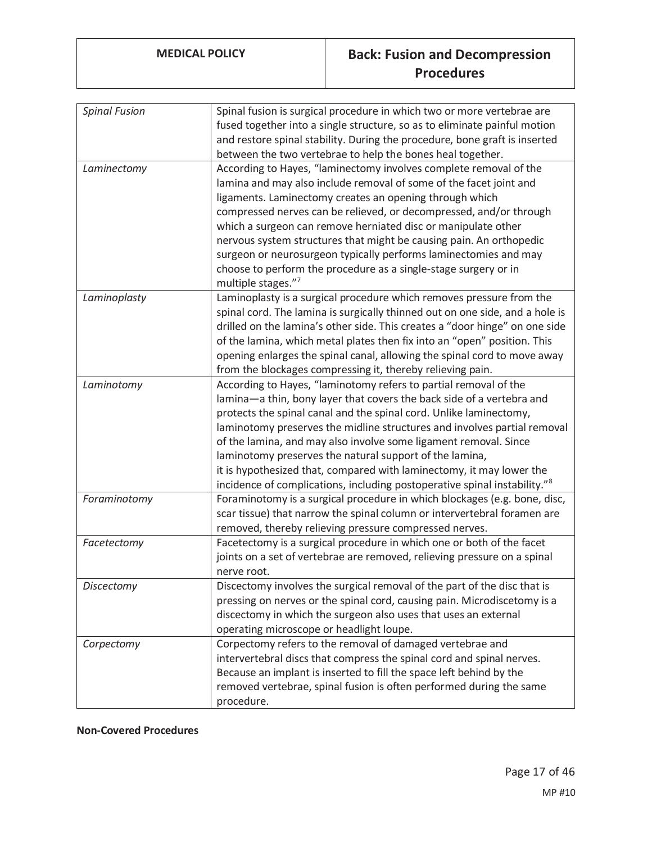| <b>Spinal Fusion</b> | Spinal fusion is surgical procedure in which two or more vertebrae are                |
|----------------------|---------------------------------------------------------------------------------------|
|                      | fused together into a single structure, so as to eliminate painful motion             |
|                      | and restore spinal stability. During the procedure, bone graft is inserted            |
|                      | between the two vertebrae to help the bones heal together.                            |
| Laminectomy          | According to Hayes, "laminectomy involves complete removal of the                     |
|                      | lamina and may also include removal of some of the facet joint and                    |
|                      | ligaments. Laminectomy creates an opening through which                               |
|                      | compressed nerves can be relieved, or decompressed, and/or through                    |
|                      | which a surgeon can remove herniated disc or manipulate other                         |
|                      | nervous system structures that might be causing pain. An orthopedic                   |
|                      | surgeon or neurosurgeon typically performs laminectomies and may                      |
|                      | choose to perform the procedure as a single-stage surgery or in                       |
|                      | multiple stages."7                                                                    |
| Laminoplasty         | Laminoplasty is a surgical procedure which removes pressure from the                  |
|                      | spinal cord. The lamina is surgically thinned out on one side, and a hole is          |
|                      | drilled on the lamina's other side. This creates a "door hinge" on one side           |
|                      | of the lamina, which metal plates then fix into an "open" position. This              |
|                      | opening enlarges the spinal canal, allowing the spinal cord to move away              |
|                      | from the blockages compressing it, thereby relieving pain.                            |
| Laminotomy           | According to Hayes, "laminotomy refers to partial removal of the                      |
|                      | lamina-a thin, bony layer that covers the back side of a vertebra and                 |
|                      | protects the spinal canal and the spinal cord. Unlike laminectomy,                    |
|                      | laminotomy preserves the midline structures and involves partial removal              |
|                      | of the lamina, and may also involve some ligament removal. Since                      |
|                      | laminotomy preserves the natural support of the lamina,                               |
|                      |                                                                                       |
|                      | it is hypothesized that, compared with laminectomy, it may lower the                  |
|                      | incidence of complications, including postoperative spinal instability." <sup>8</sup> |
| Foraminotomy         | Foraminotomy is a surgical procedure in which blockages (e.g. bone, disc,             |
|                      | scar tissue) that narrow the spinal column or intervertebral foramen are              |
|                      | removed, thereby relieving pressure compressed nerves.                                |
| Facetectomy          | Facetectomy is a surgical procedure in which one or both of the facet                 |
|                      | joints on a set of vertebrae are removed, relieving pressure on a spinal              |
|                      | nerve root.                                                                           |
| Discectomy           | Discectomy involves the surgical removal of the part of the disc that is              |
|                      | pressing on nerves or the spinal cord, causing pain. Microdiscetomy is a              |
|                      | discectomy in which the surgeon also uses that uses an external                       |
|                      | operating microscope or headlight loupe.                                              |
| Corpectomy           | Corpectomy refers to the removal of damaged vertebrae and                             |
|                      | intervertebral discs that compress the spinal cord and spinal nerves.                 |
|                      | Because an implant is inserted to fill the space left behind by the                   |
|                      | removed vertebrae, spinal fusion is often performed during the same                   |
|                      | procedure.                                                                            |

### **Non-Covered Procedures**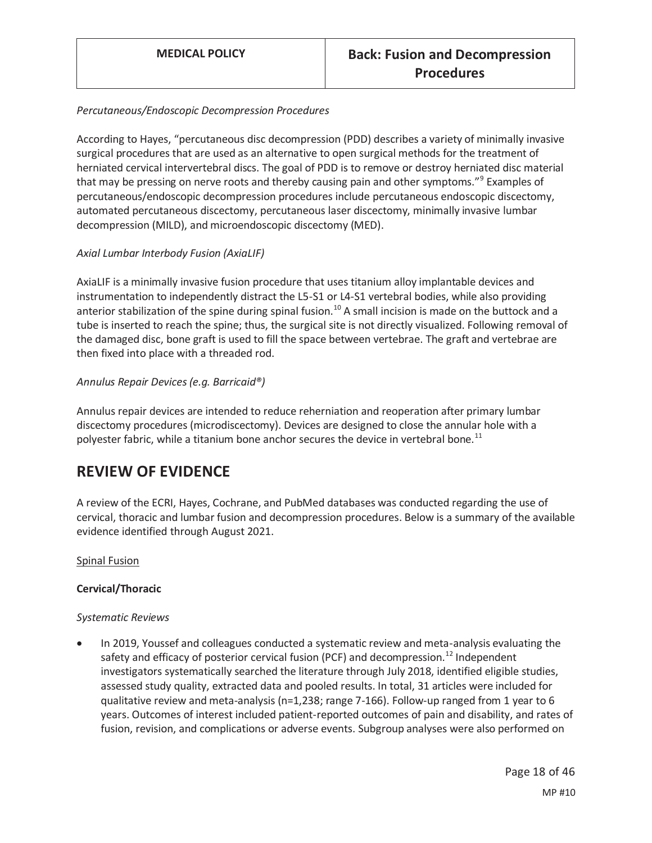#### *Percutaneous/Endoscopic Decompression Procedures*

According to Hayes, "percutaneous disc decompression (PDD) describes a variety of minimally invasive surgical procedures that are used as an alternative to open surgical methods for the treatment of herniated cervical intervertebral discs. The goal of PDD is to remove or destroy herniated disc material that may be pressing on nerve roots and thereby causing pain and other symptoms."<sup>9</sup> Examples of percutaneous/endoscopic decompression procedures include percutaneous endoscopic discectomy, automated percutaneous discectomy, percutaneous laser discectomy, minimally invasive lumbar decompression (MILD), and microendoscopic discectomy (MED).

### *Axial Lumbar Interbody Fusion (AxiaLIF)*

AxiaLIF is a minimally invasive fusion procedure that uses titanium alloy implantable devices and instrumentation to independently distract the L5-S1 or L4-S1 vertebral bodies, while also providing anterior stabilization of the spine during spinal fusion.<sup>10</sup> A small incision is made on the buttock and a tube is inserted to reach the spine; thus, the surgical site is not directly visualized. Following removal of the damaged disc, bone graft is used to fill the space between vertebrae. The graft and vertebrae are then fixed into place with a threaded rod.

### *Annulus Repair Devices (e.g. Barricaid®)*

Annulus repair devices are intended to reduce reherniation and reoperation after primary lumbar discectomy procedures (microdiscectomy). Devices are designed to close the annular hole with a polyester fabric, while a titanium bone anchor secures the device in vertebral bone.<sup>11</sup>

## **REVIEW OF EVIDENCE**

A review of the ECRI, Hayes, Cochrane, and PubMed databases was conducted regarding the use of cervical, thoracic and lumbar fusion and decompression procedures. Below is a summary of the available evidence identified through August 2021.

#### Spinal Fusion

#### **Cervical/Thoracic**

#### *Systematic Reviews*

In 2019, Youssef and colleagues conducted a systematic review and meta-analysis evaluating the safety and efficacy of posterior cervical fusion (PCF) and decompression.<sup>12</sup> Independent investigators systematically searched the literature through July 2018, identified eligible studies, assessed study quality, extracted data and pooled results. In total, 31 articles were included for qualitative review and meta-analysis (n=1,238; range 7-166). Follow-up ranged from 1 year to 6 years. Outcomes of interest included patient-reported outcomes of pain and disability, and rates of fusion, revision, and complications or adverse events. Subgroup analyses were also performed on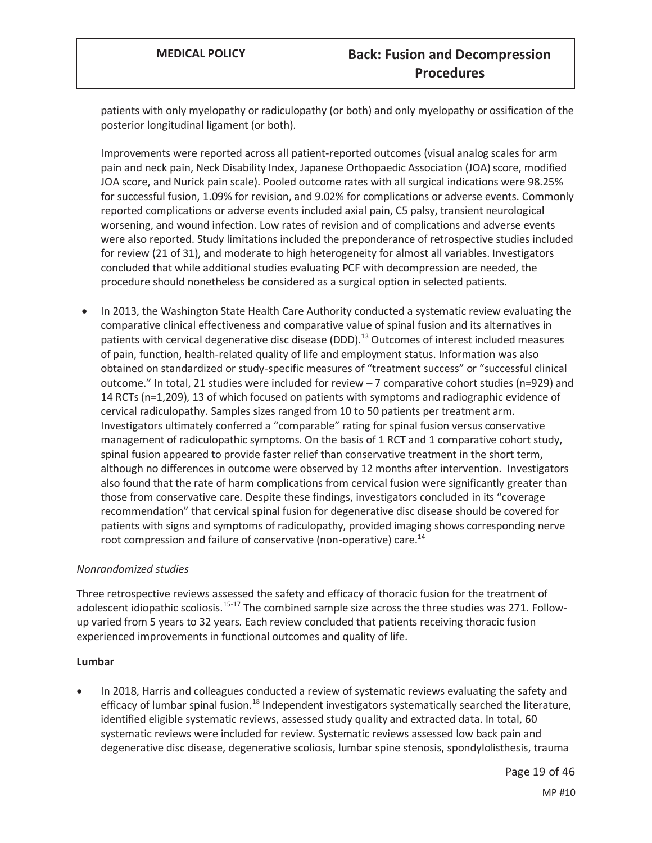patients with only myelopathy or radiculopathy (or both) and only myelopathy or ossification of the posterior longitudinal ligament (or both).

Improvements were reported across all patient-reported outcomes (visual analog scales for arm pain and neck pain, Neck Disability Index, Japanese Orthopaedic Association (JOA) score, modified JOA score, and Nurick pain scale). Pooled outcome rates with all surgical indications were 98.25% for successful fusion, 1.09% for revision, and 9.02% for complications or adverse events. Commonly reported complications or adverse events included axial pain, C5 palsy, transient neurological worsening, and wound infection. Low rates of revision and of complications and adverse events were also reported. Study limitations included the preponderance of retrospective studies included for review (21 of 31), and moderate to high heterogeneity for almost all variables. Investigators concluded that while additional studies evaluating PCF with decompression are needed, the procedure should nonetheless be considered as a surgical option in selected patients.

In 2013, the Washington State Health Care Authority conducted a systematic review evaluating the comparative clinical effectiveness and comparative value of spinal fusion and its alternatives in patients with cervical degenerative disc disease (DDD).<sup>13</sup> Outcomes of interest included measures of pain, function, health-related quality of life and employment status. Information was also obtained on standardized or study-specific measures of "treatment success" or "successful clinical outcome." In total, 21 studies were included for review – 7 comparative cohort studies (n=929) and 14 RCTs (n=1,209), 13 of which focused on patients with symptoms and radiographic evidence of cervical radiculopathy. Samples sizes ranged from 10 to 50 patients per treatment arm. Investigators ultimately conferred a "comparable" rating for spinal fusion versus conservative management of radiculopathic symptoms. On the basis of 1 RCT and 1 comparative cohort study, spinal fusion appeared to provide faster relief than conservative treatment in the short term, although no differences in outcome were observed by 12 months after intervention. Investigators also found that the rate of harm complications from cervical fusion were significantly greater than those from conservative care. Despite these findings, investigators concluded in its "coverage recommendation" that cervical spinal fusion for degenerative disc disease should be covered for patients with signs and symptoms of radiculopathy, provided imaging shows corresponding nerve root compression and failure of conservative (non-operative) care.<sup>14</sup>

#### *Nonrandomized studies*

Three retrospective reviews assessed the safety and efficacy of thoracic fusion for the treatment of adolescent idiopathic scoliosis.<sup>15-17</sup> The combined sample size across the three studies was 271. Followup varied from 5 years to 32 years. Each review concluded that patients receiving thoracic fusion experienced improvements in functional outcomes and quality of life.

#### **Lumbar**

In 2018, Harris and colleagues conducted a review of systematic reviews evaluating the safety and efficacy of lumbar spinal fusion.<sup>18</sup> Independent investigators systematically searched the literature, identified eligible systematic reviews, assessed study quality and extracted data. In total, 60 systematic reviews were included for review. Systematic reviews assessed low back pain and degenerative disc disease, degenerative scoliosis, lumbar spine stenosis, spondylolisthesis, trauma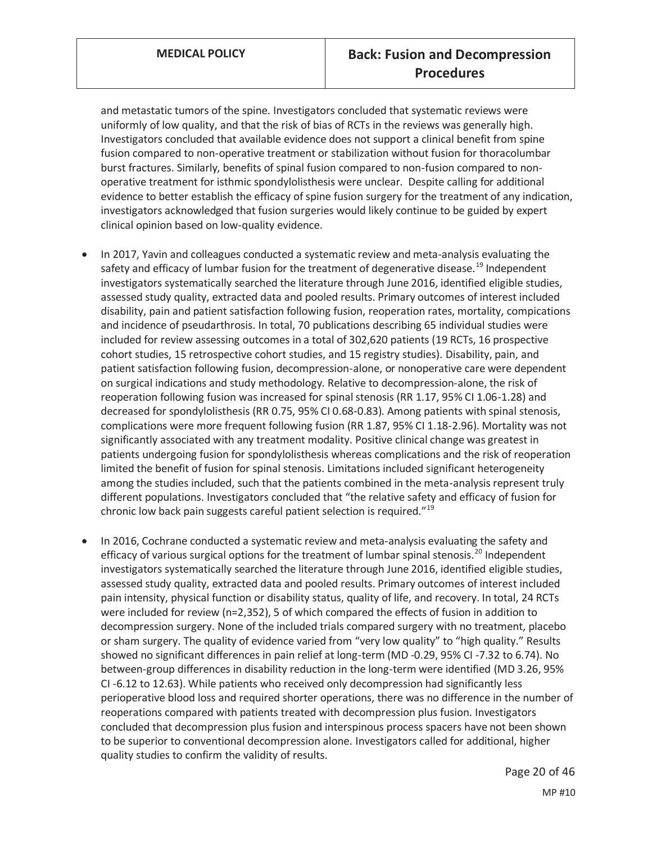and metastatic tumors of the spine. Investigators concluded that systematic reviews were uniformly of low quality, and that the risk of bias of RCTs in the reviews was generally high. Investigators concluded that available evidence does not support a clinical benefit from spine fusion compared to non-operative treatment or stabilization without fusion for thoracolumbar burst fractures. Similarly, benefits of spinal fusion compared to non-fusion compared to nonoperative treatment for isthmic spondylolisthesis were unclear. Despite calling for additional evidence to better establish the efficacy of spine fusion surgery for the treatment of any indication, investigators acknowledged that fusion surgeries would likely continue to be guided by expert clinical opinion based on low-quality evidence.

- In 2017, Yavin and colleagues conducted a systematic review and meta-analysis evaluating the safety and efficacy of lumbar fusion for the treatment of degenerative disease.<sup>19</sup> Independent investigators systematically searched the literature through June 2016, identified eligible studies, assessed study quality, extracted data and pooled results. Primary outcomes of interest included disability, pain and patient satisfaction following fusion, reoperation rates, mortality, compications and incidence of pseudarthrosis. In total, 70 publications describing 65 individual studies were included for review assessing outcomes in a total of 302,620 patients (19 RCTs, 16 prospective cohort studies, 15 retrospective cohort studies, and 15 registry studies). Disability, pain, and patient satisfaction following fusion, decompression-alone, or nonoperative care were dependent on surgical indications and study methodology. Relative to decompression-alone, the risk of reoperation following fusion was increased for spinal stenosis (RR 1.17, 95% CI 1.06-1.28) and decreased for spondylolisthesis (RR 0.75, 95% CI 0.68-0.83). Among patients with spinal stenosis, complications were more frequent following fusion (RR 1.87, 95% CI 1.18-2.96). Mortality was not significantly associated with any treatment modality. Positive clinical change was greatest in patients undergoing fusion for spondylolisthesis whereas complications and the risk of reoperation limited the benefit of fusion for spinal stenosis. Limitations included significant heterogeneity among the studies included, such that the patients combined in the meta-analysis represent truly different populations. Investigators concluded that "the relative safety and efficacy of fusion for chronic low back pain suggests careful patient selection is required."<sup>19</sup>
- In 2016, Cochrane conducted a systematic review and meta-analysis evaluating the safety and efficacy of various surgical options for the treatment of lumbar spinal stenosis.<sup>20</sup> Independent investigators systematically searched the literature through June 2016, identified eligible studies, assessed study quality, extracted data and pooled results. Primary outcomes of interest included pain intensity, physical function or disability status, quality of life, and recovery. In total, 24 RCTs were included for review (n=2,352), 5 of which compared the effects of fusion in addition to decompression surgery. None of the included trials compared surgery with no treatment, placebo or sham surgery. The quality of evidence varied from "very low quality" to "high quality." Results showed no significant differences in pain relief at long-term (MD -0.29, 95% CI -7.32 to 6.74). No between-group differences in disability reduction in the long-term were identified (MD 3.26, 95% CI -6.12 to 12.63). While patients who received only decompression had significantly less perioperative blood loss and required shorter operations, there was no difference in the number of reoperations compared with patients treated with decompression plus fusion. Investigators concluded that decompression plus fusion and interspinous process spacers have not been shown to be superior to conventional decompression alone. Investigators called for additional, higher quality studies to confirm the validity of results.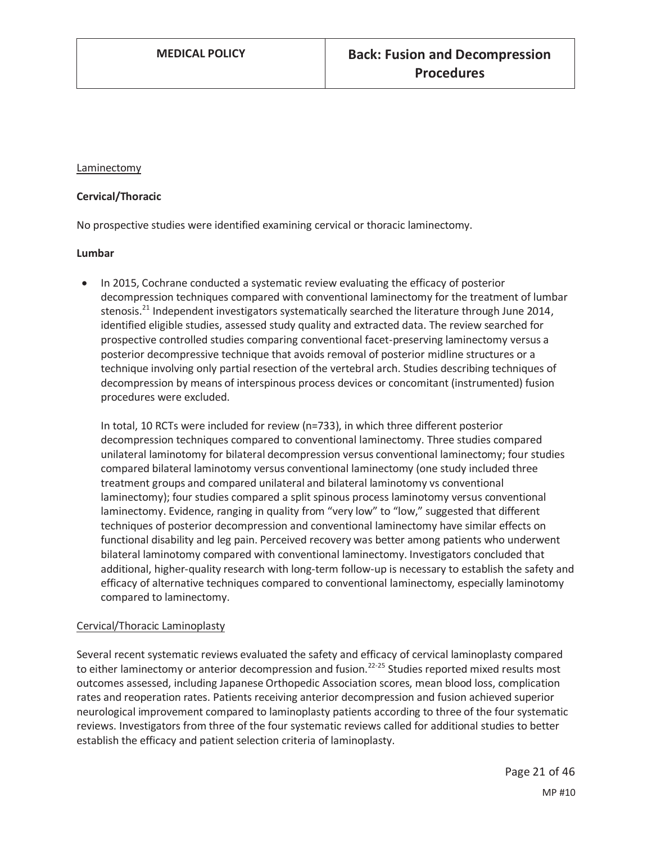#### Laminectomy

#### **Cervical/Thoracic**

No prospective studies were identified examining cervical or thoracic laminectomy.

#### **Lumbar**

• In 2015, Cochrane conducted a systematic review evaluating the efficacy of posterior decompression techniques compared with conventional laminectomy for the treatment of lumbar stenosis.21 Independent investigators systematically searched the literature through June 2014, identified eligible studies, assessed study quality and extracted data. The review searched for prospective controlled studies comparing conventional facet-preserving laminectomy versus a posterior decompressive technique that avoids removal of posterior midline structures or a technique involving only partial resection of the vertebral arch. Studies describing techniques of decompression by means of interspinous process devices or concomitant (instrumented) fusion procedures were excluded.

In total, 10 RCTs were included for review (n=733), in which three different posterior decompression techniques compared to conventional laminectomy. Three studies compared unilateral laminotomy for bilateral decompression versus conventional laminectomy; four studies compared bilateral laminotomy versus conventional laminectomy (one study included three treatment groups and compared unilateral and bilateral laminotomy vs conventional laminectomy); four studies compared a split spinous process laminotomy versus conventional laminectomy. Evidence, ranging in quality from "very low" to "low," suggested that different techniques of posterior decompression and conventional laminectomy have similar effects on functional disability and leg pain. Perceived recovery was better among patients who underwent bilateral laminotomy compared with conventional laminectomy. Investigators concluded that additional, higher-quality research with long-term follow-up is necessary to establish the safety and efficacy of alternative techniques compared to conventional laminectomy, especially laminotomy compared to laminectomy.

#### Cervical/Thoracic Laminoplasty

Several recent systematic reviews evaluated the safety and efficacy of cervical laminoplasty compared to either laminectomy or anterior decompression and fusion.<sup>22-25</sup> Studies reported mixed results most outcomes assessed, including Japanese Orthopedic Association scores, mean blood loss, complication rates and reoperation rates. Patients receiving anterior decompression and fusion achieved superior neurological improvement compared to laminoplasty patients according to three of the four systematic reviews. Investigators from three of the four systematic reviews called for additional studies to better establish the efficacy and patient selection criteria of laminoplasty.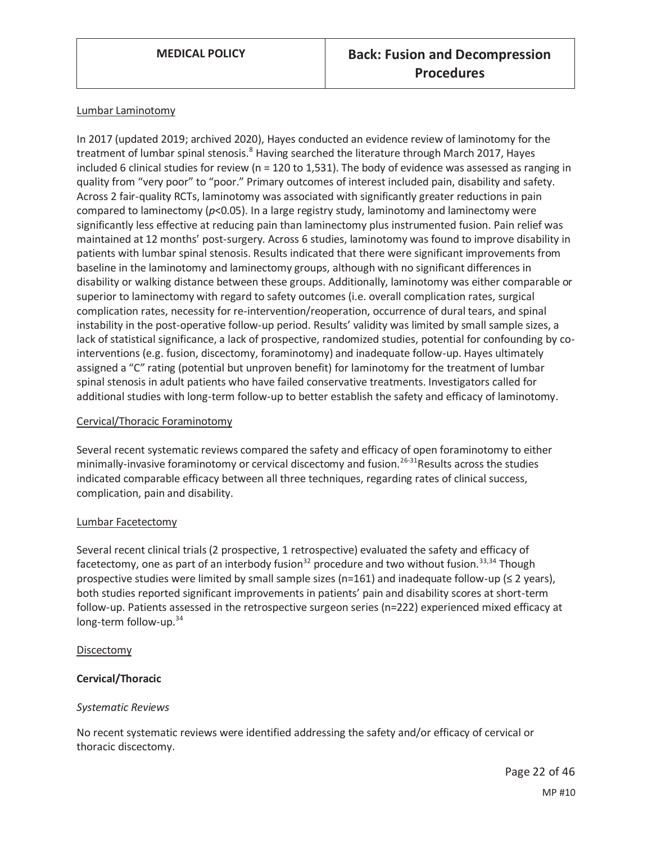#### Lumbar Laminotomy

In 2017 (updated 2019; archived 2020), Hayes conducted an evidence review of laminotomy for the treatment of lumbar spinal stenosis.<sup>8</sup> Having searched the literature through March 2017, Hayes included 6 clinical studies for review (n = 120 to 1,531). The body of evidence was assessed as ranging in quality from "very poor" to "poor." Primary outcomes of interest included pain, disability and safety. Across 2 fair-quality RCTs, laminotomy was associated with significantly greater reductions in pain compared to laminectomy (*p*<0.05). In a large registry study, laminotomy and laminectomy were significantly less effective at reducing pain than laminectomy plus instrumented fusion. Pain relief was maintained at 12 months' post-surgery. Across 6 studies, laminotomy was found to improve disability in patients with lumbar spinal stenosis. Results indicated that there were significant improvements from baseline in the laminotomy and laminectomy groups, although with no significant differences in disability or walking distance between these groups. Additionally, laminotomy was either comparable or superior to laminectomy with regard to safety outcomes (i.e. overall complication rates, surgical complication rates, necessity for re-intervention/reoperation, occurrence of dural tears, and spinal instability in the post-operative follow-up period. Results' validity was limited by small sample sizes, a lack of statistical significance, a lack of prospective, randomized studies, potential for confounding by cointerventions (e.g. fusion, discectomy, foraminotomy) and inadequate follow-up. Hayes ultimately assigned a "C" rating (potential but unproven benefit) for laminotomy for the treatment of lumbar spinal stenosis in adult patients who have failed conservative treatments. Investigators called for additional studies with long-term follow-up to better establish the safety and efficacy of laminotomy.

#### Cervical/Thoracic Foraminotomy

Several recent systematic reviews compared the safety and efficacy of open foraminotomy to either minimally-invasive foraminotomy or cervical discectomy and fusion.<sup>26-31</sup>Results across the studies indicated comparable efficacy between all three techniques, regarding rates of clinical success, complication, pain and disability.

#### Lumbar Facetectomy

Several recent clinical trials (2 prospective, 1 retrospective) evaluated the safety and efficacy of facetectomy, one as part of an interbody fusion<sup>32</sup> procedure and two without fusion.<sup>33,34</sup> Though prospective studies were limited by small sample sizes (n=161) and inadequate follow-up (≤ 2 years), both studies reported significant improvements in patients' pain and disability scores at short-term follow-up. Patients assessed in the retrospective surgeon series (n=222) experienced mixed efficacy at long-term follow-up.<sup>34</sup>

#### Discectomy

#### **Cervical/Thoracic**

#### *Systematic Reviews*

No recent systematic reviews were identified addressing the safety and/or efficacy of cervical or thoracic discectomy.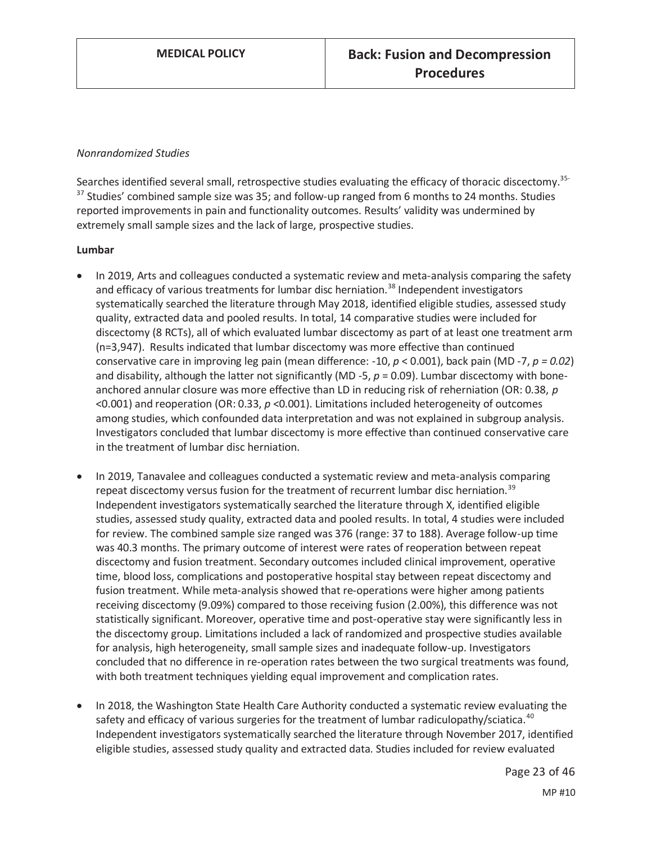#### *Nonrandomized Studies*

Searches identified several small, retrospective studies evaluating the efficacy of thoracic discectomy.<sup>35-</sup> <sup>37</sup> Studies' combined sample size was 35; and follow-up ranged from 6 months to 24 months. Studies reported improvements in pain and functionality outcomes. Results' validity was undermined by extremely small sample sizes and the lack of large, prospective studies.

#### **Lumbar**

- In 2019, Arts and colleagues conducted a systematic review and meta-analysis comparing the safety and efficacy of various treatments for lumbar disc herniation.<sup>38</sup> Independent investigators systematically searched the literature through May 2018, identified eligible studies, assessed study quality, extracted data and pooled results. In total, 14 comparative studies were included for discectomy (8 RCTs), all of which evaluated lumbar discectomy as part of at least one treatment arm (n=3,947). Results indicated that lumbar discectomy was more effective than continued conservative care in improving leg pain (mean difference: -10, *p* < 0.001), back pain (MD -7, *p = 0.02*) and disability, although the latter not significantly (MD -5,  $p = 0.09$ ). Lumbar discectomy with boneanchored annular closure was more effective than LD in reducing risk of reherniation (OR: 0.38, *p*  <0.001) and reoperation (OR: 0.33, *p* <0.001). Limitations included heterogeneity of outcomes among studies, which confounded data interpretation and was not explained in subgroup analysis. Investigators concluded that lumbar discectomy is more effective than continued conservative care in the treatment of lumbar disc herniation.
- In 2019, Tanavalee and colleagues conducted a systematic review and meta-analysis comparing repeat discectomy versus fusion for the treatment of recurrent lumbar disc herniation.<sup>39</sup> Independent investigators systematically searched the literature through X, identified eligible studies, assessed study quality, extracted data and pooled results. In total, 4 studies were included for review. The combined sample size ranged was 376 (range: 37 to 188). Average follow-up time was 40.3 months. The primary outcome of interest were rates of reoperation between repeat discectomy and fusion treatment. Secondary outcomes included clinical improvement, operative time, blood loss, complications and postoperative hospital stay between repeat discectomy and fusion treatment. While meta-analysis showed that re-operations were higher among patients receiving discectomy (9.09%) compared to those receiving fusion (2.00%), this difference was not statistically significant. Moreover, operative time and post-operative stay were significantly less in the discectomy group. Limitations included a lack of randomized and prospective studies available for analysis, high heterogeneity, small sample sizes and inadequate follow-up. Investigators concluded that no difference in re-operation rates between the two surgical treatments was found, with both treatment techniques yielding equal improvement and complication rates.
- In 2018, the Washington State Health Care Authority conducted a systematic review evaluating the safety and efficacy of various surgeries for the treatment of lumbar radiculopathy/sciatica.<sup>40</sup> Independent investigators systematically searched the literature through November 2017, identified eligible studies, assessed study quality and extracted data. Studies included for review evaluated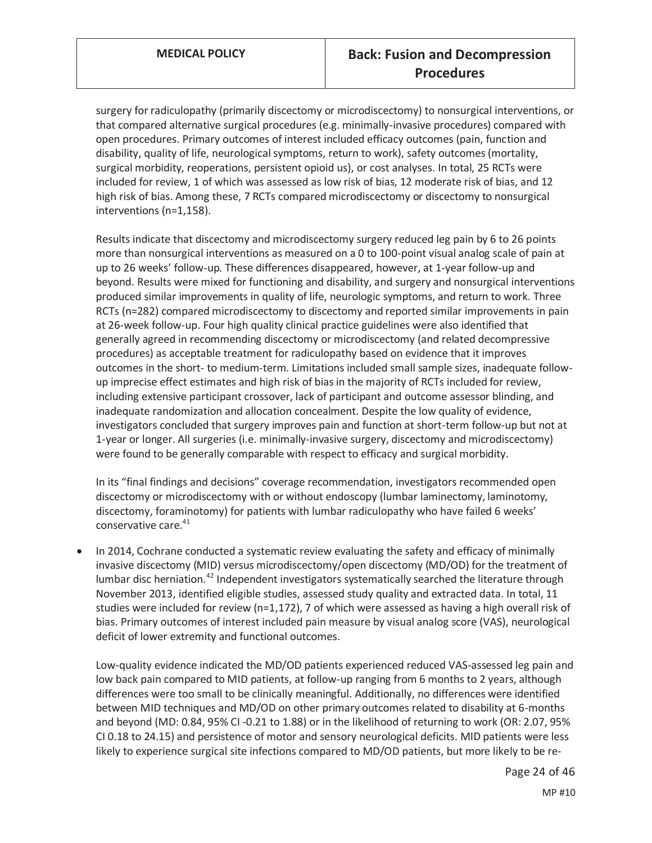surgery for radiculopathy (primarily discectomy or microdiscectomy) to nonsurgical interventions, or that compared alternative surgical procedures (e.g. minimally-invasive procedures) compared with open procedures. Primary outcomes of interest included efficacy outcomes (pain, function and disability, quality of life, neurological symptoms, return to work), safety outcomes (mortality, surgical morbidity, reoperations, persistent opioid us), or cost analyses. In total, 25 RCTs were included for review, 1 of which was assessed as low risk of bias, 12 moderate risk of bias, and 12 high risk of bias. Among these, 7 RCTs compared microdiscectomy or discectomy to nonsurgical interventions (n=1,158).

Results indicate that discectomy and microdiscectomy surgery reduced leg pain by 6 to 26 points more than nonsurgical interventions as measured on a 0 to 100-point visual analog scale of pain at up to 26 weeks' follow-up. These differences disappeared, however, at 1-year follow-up and beyond. Results were mixed for functioning and disability, and surgery and nonsurgical interventions produced similar improvements in quality of life, neurologic symptoms, and return to work. Three RCTs (n=282) compared microdiscectomy to discectomy and reported similar improvements in pain at 26-week follow-up. Four high quality clinical practice guidelines were also identified that generally agreed in recommending discectomy or microdiscectomy (and related decompressive procedures) as acceptable treatment for radiculopathy based on evidence that it improves outcomes in the short- to medium-term. Limitations included small sample sizes, inadequate followup imprecise effect estimates and high risk of bias in the majority of RCTs included for review, including extensive participant crossover, lack of participant and outcome assessor blinding, and inadequate randomization and allocation concealment. Despite the low quality of evidence, investigators concluded that surgery improves pain and function at short-term follow-up but not at 1-year or longer. All surgeries (i.e. minimally-invasive surgery, discectomy and microdiscectomy) were found to be generally comparable with respect to efficacy and surgical morbidity.

In its "final findings and decisions" coverage recommendation, investigators recommended open discectomy or microdiscectomy with or without endoscopy (lumbar laminectomy, laminotomy, discectomy, foraminotomy) for patients with lumbar radiculopathy who have failed 6 weeks' conservative care.<sup>41</sup>

In 2014, Cochrane conducted a systematic review evaluating the safety and efficacy of minimally invasive discectomy (MID) versus microdiscectomy/open discectomy (MD/OD) for the treatment of lumbar disc herniation.<sup>42</sup> Independent investigators systematically searched the literature through November 2013, identified eligible studies, assessed study quality and extracted data. In total, 11 studies were included for review (n=1,172), 7 of which were assessed as having a high overall risk of bias. Primary outcomes of interest included pain measure by visual analog score (VAS), neurological deficit of lower extremity and functional outcomes.

Low-quality evidence indicated the MD/OD patients experienced reduced VAS-assessed leg pain and low back pain compared to MID patients, at follow-up ranging from 6 months to 2 years, although differences were too small to be clinically meaningful. Additionally, no differences were identified between MID techniques and MD/OD on other primary outcomes related to disability at 6-months and beyond (MD: 0.84, 95% CI -0.21 to 1.88) or in the likelihood of returning to work (OR: 2.07, 95% CI 0.18 to 24.15) and persistence of motor and sensory neurological deficits. MID patients were less likely to experience surgical site infections compared to MD/OD patients, but more likely to be re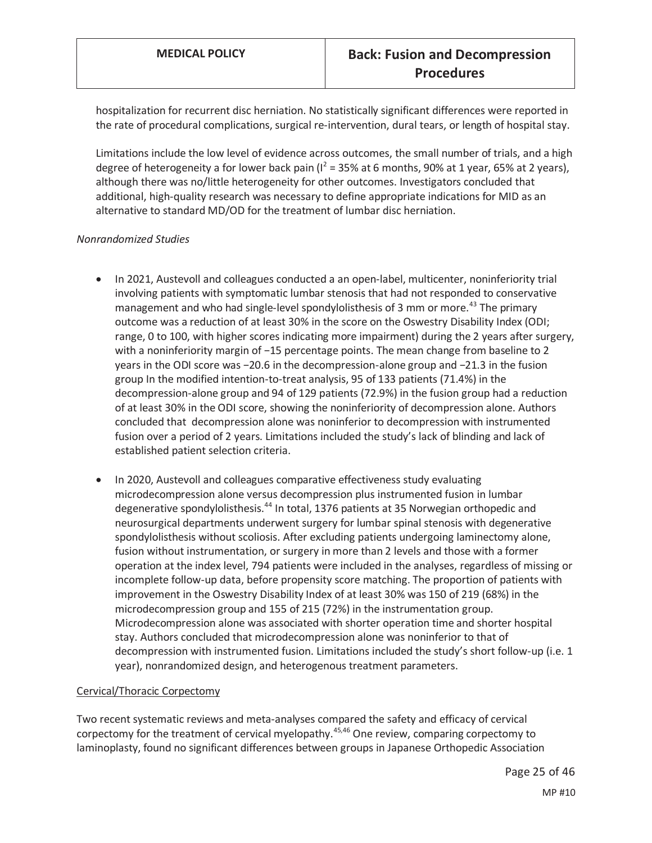hospitalization for recurrent disc herniation. No statistically significant differences were reported in the rate of procedural complications, surgical re-intervention, dural tears, or length of hospital stay.

Limitations include the low level of evidence across outcomes, the small number of trials, and a high degree of heterogeneity a for lower back pain ( $I^2$  = 35% at 6 months, 90% at 1 year, 65% at 2 years), although there was no/little heterogeneity for other outcomes. Investigators concluded that additional, high-quality research was necessary to define appropriate indications for MID as an alternative to standard MD/OD for the treatment of lumbar disc herniation.

#### *Nonrandomized Studies*

- In 2021, Austevoll and colleagues conducted a an open-label, multicenter, noninferiority trial involving patients with symptomatic lumbar stenosis that had not responded to conservative management and who had single-level spondylolisthesis of 3 mm or more.<sup>43</sup> The primary outcome was a reduction of at least 30% in the score on the Oswestry Disability Index (ODI; range, 0 to 100, with higher scores indicating more impairment) during the 2 years after surgery, with a noninferiority margin of −15 percentage points. The mean change from baseline to 2 years in the ODI score was −20.6 in the decompression-alone group and −21.3 in the fusion group In the modified intention-to-treat analysis, 95 of 133 patients (71.4%) in the decompression-alone group and 94 of 129 patients (72.9%) in the fusion group had a reduction of at least 30% in the ODI score, showing the noninferiority of decompression alone. Authors concluded that decompression alone was noninferior to decompression with instrumented fusion over a period of 2 years. Limitations included the study's lack of blinding and lack of established patient selection criteria.
- In 2020, Austevoll and colleagues comparative effectiveness study evaluating microdecompression alone versus decompression plus instrumented fusion in lumbar degenerative spondylolisthesis.<sup>44</sup> In total, 1376 patients at 35 Norwegian orthopedic and neurosurgical departments underwent surgery for lumbar spinal stenosis with degenerative spondylolisthesis without scoliosis. After excluding patients undergoing laminectomy alone, fusion without instrumentation, or surgery in more than 2 levels and those with a former operation at the index level, 794 patients were included in the analyses, regardless of missing or incomplete follow-up data, before propensity score matching. The proportion of patients with improvement in the Oswestry Disability Index of at least 30% was 150 of 219 (68%) in the microdecompression group and 155 of 215 (72%) in the instrumentation group. Microdecompression alone was associated with shorter operation time and shorter hospital stay. Authors concluded that microdecompression alone was noninferior to that of decompression with instrumented fusion. Limitations included the study's short follow-up (i.e. 1 year), nonrandomized design, and heterogenous treatment parameters.

#### Cervical/Thoracic Corpectomy

Two recent systematic reviews and meta-analyses compared the safety and efficacy of cervical corpectomy for the treatment of cervical myelopathy.<sup>45,46</sup> One review, comparing corpectomy to laminoplasty, found no significant differences between groups in Japanese Orthopedic Association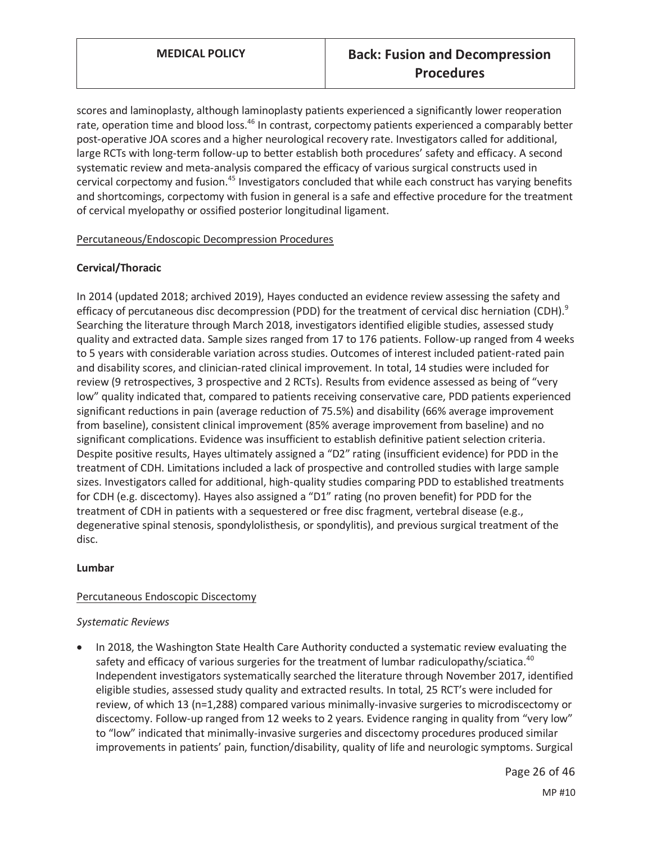scores and laminoplasty, although laminoplasty patients experienced a significantly lower reoperation rate, operation time and blood loss.<sup>46</sup> In contrast, corpectomy patients experienced a comparably better post-operative JOA scores and a higher neurological recovery rate. Investigators called for additional, large RCTs with long-term follow-up to better establish both procedures' safety and efficacy. A second systematic review and meta-analysis compared the efficacy of various surgical constructs used in cervical corpectomy and fusion.<sup>45</sup> Investigators concluded that while each construct has varying benefits and shortcomings, corpectomy with fusion in general is a safe and effective procedure for the treatment of cervical myelopathy or ossified posterior longitudinal ligament.

#### Percutaneous/Endoscopic Decompression Procedures

### **Cervical/Thoracic**

In 2014 (updated 2018; archived 2019), Hayes conducted an evidence review assessing the safety and efficacy of percutaneous disc decompression (PDD) for the treatment of cervical disc herniation (CDH).<sup>9</sup> Searching the literature through March 2018, investigators identified eligible studies, assessed study quality and extracted data. Sample sizes ranged from 17 to 176 patients. Follow-up ranged from 4 weeks to 5 years with considerable variation across studies. Outcomes of interest included patient-rated pain and disability scores, and clinician-rated clinical improvement. In total, 14 studies were included for review (9 retrospectives, 3 prospective and 2 RCTs). Results from evidence assessed as being of "very low" quality indicated that, compared to patients receiving conservative care, PDD patients experienced significant reductions in pain (average reduction of 75.5%) and disability (66% average improvement from baseline), consistent clinical improvement (85% average improvement from baseline) and no significant complications. Evidence was insufficient to establish definitive patient selection criteria. Despite positive results, Hayes ultimately assigned a "D2" rating (insufficient evidence) for PDD in the treatment of CDH. Limitations included a lack of prospective and controlled studies with large sample sizes. Investigators called for additional, high-quality studies comparing PDD to established treatments for CDH (e.g. discectomy). Hayes also assigned a "D1" rating (no proven benefit) for PDD for the treatment of CDH in patients with a sequestered or free disc fragment, vertebral disease (e.g., degenerative spinal stenosis, spondylolisthesis, or spondylitis), and previous surgical treatment of the disc.

#### **Lumbar**

#### Percutaneous Endoscopic Discectomy

#### *Systematic Reviews*

In 2018, the Washington State Health Care Authority conducted a systematic review evaluating the safety and efficacy of various surgeries for the treatment of lumbar radiculopathy/sciatica.<sup>40</sup> Independent investigators systematically searched the literature through November 2017, identified eligible studies, assessed study quality and extracted results. In total, 25 RCT's were included for review, of which 13 (n=1,288) compared various minimally-invasive surgeries to microdiscectomy or discectomy. Follow-up ranged from 12 weeks to 2 years. Evidence ranging in quality from "very low" to "low" indicated that minimally-invasive surgeries and discectomy procedures produced similar improvements in patients' pain, function/disability, quality of life and neurologic symptoms. Surgical

> Page 26 of 46 MP #10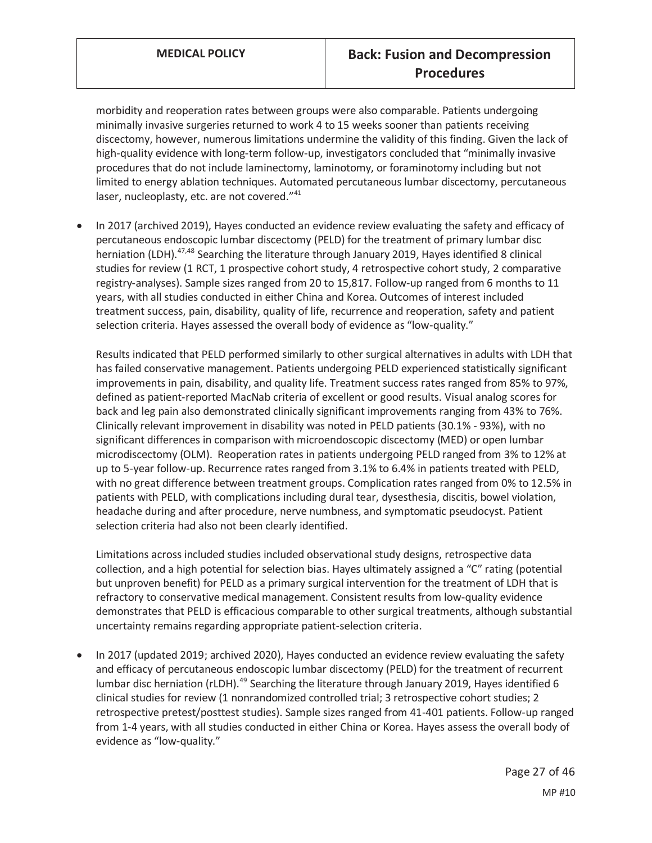morbidity and reoperation rates between groups were also comparable. Patients undergoing minimally invasive surgeries returned to work 4 to 15 weeks sooner than patients receiving discectomy, however, numerous limitations undermine the validity of this finding. Given the lack of high-quality evidence with long-term follow-up, investigators concluded that "minimally invasive procedures that do not include laminectomy, laminotomy, or foraminotomy including but not limited to energy ablation techniques. Automated percutaneous lumbar discectomy, percutaneous laser, nucleoplasty, etc. are not covered."<sup>41</sup>

In 2017 (archived 2019), Hayes conducted an evidence review evaluating the safety and efficacy of percutaneous endoscopic lumbar discectomy (PELD) for the treatment of primary lumbar disc herniation (LDH).<sup>47,48</sup> Searching the literature through January 2019, Hayes identified 8 clinical studies for review (1 RCT, 1 prospective cohort study, 4 retrospective cohort study, 2 comparative registry-analyses). Sample sizes ranged from 20 to 15,817. Follow-up ranged from 6 months to 11 years, with all studies conducted in either China and Korea. Outcomes of interest included treatment success, pain, disability, quality of life, recurrence and reoperation, safety and patient selection criteria. Hayes assessed the overall body of evidence as "low-quality."

Results indicated that PELD performed similarly to other surgical alternatives in adults with LDH that has failed conservative management. Patients undergoing PELD experienced statistically significant improvements in pain, disability, and quality life. Treatment success rates ranged from 85% to 97%, defined as patient-reported MacNab criteria of excellent or good results. Visual analog scores for back and leg pain also demonstrated clinically significant improvements ranging from 43% to 76%. Clinically relevant improvement in disability was noted in PELD patients (30.1% - 93%), with no significant differences in comparison with microendoscopic discectomy (MED) or open lumbar microdiscectomy (OLM). Reoperation rates in patients undergoing PELD ranged from 3% to 12% at up to 5-year follow-up. Recurrence rates ranged from 3.1% to 6.4% in patients treated with PELD, with no great difference between treatment groups. Complication rates ranged from 0% to 12.5% in patients with PELD, with complications including dural tear, dysesthesia, discitis, bowel violation, headache during and after procedure, nerve numbness, and symptomatic pseudocyst. Patient selection criteria had also not been clearly identified.

Limitations across included studies included observational study designs, retrospective data collection, and a high potential for selection bias. Hayes ultimately assigned a "C" rating (potential but unproven benefit) for PELD as a primary surgical intervention for the treatment of LDH that is refractory to conservative medical management. Consistent results from low-quality evidence demonstrates that PELD is efficacious comparable to other surgical treatments, although substantial uncertainty remains regarding appropriate patient-selection criteria.

In 2017 (updated 2019; archived 2020), Hayes conducted an evidence review evaluating the safety and efficacy of percutaneous endoscopic lumbar discectomy (PELD) for the treatment of recurrent lumbar disc herniation (rLDH).<sup>49</sup> Searching the literature through January 2019, Hayes identified 6 clinical studies for review (1 nonrandomized controlled trial; 3 retrospective cohort studies; 2 retrospective pretest/posttest studies). Sample sizes ranged from 41-401 patients. Follow-up ranged from 1-4 years, with all studies conducted in either China or Korea. Hayes assess the overall body of evidence as "low-quality."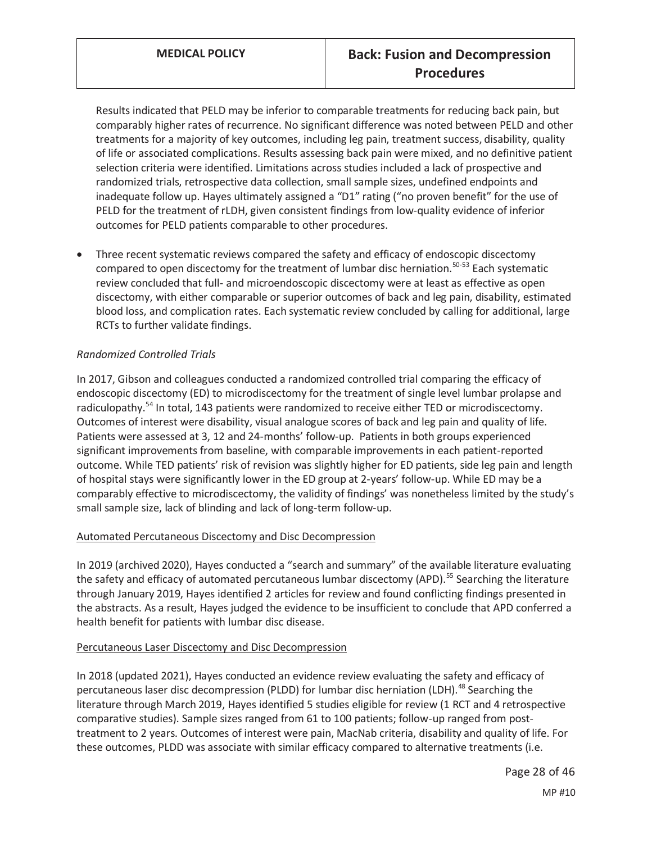Results indicated that PELD may be inferior to comparable treatments for reducing back pain, but comparably higher rates of recurrence. No significant difference was noted between PELD and other treatments for a majority of key outcomes, including leg pain, treatment success, disability, quality of life or associated complications. Results assessing back pain were mixed, and no definitive patient selection criteria were identified. Limitations across studies included a lack of prospective and randomized trials, retrospective data collection, small sample sizes, undefined endpoints and inadequate follow up. Hayes ultimately assigned a "D1" rating ("no proven benefit" for the use of PELD for the treatment of rLDH, given consistent findings from low-quality evidence of inferior outcomes for PELD patients comparable to other procedures.

Three recent systematic reviews compared the safety and efficacy of endoscopic discectomy compared to open discectomy for the treatment of lumbar disc herniation.<sup>50-53</sup> Each systematic review concluded that full- and microendoscopic discectomy were at least as effective as open discectomy, with either comparable or superior outcomes of back and leg pain, disability, estimated blood loss, and complication rates. Each systematic review concluded by calling for additional, large RCTs to further validate findings.

### *Randomized Controlled Trials*

In 2017, Gibson and colleagues conducted a randomized controlled trial comparing the efficacy of endoscopic discectomy (ED) to microdiscectomy for the treatment of single level lumbar prolapse and radiculopathy.<sup>54</sup> In total, 143 patients were randomized to receive either TED or microdiscectomy. Outcomes of interest were disability, visual analogue scores of back and leg pain and quality of life. Patients were assessed at 3, 12 and 24-months' follow-up. Patients in both groups experienced significant improvements from baseline, with comparable improvements in each patient-reported outcome. While TED patients' risk of revision was slightly higher for ED patients, side leg pain and length of hospital stays were significantly lower in the ED group at 2-years' follow-up. While ED may be a comparably effective to microdiscectomy, the validity of findings' was nonetheless limited by the study's small sample size, lack of blinding and lack of long-term follow-up.

#### Automated Percutaneous Discectomy and Disc Decompression

In 2019 (archived 2020), Hayes conducted a "search and summary" of the available literature evaluating the safety and efficacy of automated percutaneous lumbar discectomy (APD).<sup>55</sup> Searching the literature through January 2019, Hayes identified 2 articles for review and found conflicting findings presented in the abstracts. As a result, Hayes judged the evidence to be insufficient to conclude that APD conferred a health benefit for patients with lumbar disc disease.

#### Percutaneous Laser Discectomy and Disc Decompression

In 2018 (updated 2021), Hayes conducted an evidence review evaluating the safety and efficacy of percutaneous laser disc decompression (PLDD) for lumbar disc herniation (LDH).<sup>48</sup> Searching the literature through March 2019, Hayes identified 5 studies eligible for review (1 RCT and 4 retrospective comparative studies). Sample sizes ranged from 61 to 100 patients; follow-up ranged from posttreatment to 2 years. Outcomes of interest were pain, MacNab criteria, disability and quality of life. For these outcomes, PLDD was associate with similar efficacy compared to alternative treatments (i.e.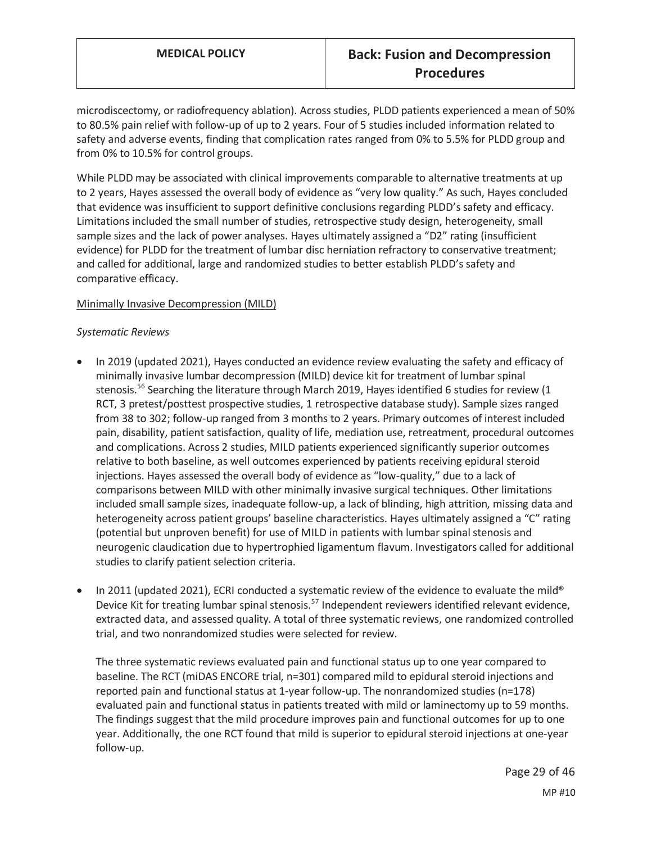microdiscectomy, or radiofrequency ablation). Across studies, PLDD patients experienced a mean of 50% to 80.5% pain relief with follow-up of up to 2 years. Four of 5 studies included information related to safety and adverse events, finding that complication rates ranged from 0% to 5.5% for PLDD group and from 0% to 10.5% for control groups.

While PLDD may be associated with clinical improvements comparable to alternative treatments at up to 2 years, Hayes assessed the overall body of evidence as "very low quality." As such, Hayes concluded that evidence was insufficient to support definitive conclusions regarding PLDD's safety and efficacy. Limitations included the small number of studies, retrospective study design, heterogeneity, small sample sizes and the lack of power analyses. Hayes ultimately assigned a "D2" rating (insufficient evidence) for PLDD for the treatment of lumbar disc herniation refractory to conservative treatment; and called for additional, large and randomized studies to better establish PLDD's safety and comparative efficacy.

#### Minimally Invasive Decompression (MILD)

#### *Systematic Reviews*

- In 2019 (updated 2021), Hayes conducted an evidence review evaluating the safety and efficacy of minimally invasive lumbar decompression (MILD) device kit for treatment of lumbar spinal stenosis.<sup>56</sup> Searching the literature through March 2019, Hayes identified 6 studies for review (1 RCT, 3 pretest/posttest prospective studies, 1 retrospective database study). Sample sizes ranged from 38 to 302; follow-up ranged from 3 months to 2 years. Primary outcomes of interest included pain, disability, patient satisfaction, quality of life, mediation use, retreatment, procedural outcomes and complications. Across 2 studies, MILD patients experienced significantly superior outcomes relative to both baseline, as well outcomes experienced by patients receiving epidural steroid injections. Hayes assessed the overall body of evidence as "low-quality," due to a lack of comparisons between MILD with other minimally invasive surgical techniques. Other limitations included small sample sizes, inadequate follow-up, a lack of blinding, high attrition, missing data and heterogeneity across patient groups' baseline characteristics. Hayes ultimately assigned a "C" rating (potential but unproven benefit) for use of MILD in patients with lumbar spinal stenosis and neurogenic claudication due to hypertrophied ligamentum flavum. Investigators called for additional studies to clarify patient selection criteria.
- In 2011 (updated 2021), ECRI conducted a systematic review of the evidence to evaluate the mild® Device Kit for treating lumbar spinal stenosis.<sup>57</sup> Independent reviewers identified relevant evidence, extracted data, and assessed quality. A total of three systematic reviews, one randomized controlled trial, and two nonrandomized studies were selected for review.

The three systematic reviews evaluated pain and functional status up to one year compared to baseline. The RCT (miDAS ENCORE trial, n=301) compared mild to epidural steroid injections and reported pain and functional status at 1-year follow-up. The nonrandomized studies (n=178) evaluated pain and functional status in patients treated with mild or laminectomy up to 59 months. The findings suggest that the mild procedure improves pain and functional outcomes for up to one year. Additionally, the one RCT found that mild is superior to epidural steroid injections at one-year follow-up.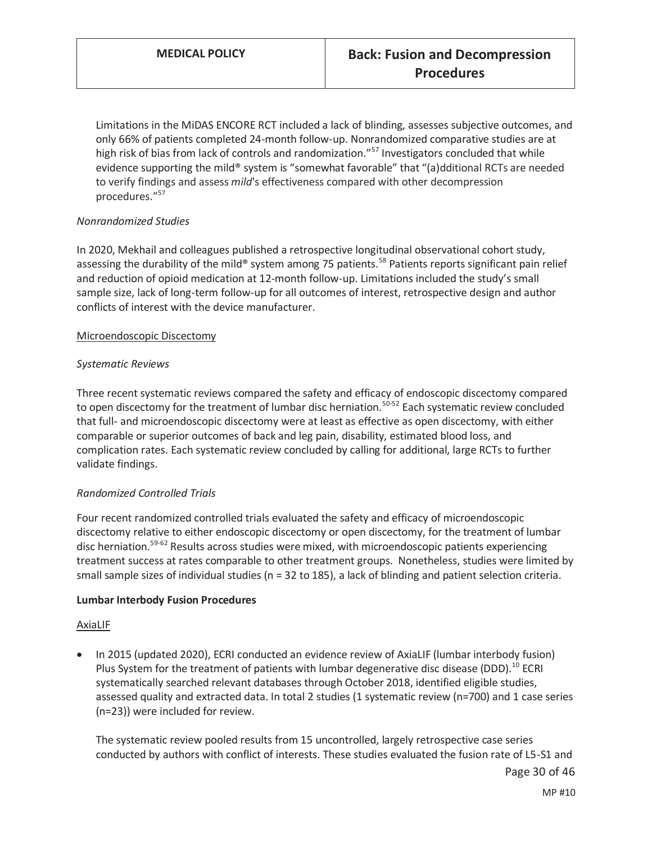Limitations in the MiDAS ENCORE RCT included a lack of blinding, assesses subjective outcomes, and only 66% of patients completed 24-month follow-up. Nonrandomized comparative studies are at high risk of bias from lack of controls and randomization."<sup>57</sup> Investigators concluded that while evidence supporting the mild® system is "somewhat favorable" that "(a)dditional RCTs are needed to verify findings and assess *mild*'s effectiveness compared with other decompression procedures."<sup>57</sup>

### *Nonrandomized Studies*

In 2020, Mekhail and colleagues published a retrospective longitudinal observational cohort study, assessing the durability of the mild® system among 75 patients.<sup>58</sup> Patients reports significant pain relief and reduction of opioid medication at 12-month follow-up. Limitations included the study's small sample size, lack of long-term follow-up for all outcomes of interest, retrospective design and author conflicts of interest with the device manufacturer.

#### Microendoscopic Discectomy

#### *Systematic Reviews*

Three recent systematic reviews compared the safety and efficacy of endoscopic discectomy compared to open discectomy for the treatment of lumbar disc herniation.<sup>50-52</sup> Each systematic review concluded that full- and microendoscopic discectomy were at least as effective as open discectomy, with either comparable or superior outcomes of back and leg pain, disability, estimated blood loss, and complication rates. Each systematic review concluded by calling for additional, large RCTs to further validate findings.

#### *Randomized Controlled Trials*

Four recent randomized controlled trials evaluated the safety and efficacy of microendoscopic discectomy relative to either endoscopic discectomy or open discectomy, for the treatment of lumbar disc herniation.<sup>59-62</sup> Results across studies were mixed, with microendoscopic patients experiencing treatment success at rates comparable to other treatment groups. Nonetheless, studies were limited by small sample sizes of individual studies (n = 32 to 185), a lack of blinding and patient selection criteria.

#### **Lumbar Interbody Fusion Procedures**

#### AxiaLIF

In 2015 (updated 2020), ECRI conducted an evidence review of AxiaLIF (lumbar interbody fusion) Plus System for the treatment of patients with lumbar degenerative disc disease (DDD).<sup>10</sup> ECRI systematically searched relevant databases through October 2018, identified eligible studies, assessed quality and extracted data. In total 2 studies (1 systematic review (n=700) and 1 case series (n=23)) were included for review.

The systematic review pooled results from 15 uncontrolled, largely retrospective case series conducted by authors with conflict of interests. These studies evaluated the fusion rate of L5-S1 and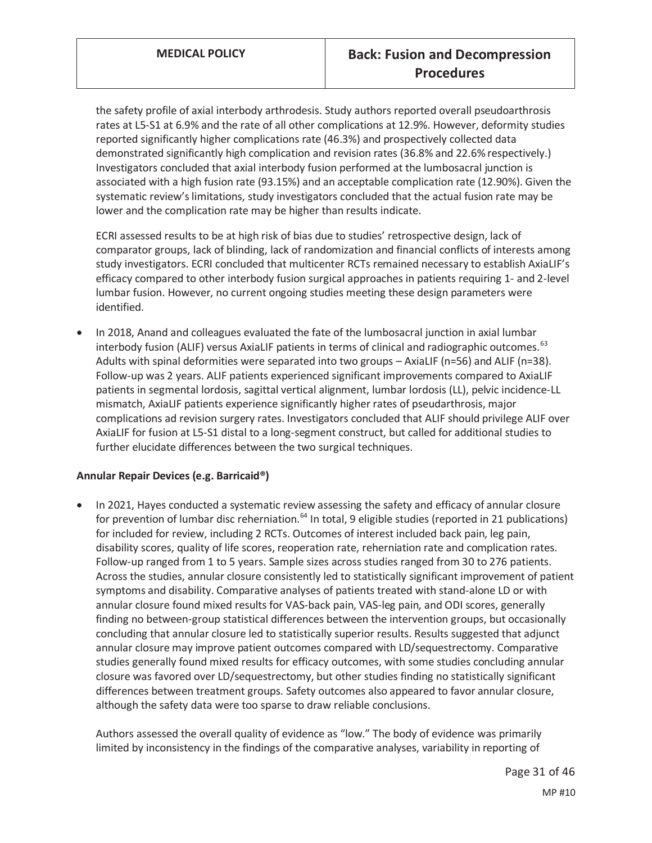the safety profile of axial interbody arthrodesis. Study authors reported overall pseudoarthrosis rates at L5-S1 at 6.9% and the rate of all other complications at 12.9%. However, deformity studies reported significantly higher complications rate (46.3%) and prospectively collected data demonstrated significantly high complication and revision rates (36.8% and 22.6% respectively.) Investigators concluded that axial interbody fusion performed at the lumbosacral junction is associated with a high fusion rate (93.15%) and an acceptable complication rate (12.90%). Given the systematic review's limitations, study investigators concluded that the actual fusion rate may be lower and the complication rate may be higher than results indicate.

ECRI assessed results to be at high risk of bias due to studies' retrospective design, lack of comparator groups, lack of blinding, lack of randomization and financial conflicts of interests among study investigators. ECRI concluded that multicenter RCTs remained necessary to establish AxiaLIF's efficacy compared to other interbody fusion surgical approaches in patients requiring 1- and 2-level lumbar fusion. However, no current ongoing studies meeting these design parameters were identified.

In 2018, Anand and colleagues evaluated the fate of the lumbosacral junction in axial lumbar interbody fusion (ALIF) versus AxiaLIF patients in terms of clinical and radiographic outcomes.<sup>63</sup> Adults with spinal deformities were separated into two groups – AxiaLIF (n=56) and ALIF (n=38). Follow-up was 2 years. ALIF patients experienced significant improvements compared to AxiaLIF patients in segmental lordosis, sagittal vertical alignment, lumbar lordosis (LL), pelvic incidence-LL mismatch, AxiaLIF patients experience significantly higher rates of pseudarthrosis, major complications ad revision surgery rates. Investigators concluded that ALIF should privilege ALIF over AxiaLIF for fusion at L5-S1 distal to a long-segment construct, but called for additional studies to further elucidate differences between the two surgical techniques.

#### **Annular Repair Devices (e.g. Barricaid®)**

In 2021, Hayes conducted a systematic review assessing the safety and efficacy of annular closure for prevention of lumbar disc reherniation.<sup>64</sup> In total, 9 eligible studies (reported in 21 publications) for included for review, including 2 RCTs. Outcomes of interest included back pain, leg pain, disability scores, quality of life scores, reoperation rate, reherniation rate and complication rates. Follow-up ranged from 1 to 5 years. Sample sizes across studies ranged from 30 to 276 patients. Across the studies, annular closure consistently led to statistically significant improvement of patient symptoms and disability. Comparative analyses of patients treated with stand-alone LD or with annular closure found mixed results for VAS-back pain, VAS-leg pain, and ODI scores, generally finding no between-group statistical differences between the intervention groups, but occasionally concluding that annular closure led to statistically superior results. Results suggested that adjunct annular closure may improve patient outcomes compared with LD/sequestrectomy. Comparative studies generally found mixed results for efficacy outcomes, with some studies concluding annular closure was favored over LD/sequestrectomy, but other studies finding no statistically significant differences between treatment groups. Safety outcomes also appeared to favor annular closure, although the safety data were too sparse to draw reliable conclusions.

Authors assessed the overall quality of evidence as "low." The body of evidence was primarily limited by inconsistency in the findings of the comparative analyses, variability in reporting of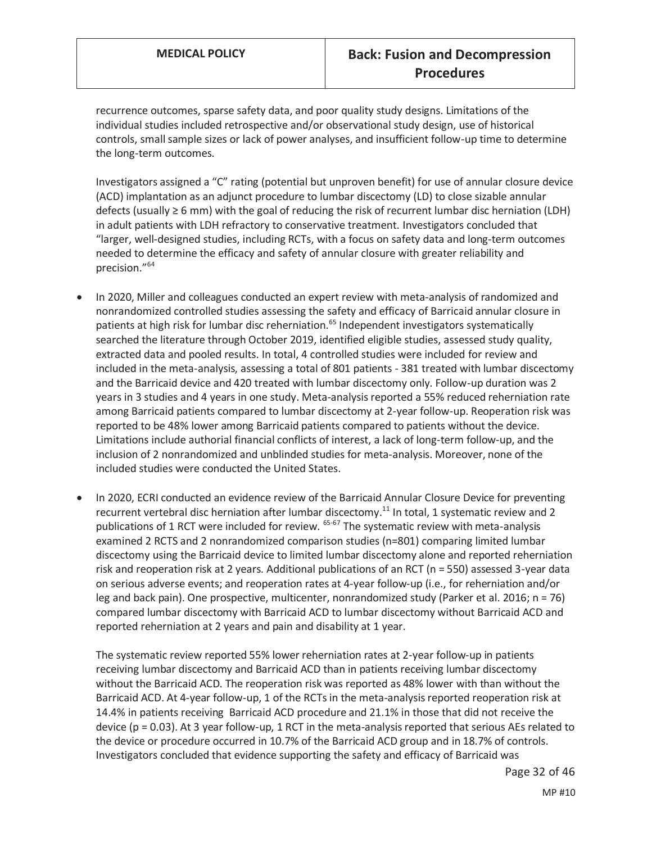recurrence outcomes, sparse safety data, and poor quality study designs. Limitations of the individual studies included retrospective and/or observational study design, use of historical controls, small sample sizes or lack of power analyses, and insufficient follow-up time to determine the long-term outcomes.

Investigators assigned a "C" rating (potential but unproven benefit) for use of annular closure device (ACD) implantation as an adjunct procedure to lumbar discectomy (LD) to close sizable annular defects (usually ≥ 6 mm) with the goal of reducing the risk of recurrent lumbar disc herniation (LDH) in adult patients with LDH refractory to conservative treatment. Investigators concluded that "larger, well-designed studies, including RCTs, with a focus on safety data and long-term outcomes needed to determine the efficacy and safety of annular closure with greater reliability and precision."<sup>64</sup>

- In 2020, Miller and colleagues conducted an expert review with meta-analysis of randomized and nonrandomized controlled studies assessing the safety and efficacy of Barricaid annular closure in patients at high risk for lumbar disc reherniation.<sup>65</sup> Independent investigators systematically searched the literature through October 2019, identified eligible studies, assessed study quality, extracted data and pooled results. In total, 4 controlled studies were included for review and included in the meta-analysis, assessing a total of 801 patients - 381 treated with lumbar discectomy and the Barricaid device and 420 treated with lumbar discectomy only. Follow-up duration was 2 years in 3 studies and 4 years in one study. Meta-analysis reported a 55% reduced reherniation rate among Barricaid patients compared to lumbar discectomy at 2-year follow-up. Reoperation risk was reported to be 48% lower among Barricaid patients compared to patients without the device. Limitations include authorial financial conflicts of interest, a lack of long-term follow-up, and the inclusion of 2 nonrandomized and unblinded studies for meta-analysis. Moreover, none of the included studies were conducted the United States.
- In 2020, ECRI conducted an evidence review of the Barricaid Annular Closure Device for preventing recurrent vertebral disc herniation after lumbar discectomy.<sup>11</sup> In total, 1 systematic review and 2 publications of 1 RCT were included for review. <sup>65-67</sup> The systematic review with meta-analysis examined 2 RCTS and 2 nonrandomized comparison studies (n=801) comparing limited lumbar discectomy using the Barricaid device to limited lumbar discectomy alone and reported reherniation risk and reoperation risk at 2 years. Additional publications of an RCT (n = 550) assessed 3-year data on serious adverse events; and reoperation rates at 4-year follow-up (i.e., for reherniation and/or leg and back pain). One prospective, multicenter, nonrandomized study (Parker et al. 2016; n = 76) compared lumbar discectomy with Barricaid ACD to lumbar discectomy without Barricaid ACD and reported reherniation at 2 years and pain and disability at 1 year.

The systematic review reported 55% lower reherniation rates at 2-year follow-up in patients receiving lumbar discectomy and Barricaid ACD than in patients receiving lumbar discectomy without the Barricaid ACD. The reoperation risk was reported as 48% lower with than without the Barricaid ACD. At 4-year follow-up, 1 of the RCTs in the meta-analysis reported reoperation risk at 14.4% in patients receiving Barricaid ACD procedure and 21.1% in those that did not receive the device (p = 0.03). At 3 year follow-up, 1 RCT in the meta-analysis reported that serious AEs related to the device or procedure occurred in 10.7% of the Barricaid ACD group and in 18.7% of controls. Investigators concluded that evidence supporting the safety and efficacy of Barricaid was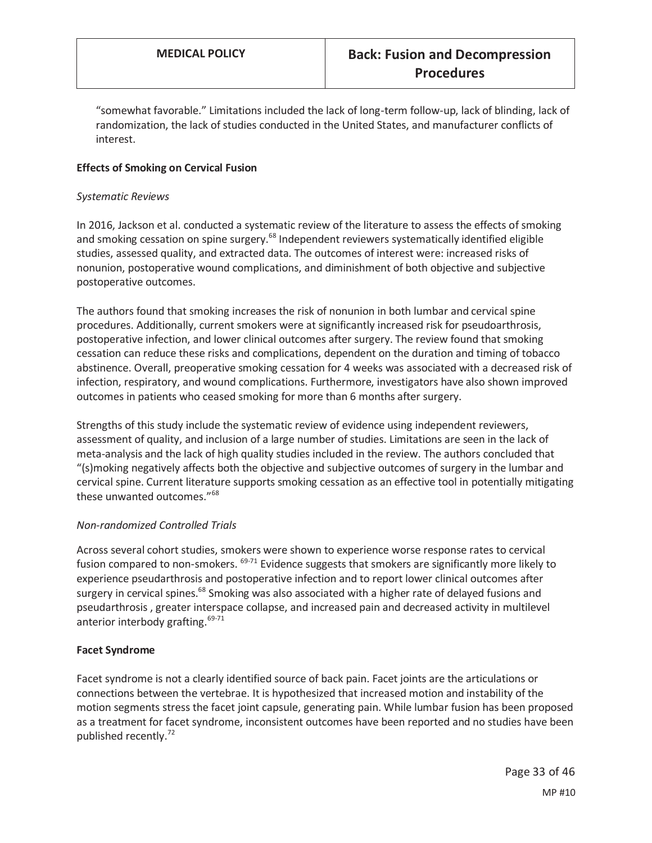"somewhat favorable." Limitations included the lack of long-term follow-up, lack of blinding, lack of randomization, the lack of studies conducted in the United States, and manufacturer conflicts of interest.

### **Effects of Smoking on Cervical Fusion**

#### *Systematic Reviews*

In 2016, Jackson et al. conducted a systematic review of the literature to assess the effects of smoking and smoking cessation on spine surgery.<sup>68</sup> Independent reviewers systematically identified eligible studies, assessed quality, and extracted data. The outcomes of interest were: increased risks of nonunion, postoperative wound complications, and diminishment of both objective and subjective postoperative outcomes.

The authors found that smoking increases the risk of nonunion in both lumbar and cervical spine procedures. Additionally, current smokers were at significantly increased risk for pseudoarthrosis, postoperative infection, and lower clinical outcomes after surgery. The review found that smoking cessation can reduce these risks and complications, dependent on the duration and timing of tobacco abstinence. Overall, preoperative smoking cessation for 4 weeks was associated with a decreased risk of infection, respiratory, and wound complications. Furthermore, investigators have also shown improved outcomes in patients who ceased smoking for more than 6 months after surgery.

Strengths of this study include the systematic review of evidence using independent reviewers, assessment of quality, and inclusion of a large number of studies. Limitations are seen in the lack of meta-analysis and the lack of high quality studies included in the review. The authors concluded that "(s)moking negatively affects both the objective and subjective outcomes of surgery in the lumbar and cervical spine. Current literature supports smoking cessation as an effective tool in potentially mitigating these unwanted outcomes."<sup>68</sup>

#### *Non-randomized Controlled Trials*

Across several cohort studies, smokers were shown to experience worse response rates to cervical fusion compared to non-smokers. <sup>69-71</sup> Evidence suggests that smokers are significantly more likely to experience pseudarthrosis and postoperative infection and to report lower clinical outcomes after surgery in cervical spines.<sup>68</sup> Smoking was also associated with a higher rate of delayed fusions and pseudarthrosis , greater interspace collapse, and increased pain and decreased activity in multilevel anterior interbody grafting.<sup>69-71</sup>

#### **Facet Syndrome**

Facet syndrome is not a clearly identified source of back pain. Facet joints are the articulations or connections between the vertebrae. It is hypothesized that increased motion and instability of the motion segments stress the facet joint capsule, generating pain. While lumbar fusion has been proposed as a treatment for facet syndrome, inconsistent outcomes have been reported and no studies have been published recently.<sup>72</sup>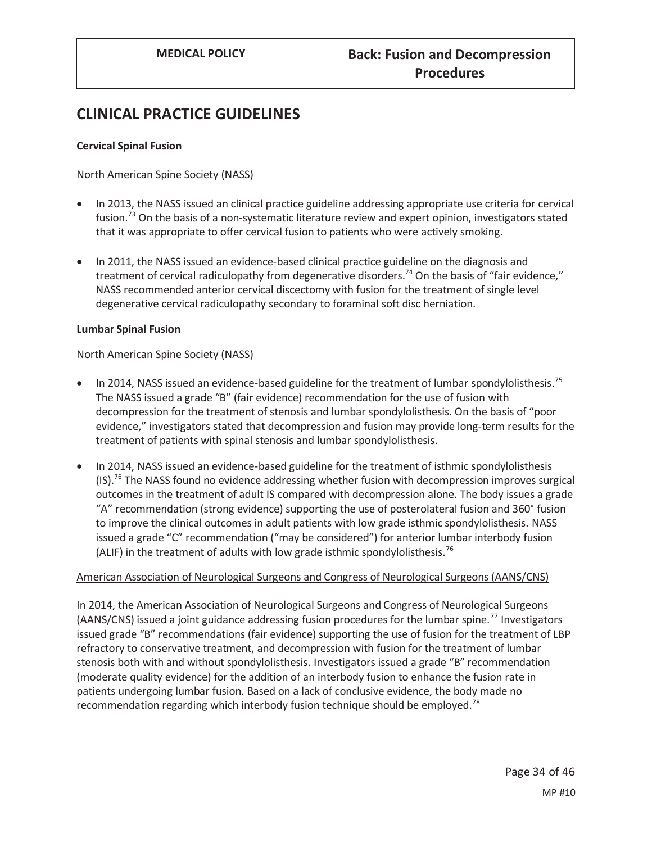# **CLINICAL PRACTICE GUIDELINES**

#### **Cervical Spinal Fusion**

#### North American Spine Society (NASS)

- In 2013, the NASS issued an clinical practice guideline addressing appropriate use criteria for cervical fusion.<sup>73</sup> On the basis of a non-systematic literature review and expert opinion, investigators stated that it was appropriate to offer cervical fusion to patients who were actively smoking.
- In 2011, the NASS issued an evidence-based clinical practice guideline on the diagnosis and treatment of cervical radiculopathy from degenerative disorders.<sup>74</sup> On the basis of "fair evidence," NASS recommended anterior cervical discectomy with fusion for the treatment of single level degenerative cervical radiculopathy secondary to foraminal soft disc herniation.

#### **Lumbar Spinal Fusion**

#### North American Spine Society (NASS)

- In 2014, NASS issued an evidence-based guideline for the treatment of lumbar spondylolisthesis.<sup>75</sup> The NASS issued a grade "B" (fair evidence) recommendation for the use of fusion with decompression for the treatment of stenosis and lumbar spondylolisthesis. On the basis of "poor evidence," investigators stated that decompression and fusion may provide long-term results for the treatment of patients with spinal stenosis and lumbar spondylolisthesis.
- In 2014, NASS issued an evidence-based guideline for the treatment of isthmic spondylolisthesis  $(1S)$ .<sup>76</sup> The NASS found no evidence addressing whether fusion with decompression improves surgical outcomes in the treatment of adult IS compared with decompression alone. The body issues a grade "A" recommendation (strong evidence) supporting the use of posterolateral fusion and 360° fusion to improve the clinical outcomes in adult patients with low grade isthmic spondylolisthesis. NASS issued a grade "C" recommendation ("may be considered") for anterior lumbar interbody fusion (ALIF) in the treatment of adults with low grade isthmic spondylolisthesis.<sup>76</sup>

#### American Association of Neurological Surgeons and Congress of Neurological Surgeons (AANS/CNS)

In 2014, the American Association of Neurological Surgeons and Congress of Neurological Surgeons (AANS/CNS) issued a joint guidance addressing fusion procedures for the lumbar spine.<sup>77</sup> Investigators issued grade "B" recommendations (fair evidence) supporting the use of fusion for the treatment of LBP refractory to conservative treatment, and decompression with fusion for the treatment of lumbar stenosis both with and without spondylolisthesis. Investigators issued a grade "B" recommendation (moderate quality evidence) for the addition of an interbody fusion to enhance the fusion rate in patients undergoing lumbar fusion. Based on a lack of conclusive evidence, the body made no recommendation regarding which interbody fusion technique should be employed.<sup>78</sup>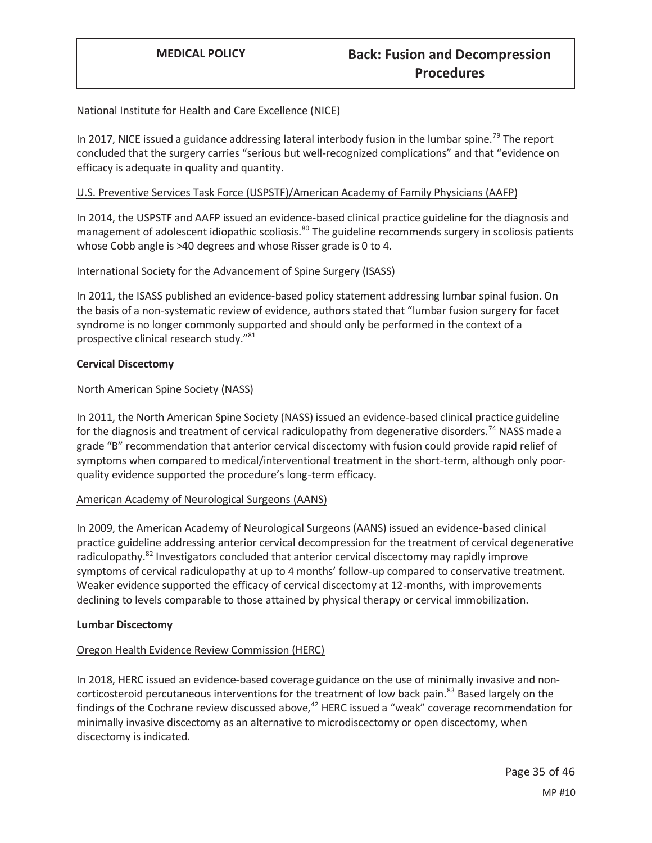#### National Institute for Health and Care Excellence (NICE)

In 2017, NICE issued a guidance addressing lateral interbody fusion in the lumbar spine.<sup>79</sup> The report concluded that the surgery carries "serious but well-recognized complications" and that "evidence on efficacy is adequate in quality and quantity.

#### U.S. Preventive Services Task Force (USPSTF)/American Academy of Family Physicians (AAFP)

In 2014, the USPSTF and AAFP issued an evidence-based clinical practice guideline for the diagnosis and management of adolescent idiopathic scoliosis.<sup>80</sup> The guideline recommends surgery in scoliosis patients whose Cobb angle is >40 degrees and whose Risser grade is 0 to 4.

#### International Society for the Advancement of Spine Surgery (ISASS)

In 2011, the ISASS published an evidence-based policy statement addressing lumbar spinal fusion. On the basis of a non-systematic review of evidence, authors stated that "lumbar fusion surgery for facet syndrome is no longer commonly supported and should only be performed in the context of a prospective clinical research study."<sup>81</sup>

#### **Cervical Discectomy**

#### North American Spine Society (NASS)

In 2011, the North American Spine Society (NASS) issued an evidence-based clinical practice guideline for the diagnosis and treatment of cervical radiculopathy from degenerative disorders.<sup>74</sup> NASS made a grade "B" recommendation that anterior cervical discectomy with fusion could provide rapid relief of symptoms when compared to medical/interventional treatment in the short-term, although only poorquality evidence supported the procedure's long-term efficacy.

#### American Academy of Neurological Surgeons (AANS)

In 2009, the American Academy of Neurological Surgeons (AANS) issued an evidence-based clinical practice guideline addressing anterior cervical decompression for the treatment of cervical degenerative radiculopathy.<sup>82</sup> Investigators concluded that anterior cervical discectomy may rapidly improve symptoms of cervical radiculopathy at up to 4 months' follow-up compared to conservative treatment. Weaker evidence supported the efficacy of cervical discectomy at 12-months, with improvements declining to levels comparable to those attained by physical therapy or cervical immobilization.

#### **Lumbar Discectomy**

#### Oregon Health Evidence Review Commission (HERC)

In 2018, HERC issued an evidence-based coverage guidance on the use of minimally invasive and noncorticosteroid percutaneous interventions for the treatment of low back pain.<sup>83</sup> Based largely on the findings of the Cochrane review discussed above,  $42$  HERC issued a "weak" coverage recommendation for minimally invasive discectomy as an alternative to microdiscectomy or open discectomy, when discectomy is indicated.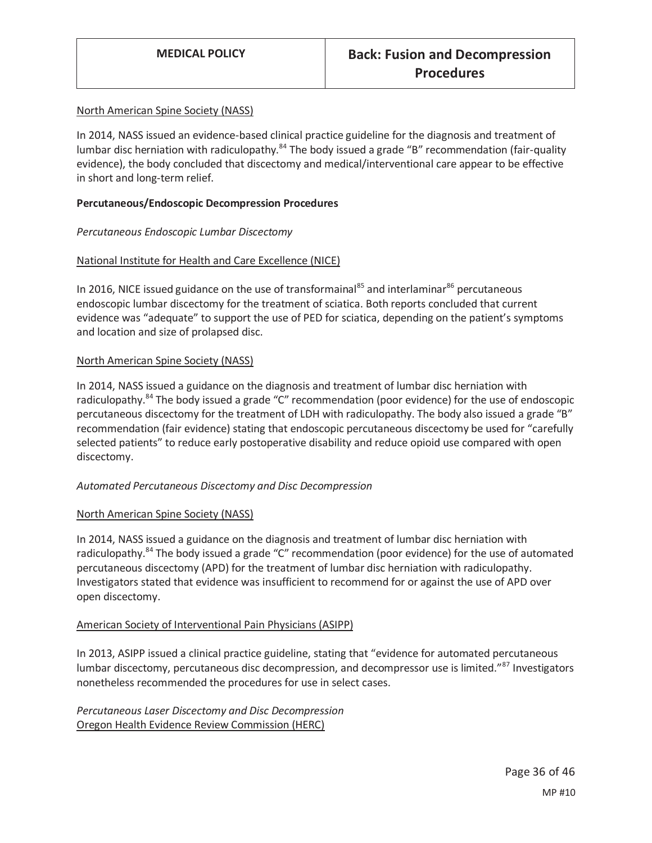#### North American Spine Society (NASS)

In 2014, NASS issued an evidence-based clinical practice guideline for the diagnosis and treatment of lumbar disc herniation with radiculopathy.<sup>84</sup> The body issued a grade "B" recommendation (fair-quality evidence), the body concluded that discectomy and medical/interventional care appear to be effective in short and long-term relief.

#### **Percutaneous/Endoscopic Decompression Procedures**

#### *Percutaneous Endoscopic Lumbar Discectomy*

#### National Institute for Health and Care Excellence (NICE)

In 2016, NICE issued guidance on the use of transformainal<sup>85</sup> and interlaminar<sup>86</sup> percutaneous endoscopic lumbar discectomy for the treatment of sciatica. Both reports concluded that current evidence was "adequate" to support the use of PED for sciatica, depending on the patient's symptoms and location and size of prolapsed disc.

#### North American Spine Society (NASS)

In 2014, NASS issued a guidance on the diagnosis and treatment of lumbar disc herniation with radiculopathy.<sup>84</sup> The body issued a grade "C" recommendation (poor evidence) for the use of endoscopic percutaneous discectomy for the treatment of LDH with radiculopathy. The body also issued a grade "B" recommendation (fair evidence) stating that endoscopic percutaneous discectomy be used for "carefully selected patients" to reduce early postoperative disability and reduce opioid use compared with open discectomy.

#### *Automated Percutaneous Discectomy and Disc Decompression*

#### North American Spine Society (NASS)

In 2014, NASS issued a guidance on the diagnosis and treatment of lumbar disc herniation with radiculopathy.<sup>84</sup> The body issued a grade "C" recommendation (poor evidence) for the use of automated percutaneous discectomy (APD) for the treatment of lumbar disc herniation with radiculopathy. Investigators stated that evidence was insufficient to recommend for or against the use of APD over open discectomy.

#### American Society of Interventional Pain Physicians (ASIPP)

In 2013, ASIPP issued a clinical practice guideline, stating that "evidence for automated percutaneous lumbar discectomy, percutaneous disc decompression, and decompressor use is limited."<sup>87</sup> Investigators nonetheless recommended the procedures for use in select cases.

*Percutaneous Laser Discectomy and Disc Decompression*  Oregon Health Evidence Review Commission (HERC)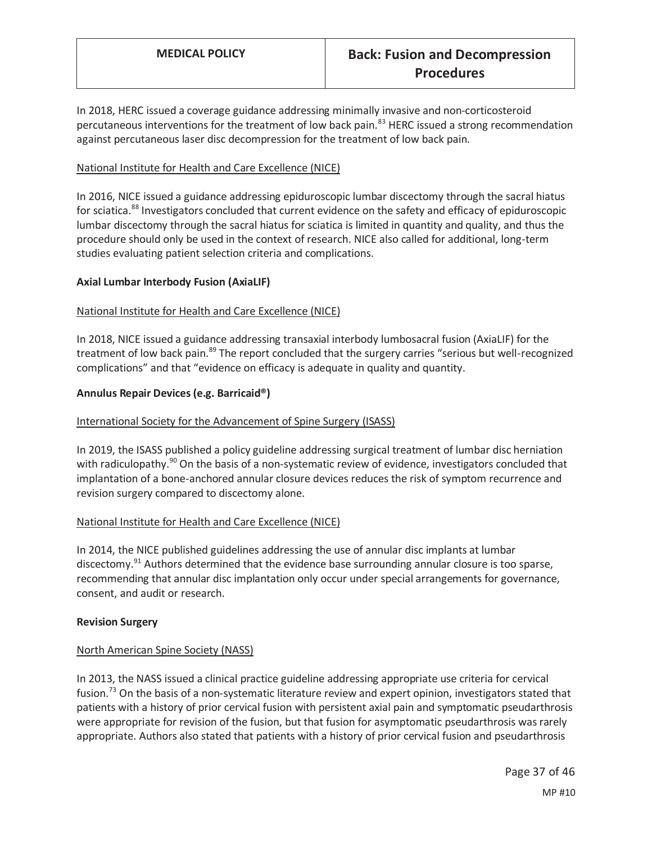In 2018, HERC issued a coverage guidance addressing minimally invasive and non-corticosteroid percutaneous interventions for the treatment of low back pain.<sup>83</sup> HERC issued a strong recommendation against percutaneous laser disc decompression for the treatment of low back pain.

#### National Institute for Health and Care Excellence (NICE)

In 2016, NICE issued a guidance addressing epiduroscopic lumbar discectomy through the sacral hiatus for sciatica.<sup>88</sup> Investigators concluded that current evidence on the safety and efficacy of epiduroscopic lumbar discectomy through the sacral hiatus for sciatica is limited in quantity and quality, and thus the procedure should only be used in the context of research. NICE also called for additional, long-term studies evaluating patient selection criteria and complications.

#### **Axial Lumbar Interbody Fusion (AxiaLIF)**

#### National Institute for Health and Care Excellence (NICE)

In 2018, NICE issued a guidance addressing transaxial interbody lumbosacral fusion (AxiaLIF) for the treatment of low back pain.<sup>89</sup> The report concluded that the surgery carries "serious but well-recognized complications" and that "evidence on efficacy is adequate in quality and quantity.

#### **Annulus Repair Devices (e.g. Barricaid®)**

#### International Society for the Advancement of Spine Surgery (ISASS)

In 2019, the ISASS published a policy guideline addressing surgical treatment of lumbar disc herniation with radiculopathy.<sup>90</sup> On the basis of a non-systematic review of evidence, investigators concluded that implantation of a bone-anchored annular closure devices reduces the risk of symptom recurrence and revision surgery compared to discectomy alone.

#### National Institute for Health and Care Excellence (NICE)

In 2014, the NICE published guidelines addressing the use of annular disc implants at lumbar discectomy.<sup>91</sup> Authors determined that the evidence base surrounding annular closure is too sparse, recommending that annular disc implantation only occur under special arrangements for governance, consent, and audit or research.

#### **Revision Surgery**

#### North American Spine Society (NASS)

In 2013, the NASS issued a clinical practice guideline addressing appropriate use criteria for cervical fusion.<sup>73</sup> On the basis of a non-systematic literature review and expert opinion, investigators stated that patients with a history of prior cervical fusion with persistent axial pain and symptomatic pseudarthrosis were appropriate for revision of the fusion, but that fusion for asymptomatic pseudarthrosis was rarely appropriate. Authors also stated that patients with a history of prior cervical fusion and pseudarthrosis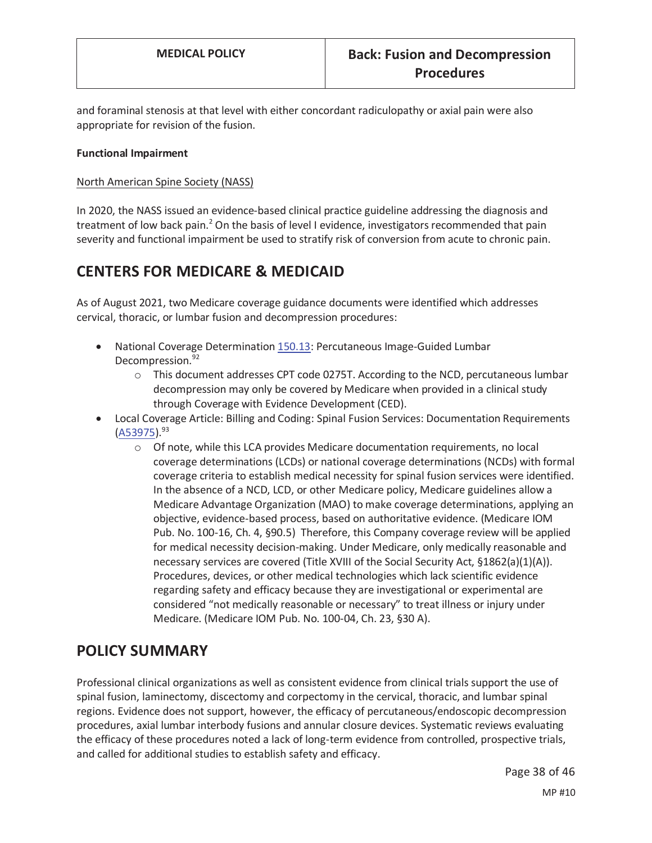and foraminal stenosis at that level with either concordant radiculopathy or axial pain were also appropriate for revision of the fusion.

#### **Functional Impairment**

#### North American Spine Society (NASS)

In 2020, the NASS issued an evidence-based clinical practice guideline addressing the diagnosis and treatment of low back pain.<sup>2</sup> On the basis of level I evidence, investigators recommended that pain severity and functional impairment be used to stratify risk of conversion from acute to chronic pain.

## **CENTERS FOR MEDICARE & MEDICAID**

As of August 2021, two Medicare coverage guidance documents were identified which addresses cervical, thoracic, or lumbar fusion and decompression procedures:

- x National Coverage Determination 150.13: Percutaneous Image-Guided Lumbar Decompression.<sup>92</sup>
	- $\circ$  This document addresses CPT code 0275T. According to the NCD, percutaneous lumbar decompression may only be covered by Medicare when provided in a clinical study through Coverage with Evidence Development (CED).
- Local Coverage Article: Billing and Coding: Spinal Fusion Services: Documentation Requirements  $(A53975).^{93}$ 
	- o Of note, while this LCA provides Medicare documentation requirements, no local coverage determinations (LCDs) or national coverage determinations (NCDs) with formal coverage criteria to establish medical necessity for spinal fusion services were identified. In the absence of a NCD, LCD, or other Medicare policy, Medicare guidelines allow a Medicare Advantage Organization (MAO) to make coverage determinations, applying an objective, evidence-based process, based on authoritative evidence. (Medicare IOM Pub. No. 100-16, Ch. 4, §90.5) Therefore, this Company coverage review will be applied for medical necessity decision-making. Under Medicare, only medically reasonable and necessary services are covered (Title XVIII of the Social Security Act, §1862(a)(1)(A)). Procedures, devices, or other medical technologies which lack scientific evidence regarding safety and efficacy because they are investigational or experimental are considered "not medically reasonable or necessary" to treat illness or injury under Medicare. (Medicare IOM Pub. No. 100-04, Ch. 23, §30 A).

## **POLICY SUMMARY**

Professional clinical organizations as well as consistent evidence from clinical trials support the use of spinal fusion, laminectomy, discectomy and corpectomy in the cervical, thoracic, and lumbar spinal regions. Evidence does not support, however, the efficacy of percutaneous/endoscopic decompression procedures, axial lumbar interbody fusions and annular closure devices. Systematic reviews evaluating the efficacy of these procedures noted a lack of long-term evidence from controlled, prospective trials, and called for additional studies to establish safety and efficacy.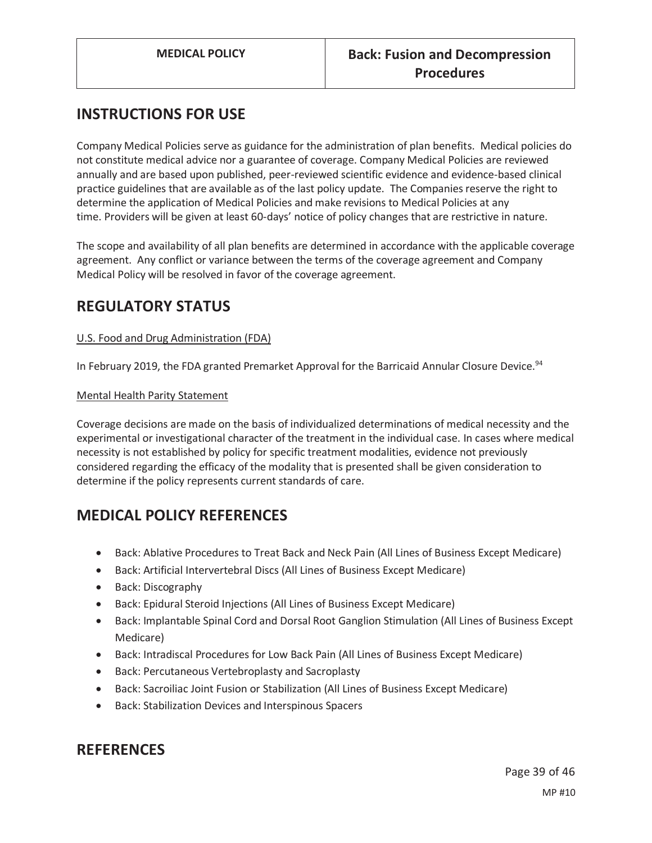# **INSTRUCTIONS FOR USE**

Company Medical Policies serve as guidance for the administration of plan benefits. Medical policies do not constitute medical advice nor a guarantee of coverage. Company Medical Policies are reviewed annually and are based upon published, peer-reviewed scientific evidence and evidence-based clinical practice guidelines that are available as of the last policy update. The Companies reserve the right to determine the application of Medical Policies and make revisions to Medical Policies at any time. Providers will be given at least 60-days' notice of policy changes that are restrictive in nature.

The scope and availability of all plan benefits are determined in accordance with the applicable coverage agreement. Any conflict or variance between the terms of the coverage agreement and Company Medical Policy will be resolved in favor of the coverage agreement.

## **REGULATORY STATUS**

### U.S. Food and Drug Administration (FDA)

In February 2019, the FDA granted Premarket Approval for the Barricaid Annular Closure Device.<sup>94</sup>

#### Mental Health Parity Statement

Coverage decisions are made on the basis of individualized determinations of medical necessity and the experimental or investigational character of the treatment in the individual case. In cases where medical necessity is not established by policy for specific treatment modalities, evidence not previously considered regarding the efficacy of the modality that is presented shall be given consideration to determine if the policy represents current standards of care.

## **MEDICAL POLICY REFERENCES**

- Back: Ablative Procedures to Treat Back and Neck Pain (All Lines of Business Except Medicare)
- Back: Artificial Intervertebral Discs (All Lines of Business Except Medicare)
- Back: Discography
- Back: Epidural Steroid Injections (All Lines of Business Except Medicare)
- Back: Implantable Spinal Cord and Dorsal Root Ganglion Stimulation (All Lines of Business Except Medicare)
- **•** Back: Intradiscal Procedures for Low Back Pain (All Lines of Business Except Medicare)
- Back: Percutaneous Vertebroplasty and Sacroplasty
- **•** Back: Sacroiliac Joint Fusion or Stabilization (All Lines of Business Except Medicare)
- **•** Back: Stabilization Devices and Interspinous Spacers

## **REFERENCES**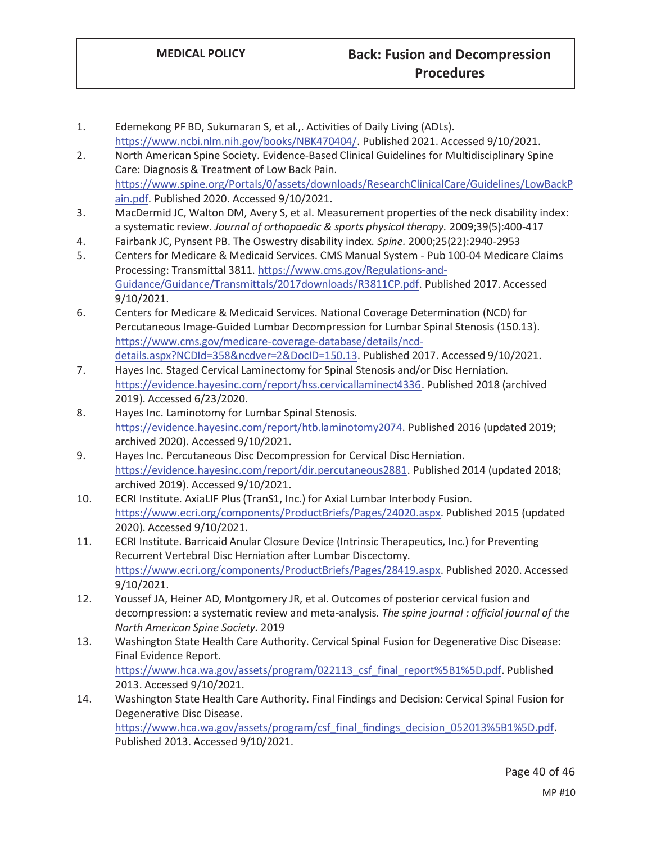- 1. Edemekong PF BD, Sukumaran S, et al.,. Activities of Daily Living (ADLs). https://www.ncbi.nlm.nih.gov/books/NBK470404/. Published 2021. Accessed 9/10/2021.
- 2. North American Spine Society. Evidence-Based Clinical Guidelines for Multidisciplinary Spine Care: Diagnosis & Treatment of Low Back Pain. https://www.spine.org/Portals/0/assets/downloads/ResearchClinicalCare/Guidelines/LowBackP ain.pdf. Published 2020. Accessed 9/10/2021.
- 3. MacDermid JC, Walton DM, Avery S, et al. Measurement properties of the neck disability index: a systematic review. *Journal of orthopaedic & sports physical therapy.* 2009;39(5):400-417
- 4. Fairbank JC, Pynsent PB. The Oswestry disability index. *Spine.* 2000;25(22):2940-2953
- 5. Centers for Medicare & Medicaid Services. CMS Manual System Pub 100-04 Medicare Claims Processing: Transmittal 3811. https://www.cms.gov/Regulations-and-Guidance/Guidance/Transmittals/2017downloads/R3811CP.pdf. Published 2017. Accessed 9/10/2021.
- 6. Centers for Medicare & Medicaid Services. National Coverage Determination (NCD) for Percutaneous Image-Guided Lumbar Decompression for Lumbar Spinal Stenosis (150.13). https://www.cms.gov/medicare-coverage-database/details/ncddetails.aspx?NCDId=358&ncdver=2&DocID=150.13. Published 2017. Accessed 9/10/2021.
- 7. Hayes Inc. Staged Cervical Laminectomy for Spinal Stenosis and/or Disc Herniation. https://evidence.hayesinc.com/report/hss.cervicallaminect4336. Published 2018 (archived 2019). Accessed 6/23/2020.
- 8. Hayes Inc. Laminotomy for Lumbar Spinal Stenosis. https://evidence.hayesinc.com/report/htb.laminotomy2074. Published 2016 (updated 2019; archived 2020). Accessed 9/10/2021.
- 9. Hayes Inc. Percutaneous Disc Decompression for Cervical Disc Herniation. https://evidence.hayesinc.com/report/dir.percutaneous2881. Published 2014 (updated 2018; archived 2019). Accessed 9/10/2021.
- 10. ECRI Institute. AxiaLIF Plus (TranS1, Inc.) for Axial Lumbar Interbody Fusion. https://www.ecri.org/components/ProductBriefs/Pages/24020.aspx. Published 2015 (updated 2020). Accessed 9/10/2021.
- 11. ECRI Institute. Barricaid Anular Closure Device (Intrinsic Therapeutics, Inc.) for Preventing Recurrent Vertebral Disc Herniation after Lumbar Discectomy. https://www.ecri.org/components/ProductBriefs/Pages/28419.aspx. Published 2020. Accessed 9/10/2021.
- 12. Youssef JA, Heiner AD, Montgomery JR, et al. Outcomes of posterior cervical fusion and decompression: a systematic review and meta-analysis. *The spine journal : official journal of the North American Spine Society.* 2019
- 13. Washington State Health Care Authority. Cervical Spinal Fusion for Degenerative Disc Disease: Final Evidence Report. https://www.hca.wa.gov/assets/program/022113\_csf\_final\_report%5B1%5D.pdf. Published 2013. Accessed 9/10/2021.
- 14. Washington State Health Care Authority. Final Findings and Decision: Cervical Spinal Fusion for Degenerative Disc Disease. https://www.hca.wa.gov/assets/program/csf\_final\_findings\_decision\_052013%5B1%5D.pdf.

Published 2013. Accessed 9/10/2021.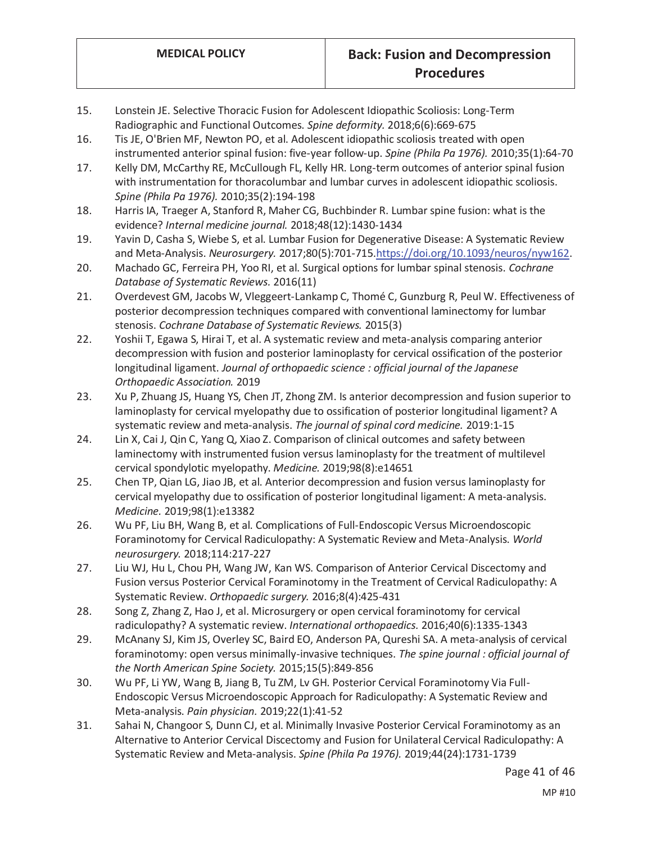- 15. Lonstein JE. Selective Thoracic Fusion for Adolescent Idiopathic Scoliosis: Long-Term Radiographic and Functional Outcomes. *Spine deformity.* 2018;6(6):669-675
- 16. Tis JE, O'Brien MF, Newton PO, et al. Adolescent idiopathic scoliosis treated with open instrumented anterior spinal fusion: five-year follow-up. *Spine (Phila Pa 1976).* 2010;35(1):64-70
- 17. Kelly DM, McCarthy RE, McCullough FL, Kelly HR. Long-term outcomes of anterior spinal fusion with instrumentation for thoracolumbar and lumbar curves in adolescent idiopathic scoliosis. *Spine (Phila Pa 1976).* 2010;35(2):194-198
- 18. Harris IA, Traeger A, Stanford R, Maher CG, Buchbinder R. Lumbar spine fusion: what is the evidence? *Internal medicine journal.* 2018;48(12):1430-1434
- 19. Yavin D, Casha S, Wiebe S, et al. Lumbar Fusion for Degenerative Disease: A Systematic Review and Meta-Analysis. *Neurosurgery.* 2017;80(5):701-715.https://doi.org/10.1093/neuros/nyw162.
- 20. Machado GC, Ferreira PH, Yoo RI, et al. Surgical options for lumbar spinal stenosis. *Cochrane Database of Systematic Reviews.* 2016(11)
- 21. Overdevest GM, Jacobs W, Vleggeert-Lankamp C, Thomé C, Gunzburg R, Peul W. Effectiveness of posterior decompression techniques compared with conventional laminectomy for lumbar stenosis. *Cochrane Database of Systematic Reviews.* 2015(3)
- 22. Yoshii T, Egawa S, Hirai T, et al. A systematic review and meta-analysis comparing anterior decompression with fusion and posterior laminoplasty for cervical ossification of the posterior longitudinal ligament. *Journal of orthopaedic science : official journal of the Japanese Orthopaedic Association.* 2019
- 23. Xu P, Zhuang JS, Huang YS, Chen JT, Zhong ZM. Is anterior decompression and fusion superior to laminoplasty for cervical myelopathy due to ossification of posterior longitudinal ligament? A systematic review and meta-analysis. *The journal of spinal cord medicine.* 2019:1-15
- 24. Lin X, Cai J, Qin C, Yang Q, Xiao Z. Comparison of clinical outcomes and safety between laminectomy with instrumented fusion versus laminoplasty for the treatment of multilevel cervical spondylotic myelopathy. *Medicine.* 2019;98(8):e14651
- 25. Chen TP, Qian LG, Jiao JB, et al. Anterior decompression and fusion versus laminoplasty for cervical myelopathy due to ossification of posterior longitudinal ligament: A meta-analysis. *Medicine.* 2019;98(1):e13382
- 26. Wu PF, Liu BH, Wang B, et al. Complications of Full-Endoscopic Versus Microendoscopic Foraminotomy for Cervical Radiculopathy: A Systematic Review and Meta-Analysis. *World neurosurgery.* 2018;114:217-227
- 27. Liu WJ, Hu L, Chou PH, Wang JW, Kan WS. Comparison of Anterior Cervical Discectomy and Fusion versus Posterior Cervical Foraminotomy in the Treatment of Cervical Radiculopathy: A Systematic Review. *Orthopaedic surgery.* 2016;8(4):425-431
- 28. Song Z, Zhang Z, Hao J, et al. Microsurgery or open cervical foraminotomy for cervical radiculopathy? A systematic review. *International orthopaedics.* 2016;40(6):1335-1343
- 29. McAnany SJ, Kim JS, Overley SC, Baird EO, Anderson PA, Qureshi SA. A meta-analysis of cervical foraminotomy: open versus minimally-invasive techniques. *The spine journal : official journal of the North American Spine Society.* 2015;15(5):849-856
- 30. Wu PF, Li YW, Wang B, Jiang B, Tu ZM, Lv GH. Posterior Cervical Foraminotomy Via Full-Endoscopic Versus Microendoscopic Approach for Radiculopathy: A Systematic Review and Meta-analysis. *Pain physician.* 2019;22(1):41-52
- 31. Sahai N, Changoor S, Dunn CJ, et al. Minimally Invasive Posterior Cervical Foraminotomy as an Alternative to Anterior Cervical Discectomy and Fusion for Unilateral Cervical Radiculopathy: A Systematic Review and Meta-analysis. *Spine (Phila Pa 1976).* 2019;44(24):1731-1739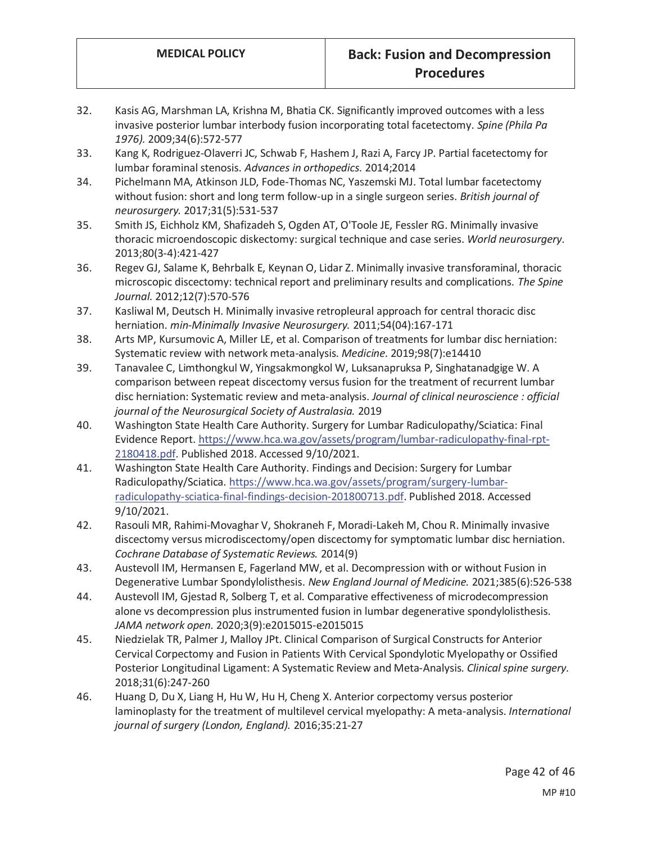- 32. Kasis AG, Marshman LA, Krishna M, Bhatia CK. Significantly improved outcomes with a less invasive posterior lumbar interbody fusion incorporating total facetectomy. *Spine (Phila Pa 1976).* 2009;34(6):572-577
- 33. Kang K, Rodriguez-Olaverri JC, Schwab F, Hashem J, Razi A, Farcy JP. Partial facetectomy for lumbar foraminal stenosis. *Advances in orthopedics.* 2014;2014
- 34. Pichelmann MA, Atkinson JLD, Fode-Thomas NC, Yaszemski MJ. Total lumbar facetectomy without fusion: short and long term follow-up in a single surgeon series. *British journal of neurosurgery.* 2017;31(5):531-537
- 35. Smith JS, Eichholz KM, Shafizadeh S, Ogden AT, O'Toole JE, Fessler RG. Minimally invasive thoracic microendoscopic diskectomy: surgical technique and case series. *World neurosurgery.*  2013;80(3-4):421-427
- 36. Regev GJ, Salame K, Behrbalk E, Keynan O, Lidar Z. Minimally invasive transforaminal, thoracic microscopic discectomy: technical report and preliminary results and complications. *The Spine Journal.* 2012;12(7):570-576
- 37. Kasliwal M, Deutsch H. Minimally invasive retropleural approach for central thoracic disc herniation. *min-Minimally Invasive Neurosurgery.* 2011;54(04):167-171
- 38. Arts MP, Kursumovic A, Miller LE, et al. Comparison of treatments for lumbar disc herniation: Systematic review with network meta-analysis. *Medicine.* 2019;98(7):e14410
- 39. Tanavalee C, Limthongkul W, Yingsakmongkol W, Luksanapruksa P, Singhatanadgige W. A comparison between repeat discectomy versus fusion for the treatment of recurrent lumbar disc herniation: Systematic review and meta-analysis. *Journal of clinical neuroscience : official journal of the Neurosurgical Society of Australasia.* 2019
- 40. Washington State Health Care Authority. Surgery for Lumbar Radiculopathy/Sciatica: Final Evidence Report. https://www.hca.wa.gov/assets/program/lumbar-radiculopathy-final-rpt-2180418.pdf. Published 2018. Accessed 9/10/2021.
- 41. Washington State Health Care Authority. Findings and Decision: Surgery for Lumbar Radiculopathy/Sciatica. https://www.hca.wa.gov/assets/program/surgery-lumbarradiculopathy-sciatica-final-findings-decision-201800713.pdf. Published 2018. Accessed 9/10/2021.
- 42. Rasouli MR, Rahimi-Movaghar V, Shokraneh F, Moradi-Lakeh M, Chou R. Minimally invasive discectomy versus microdiscectomy/open discectomy for symptomatic lumbar disc herniation. *Cochrane Database of Systematic Reviews.* 2014(9)
- 43. Austevoll IM, Hermansen E, Fagerland MW, et al. Decompression with or without Fusion in Degenerative Lumbar Spondylolisthesis. *New England Journal of Medicine.* 2021;385(6):526-538
- 44. Austevoll IM, Gjestad R, Solberg T, et al. Comparative effectiveness of microdecompression alone vs decompression plus instrumented fusion in lumbar degenerative spondylolisthesis. *JAMA network open.* 2020;3(9):e2015015-e2015015
- 45. Niedzielak TR, Palmer J, Malloy JPt. Clinical Comparison of Surgical Constructs for Anterior Cervical Corpectomy and Fusion in Patients With Cervical Spondylotic Myelopathy or Ossified Posterior Longitudinal Ligament: A Systematic Review and Meta-Analysis. *Clinical spine surgery.*  2018;31(6):247-260
- 46. Huang D, Du X, Liang H, Hu W, Hu H, Cheng X. Anterior corpectomy versus posterior laminoplasty for the treatment of multilevel cervical myelopathy: A meta-analysis. *International journal of surgery (London, England).* 2016;35:21-27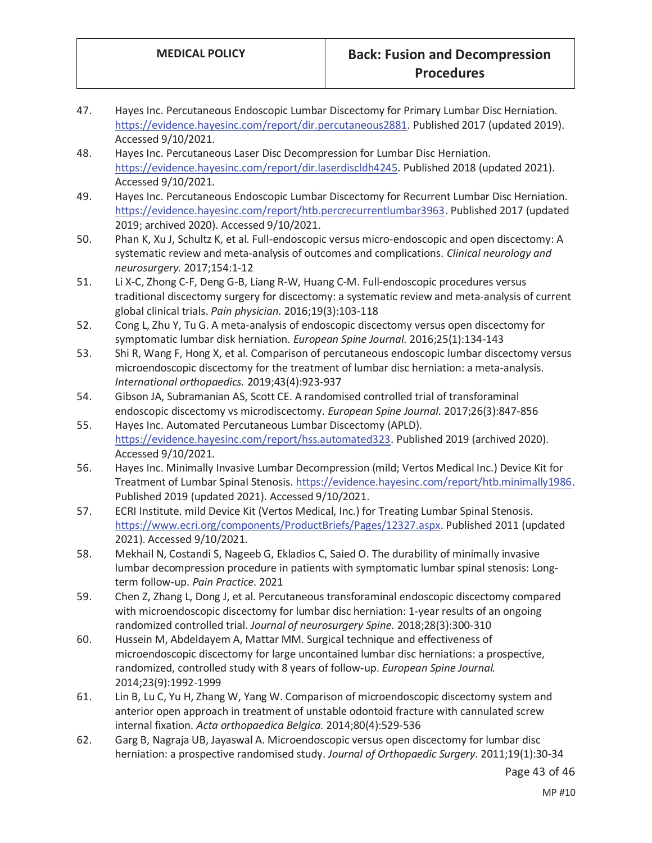- 47. Hayes Inc. Percutaneous Endoscopic Lumbar Discectomy for Primary Lumbar Disc Herniation. https://evidence.hayesinc.com/report/dir.percutaneous2881. Published 2017 (updated 2019). Accessed 9/10/2021.
- 48. Hayes Inc. Percutaneous Laser Disc Decompression for Lumbar Disc Herniation. https://evidence.hayesinc.com/report/dir.laserdiscldh4245. Published 2018 (updated 2021). Accessed 9/10/2021.
- 49. Hayes Inc. Percutaneous Endoscopic Lumbar Discectomy for Recurrent Lumbar Disc Herniation. https://evidence.hayesinc.com/report/htb.percrecurrentlumbar3963. Published 2017 (updated 2019; archived 2020). Accessed 9/10/2021.
- 50. Phan K, Xu J, Schultz K, et al. Full-endoscopic versus micro-endoscopic and open discectomy: A systematic review and meta-analysis of outcomes and complications. *Clinical neurology and neurosurgery.* 2017;154:1-12
- 51. Li X-C, Zhong C-F, Deng G-B, Liang R-W, Huang C-M. Full-endoscopic procedures versus traditional discectomy surgery for discectomy: a systematic review and meta-analysis of current global clinical trials. *Pain physician.* 2016;19(3):103-118
- 52. Cong L, Zhu Y, Tu G. A meta-analysis of endoscopic discectomy versus open discectomy for symptomatic lumbar disk herniation. *European Spine Journal.* 2016;25(1):134-143
- 53. Shi R, Wang F, Hong X, et al. Comparison of percutaneous endoscopic lumbar discectomy versus microendoscopic discectomy for the treatment of lumbar disc herniation: a meta-analysis. *International orthopaedics.* 2019;43(4):923-937
- 54. Gibson JA, Subramanian AS, Scott CE. A randomised controlled trial of transforaminal endoscopic discectomy vs microdiscectomy. *European Spine Journal.* 2017;26(3):847-856
- 55. Hayes Inc. Automated Percutaneous Lumbar Discectomy (APLD). https://evidence.hayesinc.com/report/hss.automated323. Published 2019 (archived 2020). Accessed 9/10/2021.
- 56. Hayes Inc. Minimally Invasive Lumbar Decompression (mild; Vertos Medical Inc.) Device Kit for Treatment of Lumbar Spinal Stenosis. https://evidence.hayesinc.com/report/htb.minimally1986. Published 2019 (updated 2021). Accessed 9/10/2021.
- 57. ECRI Institute. mild Device Kit (Vertos Medical, Inc.) for Treating Lumbar Spinal Stenosis. https://www.ecri.org/components/ProductBriefs/Pages/12327.aspx. Published 2011 (updated 2021). Accessed 9/10/2021.
- 58. Mekhail N, Costandi S, Nageeb G, Ekladios C, Saied O. The durability of minimally invasive lumbar decompression procedure in patients with symptomatic lumbar spinal stenosis: Longterm follow-up. *Pain Practice.* 2021
- 59. Chen Z, Zhang L, Dong J, et al. Percutaneous transforaminal endoscopic discectomy compared with microendoscopic discectomy for lumbar disc herniation: 1-year results of an ongoing randomized controlled trial. *Journal of neurosurgery Spine.* 2018;28(3):300-310
- 60. Hussein M, Abdeldayem A, Mattar MM. Surgical technique and effectiveness of microendoscopic discectomy for large uncontained lumbar disc herniations: a prospective, randomized, controlled study with 8 years of follow-up. *European Spine Journal.*  2014;23(9):1992-1999
- 61. Lin B, Lu C, Yu H, Zhang W, Yang W. Comparison of microendoscopic discectomy system and anterior open approach in treatment of unstable odontoid fracture with cannulated screw internal fixation. *Acta orthopaedica Belgica.* 2014;80(4):529-536
- 62. Garg B, Nagraja UB, Jayaswal A. Microendoscopic versus open discectomy for lumbar disc herniation: a prospective randomised study. *Journal of Orthopaedic Surgery.* 2011;19(1):30-34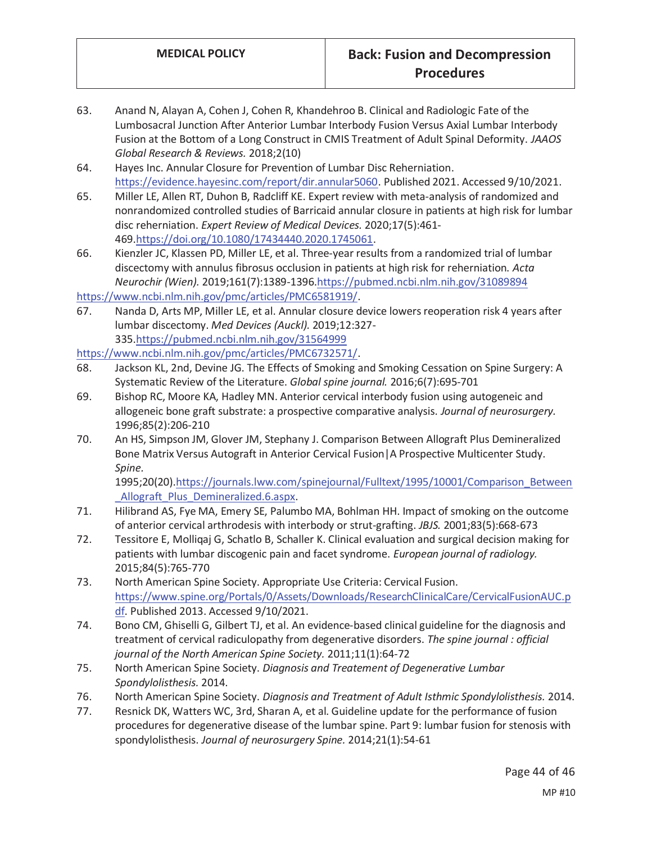- 63. Anand N, Alayan A, Cohen J, Cohen R, Khandehroo B. Clinical and Radiologic Fate of the Lumbosacral Junction After Anterior Lumbar Interbody Fusion Versus Axial Lumbar Interbody Fusion at the Bottom of a Long Construct in CMIS Treatment of Adult Spinal Deformity. *JAAOS Global Research & Reviews.* 2018;2(10)
- 64. Hayes Inc. Annular Closure for Prevention of Lumbar Disc Reherniation. https://evidence.hayesinc.com/report/dir.annular5060. Published 2021. Accessed 9/10/2021.
- 65. Miller LE, Allen RT, Duhon B, Radcliff KE. Expert review with meta-analysis of randomized and nonrandomized controlled studies of Barricaid annular closure in patients at high risk for lumbar disc reherniation. *Expert Review of Medical Devices.* 2020;17(5):461- 469.https://doi.org/10.1080/17434440.2020.1745061.
- 66. Kienzler JC, Klassen PD, Miller LE, et al. Three-year results from a randomized trial of lumbar discectomy with annulus fibrosus occlusion in patients at high risk for reherniation. *Acta Neurochir (Wien).* 2019;161(7):1389-1396.https://pubmed.ncbi.nlm.nih.gov/31089894

https://www.ncbi.nlm.nih.gov/pmc/articles/PMC6581919/.

67. Nanda D, Arts MP, Miller LE, et al. Annular closure device lowers reoperation risk 4 years after lumbar discectomy. *Med Devices (Auckl).* 2019;12:327- 335.https://pubmed.ncbi.nlm.nih.gov/31564999

https://www.ncbi.nlm.nih.gov/pmc/articles/PMC6732571/.

- 68. Jackson KL, 2nd, Devine JG. The Effects of Smoking and Smoking Cessation on Spine Surgery: A Systematic Review of the Literature. *Global spine journal.* 2016;6(7):695-701
- 69. Bishop RC, Moore KA, Hadley MN. Anterior cervical interbody fusion using autogeneic and allogeneic bone graft substrate: a prospective comparative analysis. *Journal of neurosurgery.*  1996;85(2):206-210
- 70. An HS, Simpson JM, Glover JM, Stephany J. Comparison Between Allograft Plus Demineralized Bone Matrix Versus Autograft in Anterior Cervical Fusion|A Prospective Multicenter Study. *Spine.*

1995;20(20).https://journals.lww.com/spinejournal/Fulltext/1995/10001/Comparison\_Between Allograft Plus Demineralized.6.aspx.

- 71. Hilibrand AS, Fye MA, Emery SE, Palumbo MA, Bohlman HH. Impact of smoking on the outcome of anterior cervical arthrodesis with interbody or strut-grafting. *JBJS.* 2001;83(5):668-673
- 72. Tessitore E, Molliqaj G, Schatlo B, Schaller K. Clinical evaluation and surgical decision making for patients with lumbar discogenic pain and facet syndrome. *European journal of radiology.*  2015;84(5):765-770
- 73. North American Spine Society. Appropriate Use Criteria: Cervical Fusion. https://www.spine.org/Portals/0/Assets/Downloads/ResearchClinicalCare/CervicalFusionAUC.p df. Published 2013. Accessed 9/10/2021.
- 74. Bono CM, Ghiselli G, Gilbert TJ, et al. An evidence-based clinical guideline for the diagnosis and treatment of cervical radiculopathy from degenerative disorders. *The spine journal : official journal of the North American Spine Society.* 2011;11(1):64-72
- 75. North American Spine Society. *Diagnosis and Treatement of Degenerative Lumbar Spondylolisthesis.* 2014.
- 76. North American Spine Society. *Diagnosis and Treatment of Adult Isthmic Spondylolisthesis.* 2014.
- 77. Resnick DK, Watters WC, 3rd, Sharan A, et al. Guideline update for the performance of fusion procedures for degenerative disease of the lumbar spine. Part 9: lumbar fusion for stenosis with spondylolisthesis. *Journal of neurosurgery Spine.* 2014;21(1):54-61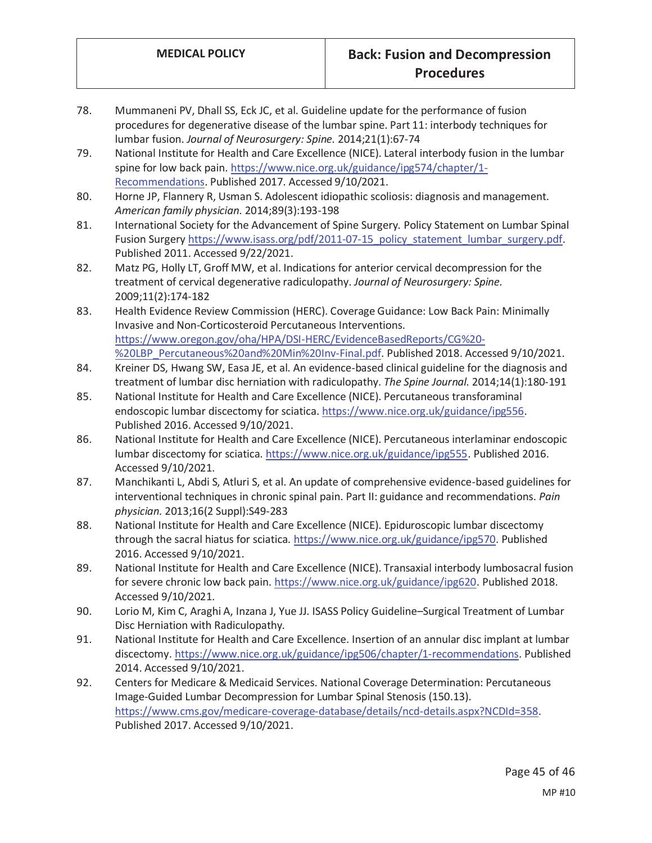- 78. Mummaneni PV, Dhall SS, Eck JC, et al. Guideline update for the performance of fusion procedures for degenerative disease of the lumbar spine. Part 11: interbody techniques for lumbar fusion. *Journal of Neurosurgery: Spine.* 2014;21(1):67-74
- 79. National Institute for Health and Care Excellence (NICE). Lateral interbody fusion in the lumbar spine for low back pain. https://www.nice.org.uk/guidance/ipg574/chapter/1- Recommendations. Published 2017. Accessed 9/10/2021.
- 80. Horne JP, Flannery R, Usman S. Adolescent idiopathic scoliosis: diagnosis and management. *American family physician.* 2014;89(3):193-198
- 81. International Society for the Advancement of Spine Surgery. Policy Statement on Lumbar Spinal Fusion Surgery https://www.isass.org/pdf/2011-07-15\_policy\_statement\_lumbar\_surgery.pdf. Published 2011. Accessed 9/22/2021.
- 82. Matz PG, Holly LT, Groff MW, et al. Indications for anterior cervical decompression for the treatment of cervical degenerative radiculopathy. *Journal of Neurosurgery: Spine.*  2009;11(2):174-182
- 83. Health Evidence Review Commission (HERC). Coverage Guidance: Low Back Pain: Minimally Invasive and Non-Corticosteroid Percutaneous Interventions. https://www.oregon.gov/oha/HPA/DSI-HERC/EvidenceBasedReports/CG%20- %20LBP\_Percutaneous%20and%20Min%20Inv-Final.pdf. Published 2018. Accessed 9/10/2021.
- 84. Kreiner DS, Hwang SW, Easa JE, et al. An evidence-based clinical guideline for the diagnosis and treatment of lumbar disc herniation with radiculopathy. *The Spine Journal.* 2014;14(1):180-191
- 85. National Institute for Health and Care Excellence (NICE). Percutaneous transforaminal endoscopic lumbar discectomy for sciatica. https://www.nice.org.uk/guidance/ipg556. Published 2016. Accessed 9/10/2021.
- 86. National Institute for Health and Care Excellence (NICE). Percutaneous interlaminar endoscopic lumbar discectomy for sciatica. https://www.nice.org.uk/guidance/ipg555. Published 2016. Accessed 9/10/2021.
- 87. Manchikanti L, Abdi S, Atluri S, et al. An update of comprehensive evidence-based guidelines for interventional techniques in chronic spinal pain. Part II: guidance and recommendations. *Pain physician.* 2013;16(2 Suppl):S49-283
- 88. National Institute for Health and Care Excellence (NICE). Epiduroscopic lumbar discectomy through the sacral hiatus for sciatica. https://www.nice.org.uk/guidance/ipg570. Published 2016. Accessed 9/10/2021.
- 89. National Institute for Health and Care Excellence (NICE). Transaxial interbody lumbosacral fusion for severe chronic low back pain. https://www.nice.org.uk/guidance/ipg620. Published 2018. Accessed 9/10/2021.
- 90. Lorio M, Kim C, Araghi A, Inzana J, Yue JJ. ISASS Policy Guideline–Surgical Treatment of Lumbar Disc Herniation with Radiculopathy.
- 91. National Institute for Health and Care Excellence. Insertion of an annular disc implant at lumbar discectomy. https://www.nice.org.uk/guidance/ipg506/chapter/1-recommendations. Published 2014. Accessed 9/10/2021.
- 92. Centers for Medicare & Medicaid Services. National Coverage Determination: Percutaneous Image-Guided Lumbar Decompression for Lumbar Spinal Stenosis (150.13). https://www.cms.gov/medicare-coverage-database/details/ncd-details.aspx?NCDId=358. Published 2017. Accessed 9/10/2021.